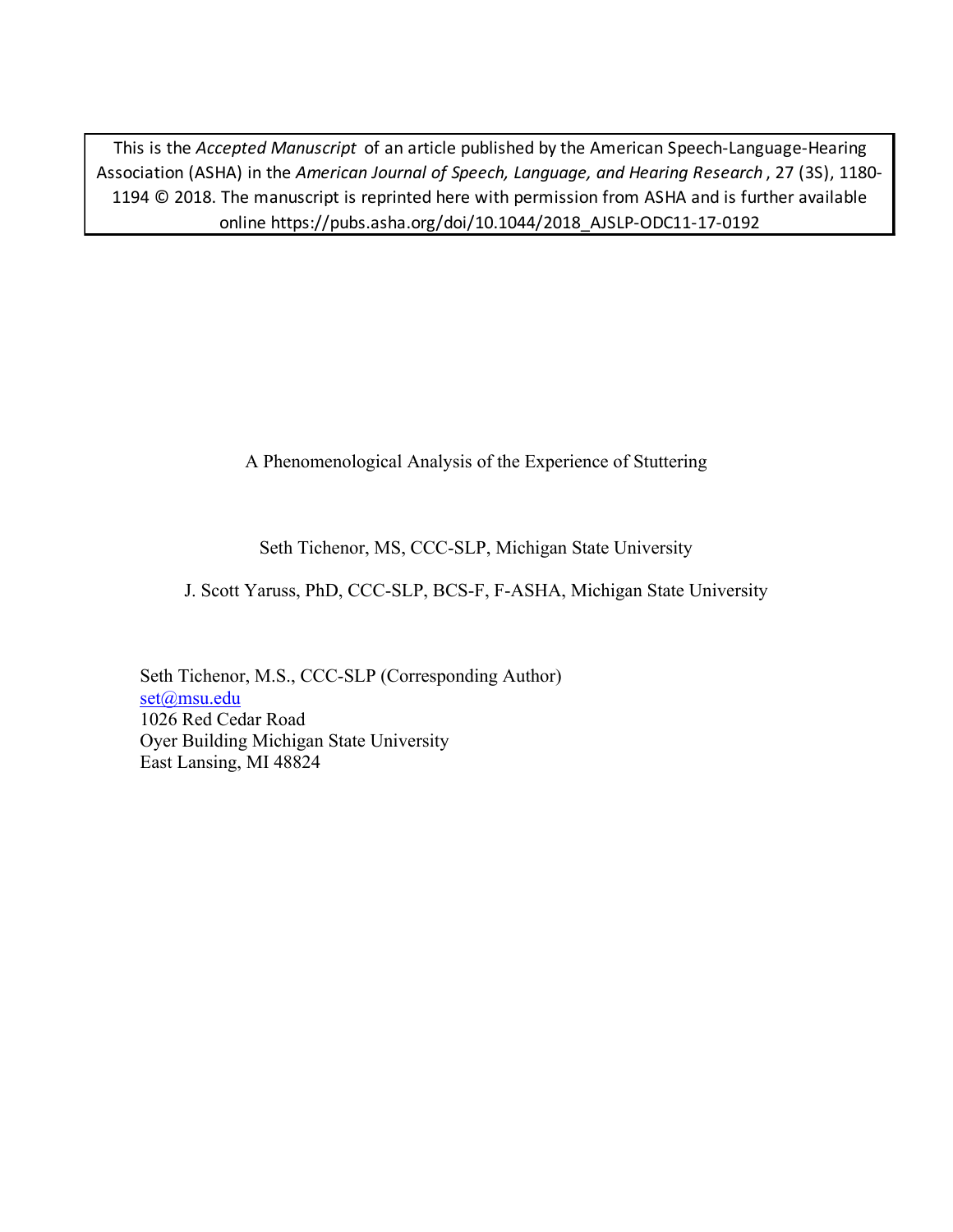This is the *Accepted Manuscript* of an article published by the American Speech-Language-Hearing Association (ASHA) in the *American Journal of Speech, Language, and Hearing Research* , 27 (3S), 1180- 1194 © 2018. The manuscript is reprinted here with permission from ASHA and is further available online https://pubs.asha.org/doi/10.1044/2018\_AJSLP-ODC11-17-0192

A Phenomenological Analysis of the Experience of Stuttering

Seth Tichenor, MS, CCC-SLP, Michigan State University

J. Scott Yaruss, PhD, CCC-SLP, BCS-F, F-ASHA, Michigan State University

Seth Tichenor, M.S., CCC-SLP (Corresponding Author) set@msu.edu 1026 Red Cedar Road Oyer Building Michigan State University East Lansing, MI 48824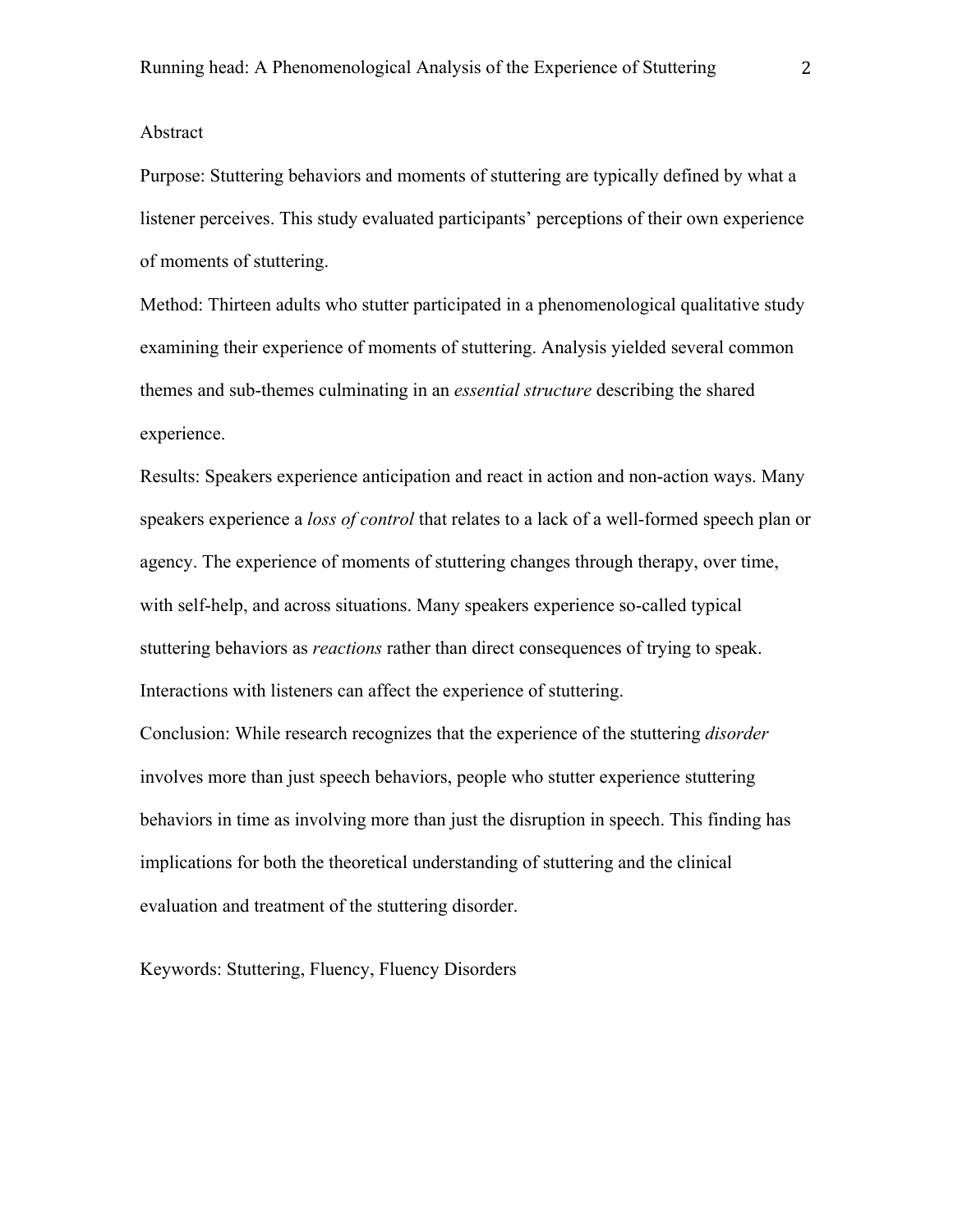#### Abstract

Purpose: Stuttering behaviors and moments of stuttering are typically defined by what a listener perceives. This study evaluated participants' perceptions of their own experience of moments of stuttering.

Method: Thirteen adults who stutter participated in a phenomenological qualitative study examining their experience of moments of stuttering. Analysis yielded several common themes and sub-themes culminating in an *essential structure* describing the shared experience.

Results: Speakers experience anticipation and react in action and non-action ways. Many speakers experience a *loss of control* that relates to a lack of a well-formed speech plan or agency. The experience of moments of stuttering changes through therapy, over time, with self-help, and across situations. Many speakers experience so-called typical stuttering behaviors as *reactions* rather than direct consequences of trying to speak. Interactions with listeners can affect the experience of stuttering.

Conclusion: While research recognizes that the experience of the stuttering *disorder* involves more than just speech behaviors, people who stutter experience stuttering behaviors in time as involving more than just the disruption in speech. This finding has implications for both the theoretical understanding of stuttering and the clinical evaluation and treatment of the stuttering disorder.

Keywords: Stuttering, Fluency, Fluency Disorders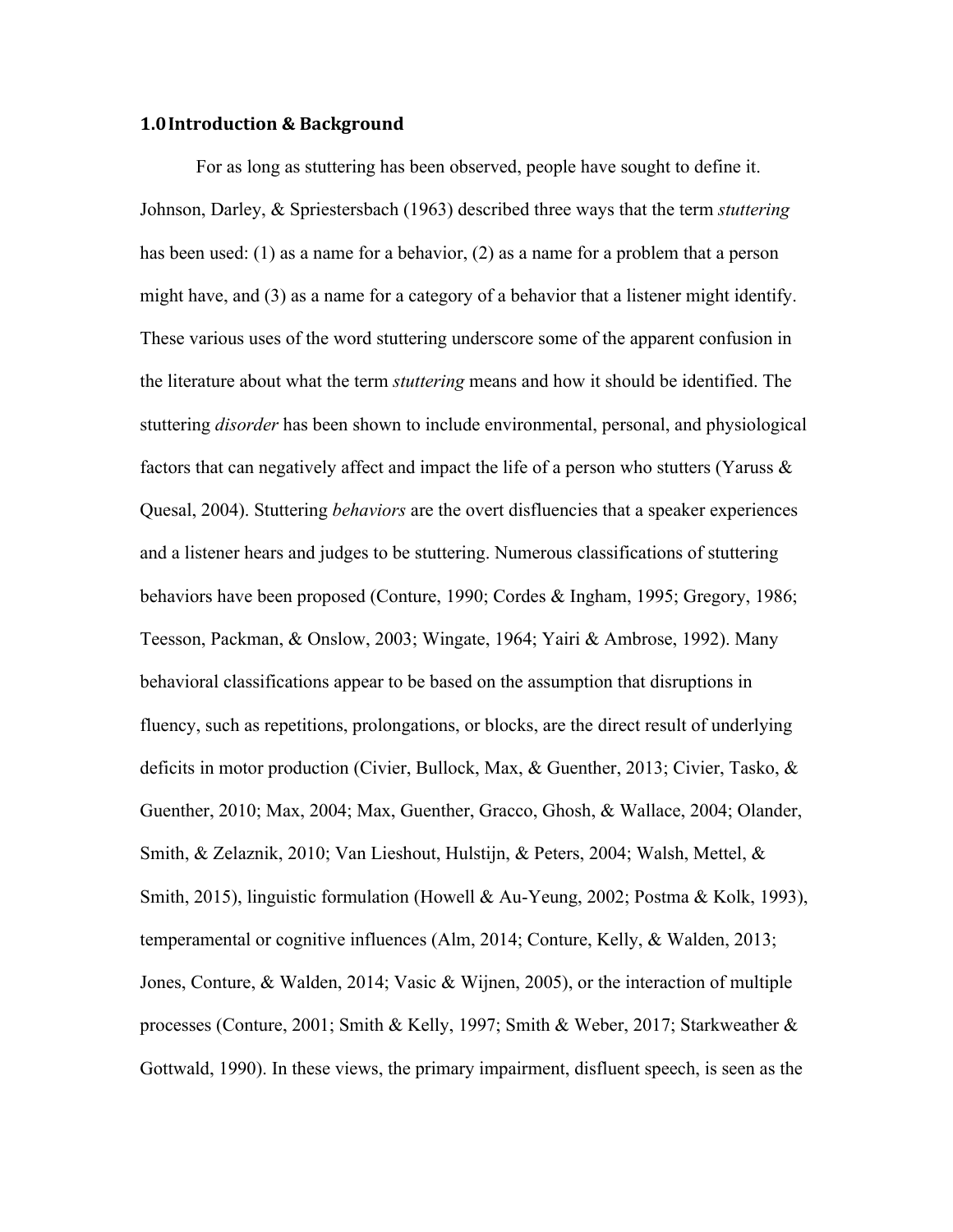## **1.0Introduction & Background**

For as long as stuttering has been observed, people have sought to define it. Johnson, Darley, & Spriestersbach (1963) described three ways that the term *stuttering* has been used: (1) as a name for a behavior, (2) as a name for a problem that a person might have, and (3) as a name for a category of a behavior that a listener might identify. These various uses of the word stuttering underscore some of the apparent confusion in the literature about what the term *stuttering* means and how it should be identified. The stuttering *disorder* has been shown to include environmental, personal, and physiological factors that can negatively affect and impact the life of a person who stutters (Yaruss & Quesal, 2004). Stuttering *behaviors* are the overt disfluencies that a speaker experiences and a listener hears and judges to be stuttering. Numerous classifications of stuttering behaviors have been proposed (Conture, 1990; Cordes & Ingham, 1995; Gregory, 1986; Teesson, Packman, & Onslow, 2003; Wingate, 1964; Yairi & Ambrose, 1992). Many behavioral classifications appear to be based on the assumption that disruptions in fluency, such as repetitions, prolongations, or blocks, are the direct result of underlying deficits in motor production (Civier, Bullock, Max, & Guenther, 2013; Civier, Tasko, & Guenther, 2010; Max, 2004; Max, Guenther, Gracco, Ghosh, & Wallace, 2004; Olander, Smith, & Zelaznik, 2010; Van Lieshout, Hulstijn, & Peters, 2004; Walsh, Mettel, & Smith, 2015), linguistic formulation (Howell & Au-Yeung, 2002; Postma & Kolk, 1993), temperamental or cognitive influences (Alm, 2014; Conture, Kelly, & Walden, 2013; Jones, Conture, & Walden, 2014; Vasic & Wijnen, 2005), or the interaction of multiple processes (Conture, 2001; Smith & Kelly, 1997; Smith & Weber, 2017; Starkweather & Gottwald, 1990). In these views, the primary impairment, disfluent speech, is seen as the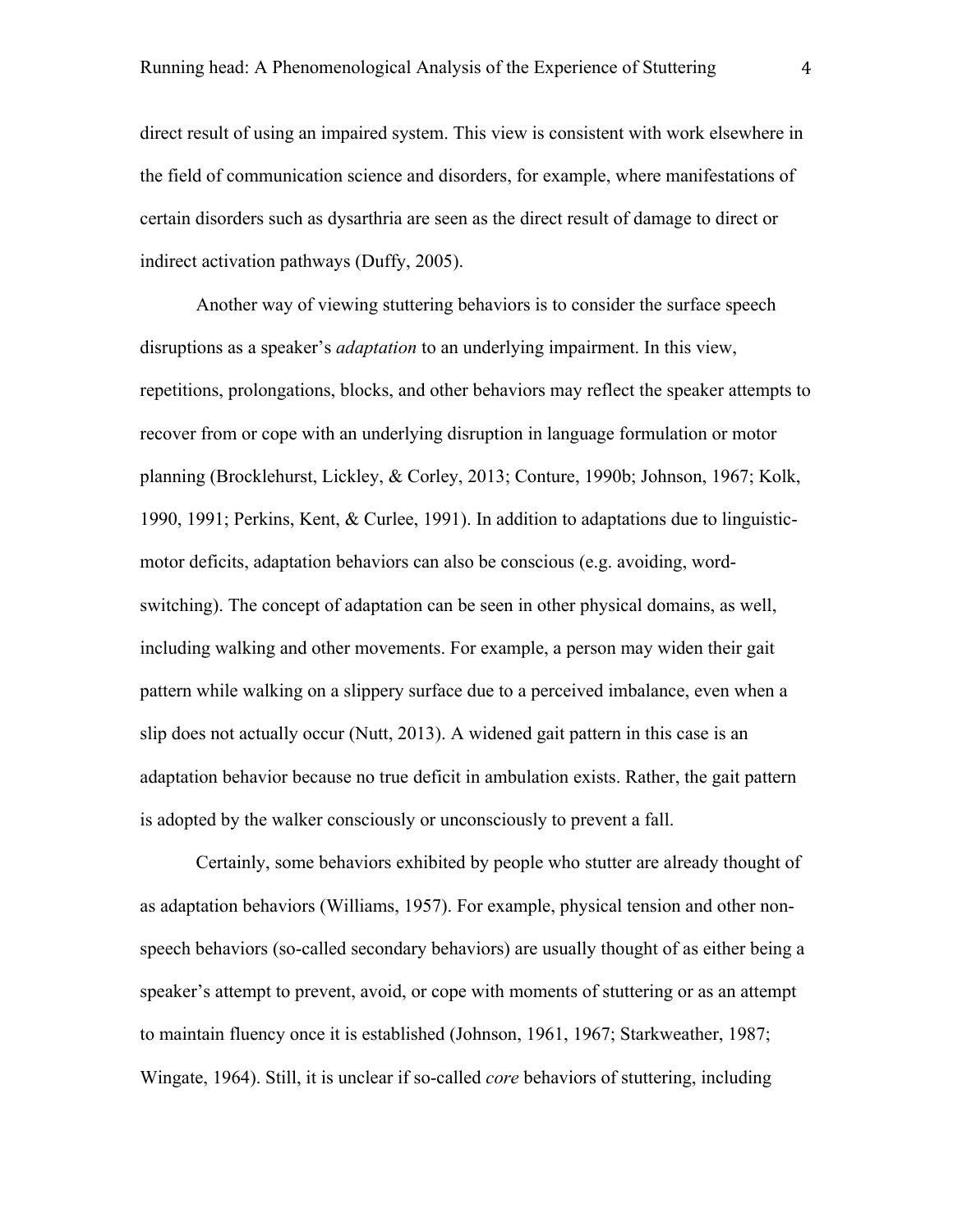direct result of using an impaired system. This view is consistent with work elsewhere in the field of communication science and disorders, for example, where manifestations of certain disorders such as dysarthria are seen as the direct result of damage to direct or indirect activation pathways (Duffy, 2005).

Another way of viewing stuttering behaviors is to consider the surface speech disruptions as a speaker's *adaptation* to an underlying impairment. In this view, repetitions, prolongations, blocks, and other behaviors may reflect the speaker attempts to recover from or cope with an underlying disruption in language formulation or motor planning (Brocklehurst, Lickley, & Corley, 2013; Conture, 1990b; Johnson, 1967; Kolk, 1990, 1991; Perkins, Kent, & Curlee, 1991). In addition to adaptations due to linguisticmotor deficits, adaptation behaviors can also be conscious (e.g. avoiding, wordswitching). The concept of adaptation can be seen in other physical domains, as well, including walking and other movements. For example, a person may widen their gait pattern while walking on a slippery surface due to a perceived imbalance, even when a slip does not actually occur (Nutt, 2013). A widened gait pattern in this case is an adaptation behavior because no true deficit in ambulation exists. Rather, the gait pattern is adopted by the walker consciously or unconsciously to prevent a fall.

Certainly, some behaviors exhibited by people who stutter are already thought of as adaptation behaviors (Williams, 1957). For example, physical tension and other nonspeech behaviors (so-called secondary behaviors) are usually thought of as either being a speaker's attempt to prevent, avoid, or cope with moments of stuttering or as an attempt to maintain fluency once it is established (Johnson, 1961, 1967; Starkweather, 1987; Wingate, 1964). Still, it is unclear if so-called *core* behaviors of stuttering, including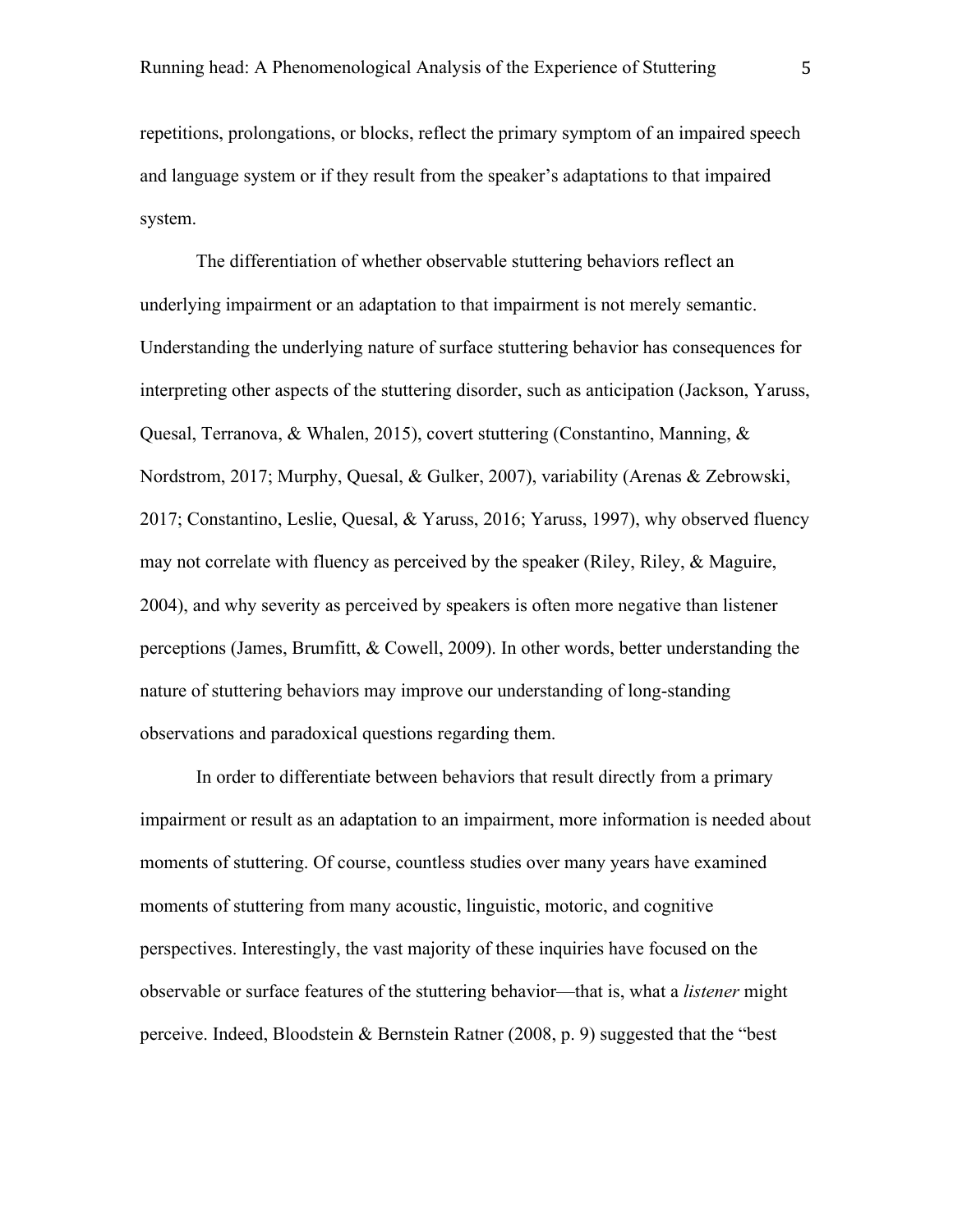repetitions, prolongations, or blocks, reflect the primary symptom of an impaired speech and language system or if they result from the speaker's adaptations to that impaired system.

The differentiation of whether observable stuttering behaviors reflect an underlying impairment or an adaptation to that impairment is not merely semantic. Understanding the underlying nature of surface stuttering behavior has consequences for interpreting other aspects of the stuttering disorder, such as anticipation (Jackson, Yaruss, Quesal, Terranova, & Whalen, 2015), covert stuttering (Constantino, Manning, & Nordstrom, 2017; Murphy, Quesal, & Gulker, 2007), variability (Arenas & Zebrowski, 2017; Constantino, Leslie, Quesal, & Yaruss, 2016; Yaruss, 1997), why observed fluency may not correlate with fluency as perceived by the speaker (Riley, Riley, & Maguire, 2004), and why severity as perceived by speakers is often more negative than listener perceptions (James, Brumfitt, & Cowell, 2009). In other words, better understanding the nature of stuttering behaviors may improve our understanding of long-standing observations and paradoxical questions regarding them.

In order to differentiate between behaviors that result directly from a primary impairment or result as an adaptation to an impairment, more information is needed about moments of stuttering. Of course, countless studies over many years have examined moments of stuttering from many acoustic, linguistic, motoric, and cognitive perspectives. Interestingly, the vast majority of these inquiries have focused on the observable or surface features of the stuttering behavior—that is, what a *listener* might perceive. Indeed, Bloodstein & Bernstein Ratner (2008, p. 9) suggested that the "best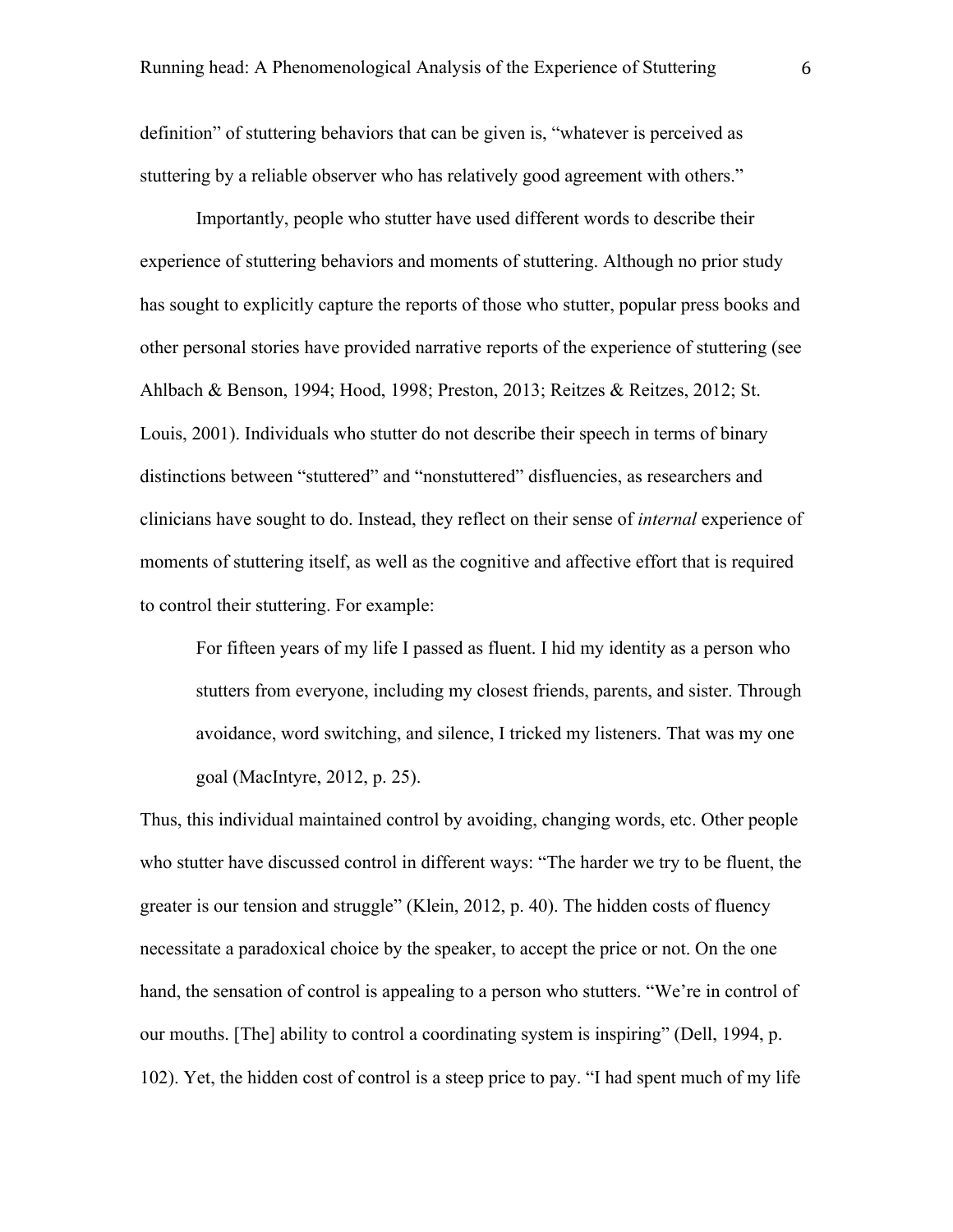definition" of stuttering behaviors that can be given is, "whatever is perceived as stuttering by a reliable observer who has relatively good agreement with others."

Importantly, people who stutter have used different words to describe their experience of stuttering behaviors and moments of stuttering. Although no prior study has sought to explicitly capture the reports of those who stutter, popular press books and other personal stories have provided narrative reports of the experience of stuttering (see Ahlbach & Benson, 1994; Hood, 1998; Preston, 2013; Reitzes & Reitzes, 2012; St. Louis, 2001). Individuals who stutter do not describe their speech in terms of binary distinctions between "stuttered" and "nonstuttered" disfluencies, as researchers and clinicians have sought to do. Instead, they reflect on their sense of *internal* experience of moments of stuttering itself, as well as the cognitive and affective effort that is required to control their stuttering. For example:

For fifteen years of my life I passed as fluent. I hid my identity as a person who stutters from everyone, including my closest friends, parents, and sister. Through avoidance, word switching, and silence, I tricked my listeners. That was my one goal (MacIntyre, 2012, p. 25).

Thus, this individual maintained control by avoiding, changing words, etc. Other people who stutter have discussed control in different ways: "The harder we try to be fluent, the greater is our tension and struggle" (Klein, 2012, p. 40). The hidden costs of fluency necessitate a paradoxical choice by the speaker, to accept the price or not. On the one hand, the sensation of control is appealing to a person who stutters. "We're in control of our mouths. [The] ability to control a coordinating system is inspiring" (Dell, 1994, p. 102). Yet, the hidden cost of control is a steep price to pay. "I had spent much of my life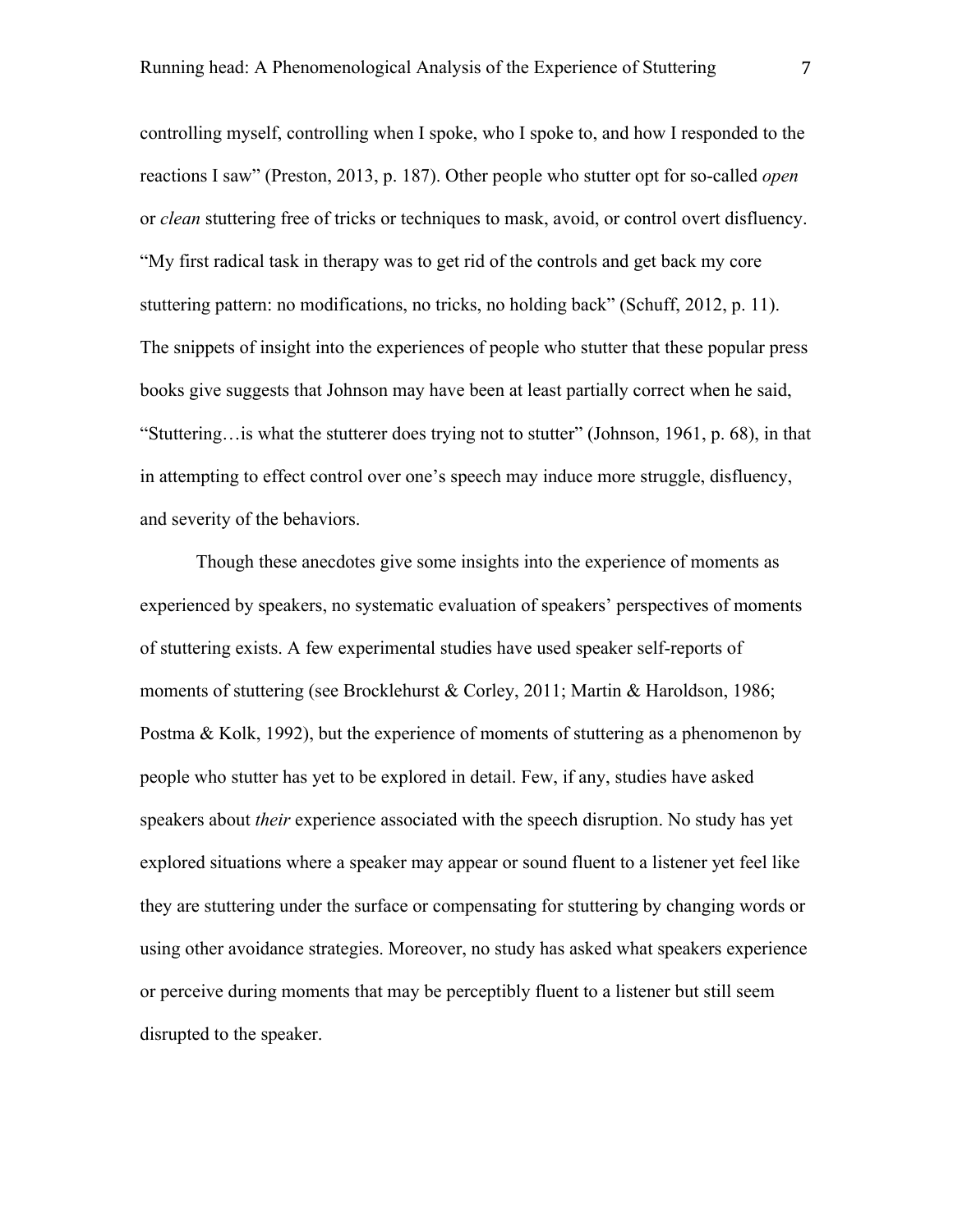controlling myself, controlling when I spoke, who I spoke to, and how I responded to the reactions I saw" (Preston, 2013, p. 187). Other people who stutter opt for so-called *open* or *clean* stuttering free of tricks or techniques to mask, avoid, or control overt disfluency. "My first radical task in therapy was to get rid of the controls and get back my core stuttering pattern: no modifications, no tricks, no holding back" (Schuff, 2012, p. 11). The snippets of insight into the experiences of people who stutter that these popular press books give suggests that Johnson may have been at least partially correct when he said, "Stuttering…is what the stutterer does trying not to stutter" (Johnson, 1961, p. 68), in that in attempting to effect control over one's speech may induce more struggle, disfluency, and severity of the behaviors.

Though these anecdotes give some insights into the experience of moments as experienced by speakers, no systematic evaluation of speakers' perspectives of moments of stuttering exists. A few experimental studies have used speaker self-reports of moments of stuttering (see Brocklehurst & Corley, 2011; Martin & Haroldson, 1986; Postma & Kolk, 1992), but the experience of moments of stuttering as a phenomenon by people who stutter has yet to be explored in detail. Few, if any, studies have asked speakers about *their* experience associated with the speech disruption. No study has yet explored situations where a speaker may appear or sound fluent to a listener yet feel like they are stuttering under the surface or compensating for stuttering by changing words or using other avoidance strategies. Moreover, no study has asked what speakers experience or perceive during moments that may be perceptibly fluent to a listener but still seem disrupted to the speaker.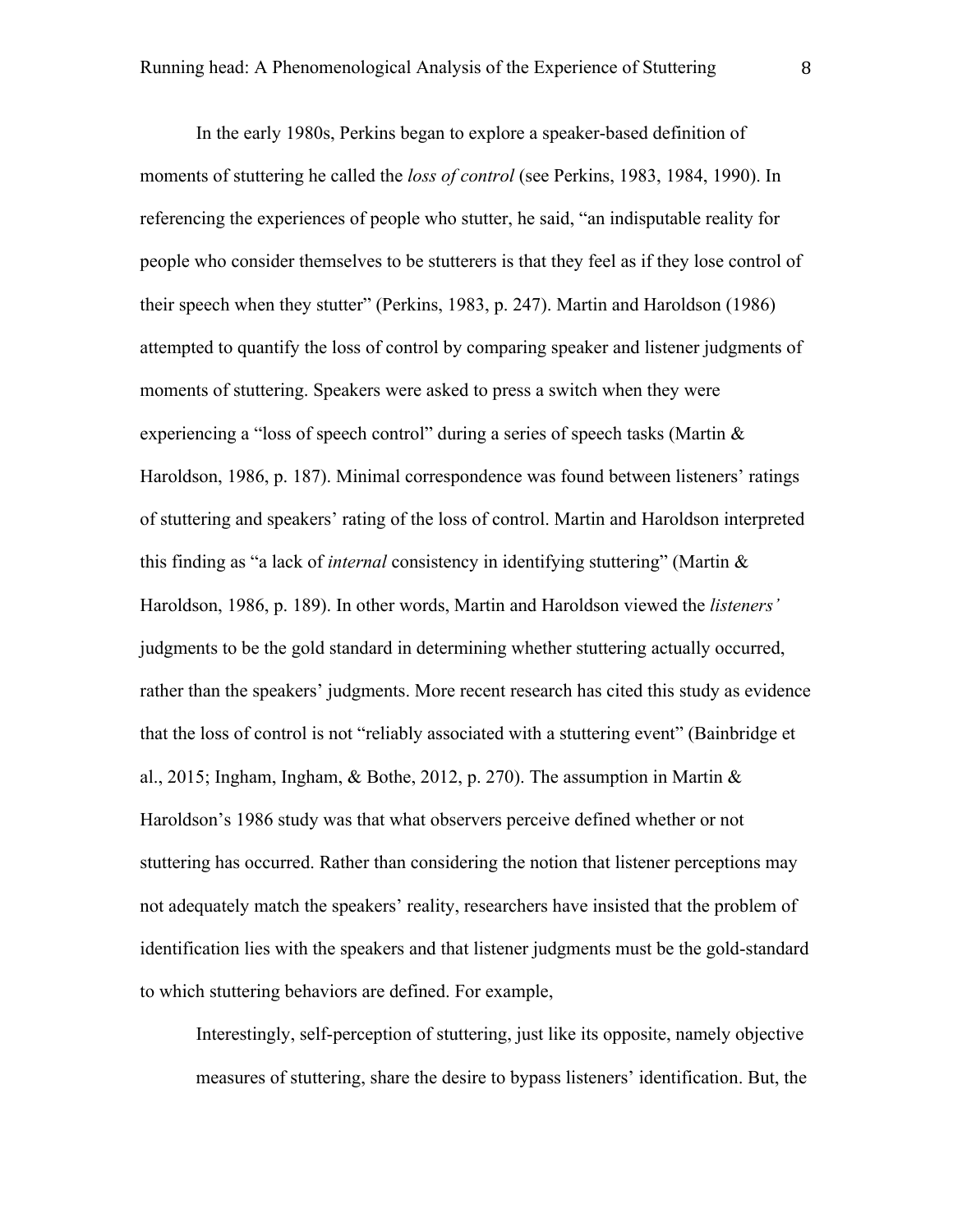In the early 1980s, Perkins began to explore a speaker-based definition of moments of stuttering he called the *loss of control* (see Perkins, 1983, 1984, 1990). In referencing the experiences of people who stutter, he said, "an indisputable reality for people who consider themselves to be stutterers is that they feel as if they lose control of their speech when they stutter" (Perkins, 1983, p. 247). Martin and Haroldson (1986) attempted to quantify the loss of control by comparing speaker and listener judgments of moments of stuttering. Speakers were asked to press a switch when they were experiencing a "loss of speech control" during a series of speech tasks (Martin & Haroldson, 1986, p. 187). Minimal correspondence was found between listeners' ratings of stuttering and speakers' rating of the loss of control. Martin and Haroldson interpreted this finding as "a lack of *internal* consistency in identifying stuttering" (Martin & Haroldson, 1986, p. 189). In other words, Martin and Haroldson viewed the *listeners'* judgments to be the gold standard in determining whether stuttering actually occurred, rather than the speakers' judgments. More recent research has cited this study as evidence that the loss of control is not "reliably associated with a stuttering event" (Bainbridge et al., 2015; Ingham, Ingham, & Bothe, 2012, p. 270). The assumption in Martin & Haroldson's 1986 study was that what observers perceive defined whether or not stuttering has occurred. Rather than considering the notion that listener perceptions may not adequately match the speakers' reality, researchers have insisted that the problem of identification lies with the speakers and that listener judgments must be the gold-standard to which stuttering behaviors are defined. For example,

Interestingly, self-perception of stuttering, just like its opposite, namely objective measures of stuttering, share the desire to bypass listeners' identification. But, the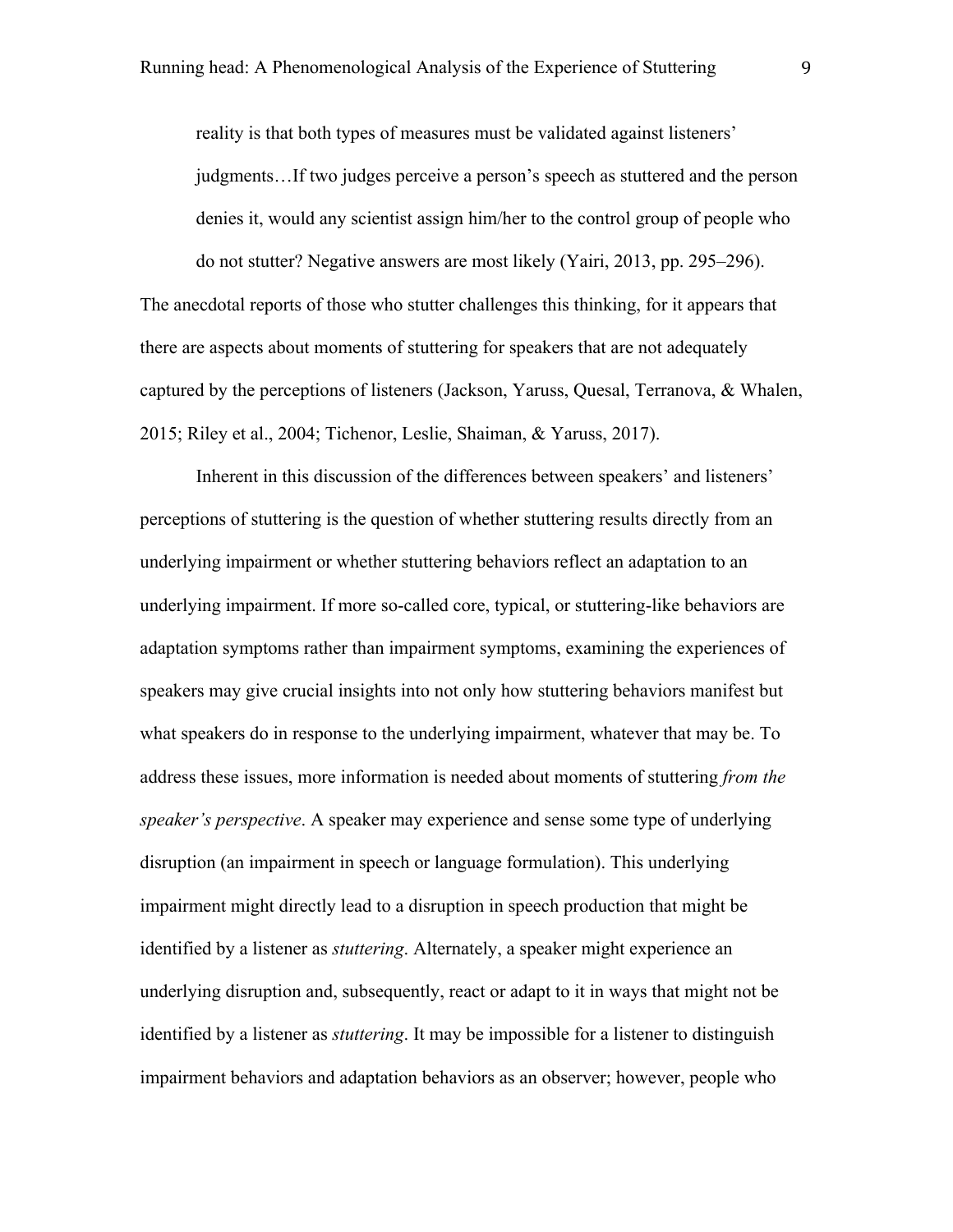reality is that both types of measures must be validated against listeners' judgments…If two judges perceive a person's speech as stuttered and the person denies it, would any scientist assign him/her to the control group of people who do not stutter? Negative answers are most likely (Yairi, 2013, pp. 295–296).

The anecdotal reports of those who stutter challenges this thinking, for it appears that there are aspects about moments of stuttering for speakers that are not adequately captured by the perceptions of listeners (Jackson, Yaruss, Quesal, Terranova, & Whalen, 2015; Riley et al., 2004; Tichenor, Leslie, Shaiman, & Yaruss, 2017).

Inherent in this discussion of the differences between speakers' and listeners' perceptions of stuttering is the question of whether stuttering results directly from an underlying impairment or whether stuttering behaviors reflect an adaptation to an underlying impairment. If more so-called core, typical, or stuttering-like behaviors are adaptation symptoms rather than impairment symptoms, examining the experiences of speakers may give crucial insights into not only how stuttering behaviors manifest but what speakers do in response to the underlying impairment, whatever that may be. To address these issues, more information is needed about moments of stuttering *from the speaker's perspective*. A speaker may experience and sense some type of underlying disruption (an impairment in speech or language formulation). This underlying impairment might directly lead to a disruption in speech production that might be identified by a listener as *stuttering*. Alternately, a speaker might experience an underlying disruption and, subsequently, react or adapt to it in ways that might not be identified by a listener as *stuttering*. It may be impossible for a listener to distinguish impairment behaviors and adaptation behaviors as an observer; however, people who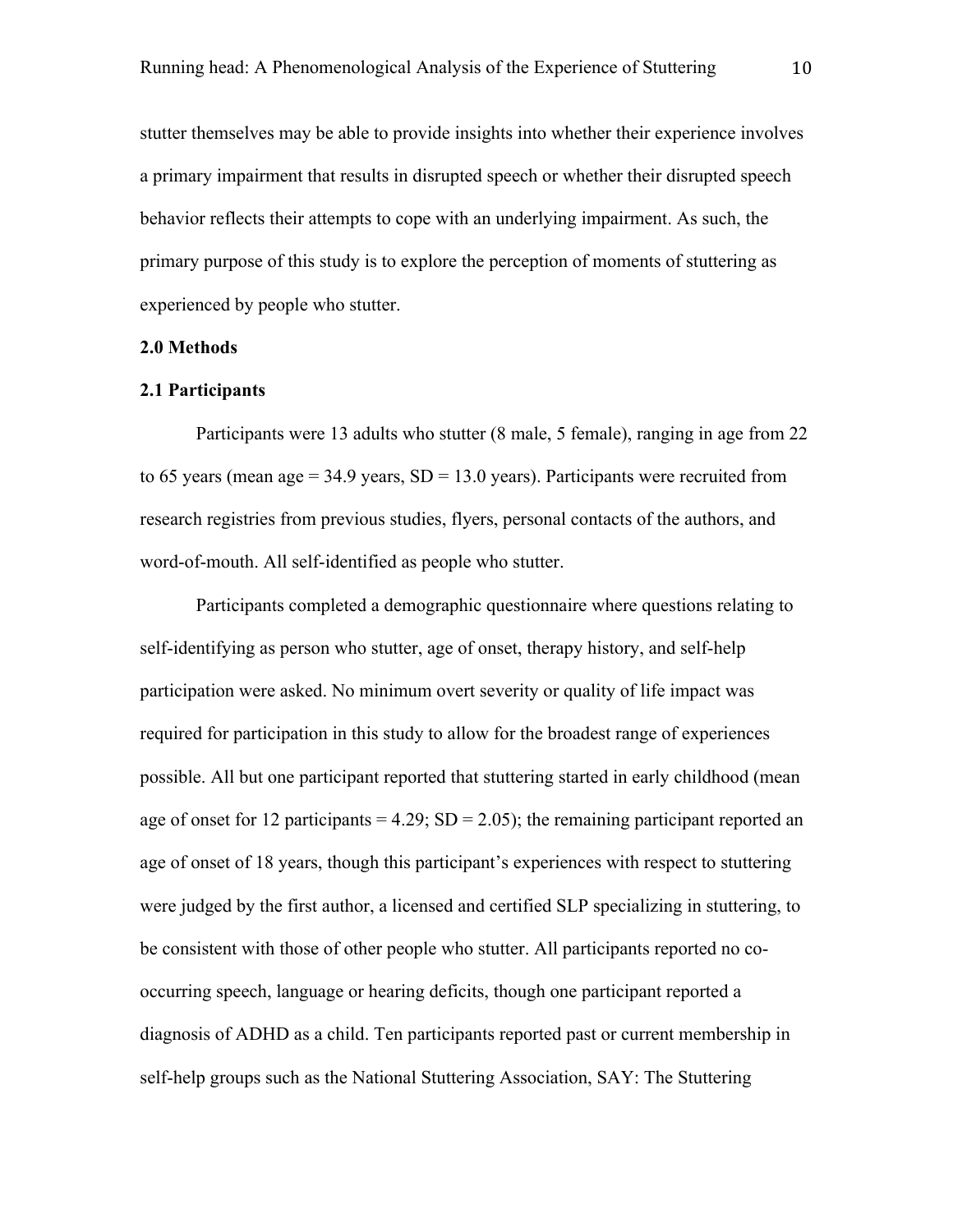stutter themselves may be able to provide insights into whether their experience involves a primary impairment that results in disrupted speech or whether their disrupted speech behavior reflects their attempts to cope with an underlying impairment. As such, the primary purpose of this study is to explore the perception of moments of stuttering as experienced by people who stutter.

#### **2.0 Methods**

#### **2.1 Participants**

Participants were 13 adults who stutter (8 male, 5 female), ranging in age from 22 to 65 years (mean age  $= 34.9$  years,  $SD = 13.0$  years). Participants were recruited from research registries from previous studies, flyers, personal contacts of the authors, and word-of-mouth. All self-identified as people who stutter.

Participants completed a demographic questionnaire where questions relating to self-identifying as person who stutter, age of onset, therapy history, and self-help participation were asked. No minimum overt severity or quality of life impact was required for participation in this study to allow for the broadest range of experiences possible. All but one participant reported that stuttering started in early childhood (mean age of onset for 12 participants =  $4.29$ ; SD =  $2.05$ ); the remaining participant reported an age of onset of 18 years, though this participant's experiences with respect to stuttering were judged by the first author, a licensed and certified SLP specializing in stuttering, to be consistent with those of other people who stutter. All participants reported no cooccurring speech, language or hearing deficits, though one participant reported a diagnosis of ADHD as a child. Ten participants reported past or current membership in self-help groups such as the National Stuttering Association, SAY: The Stuttering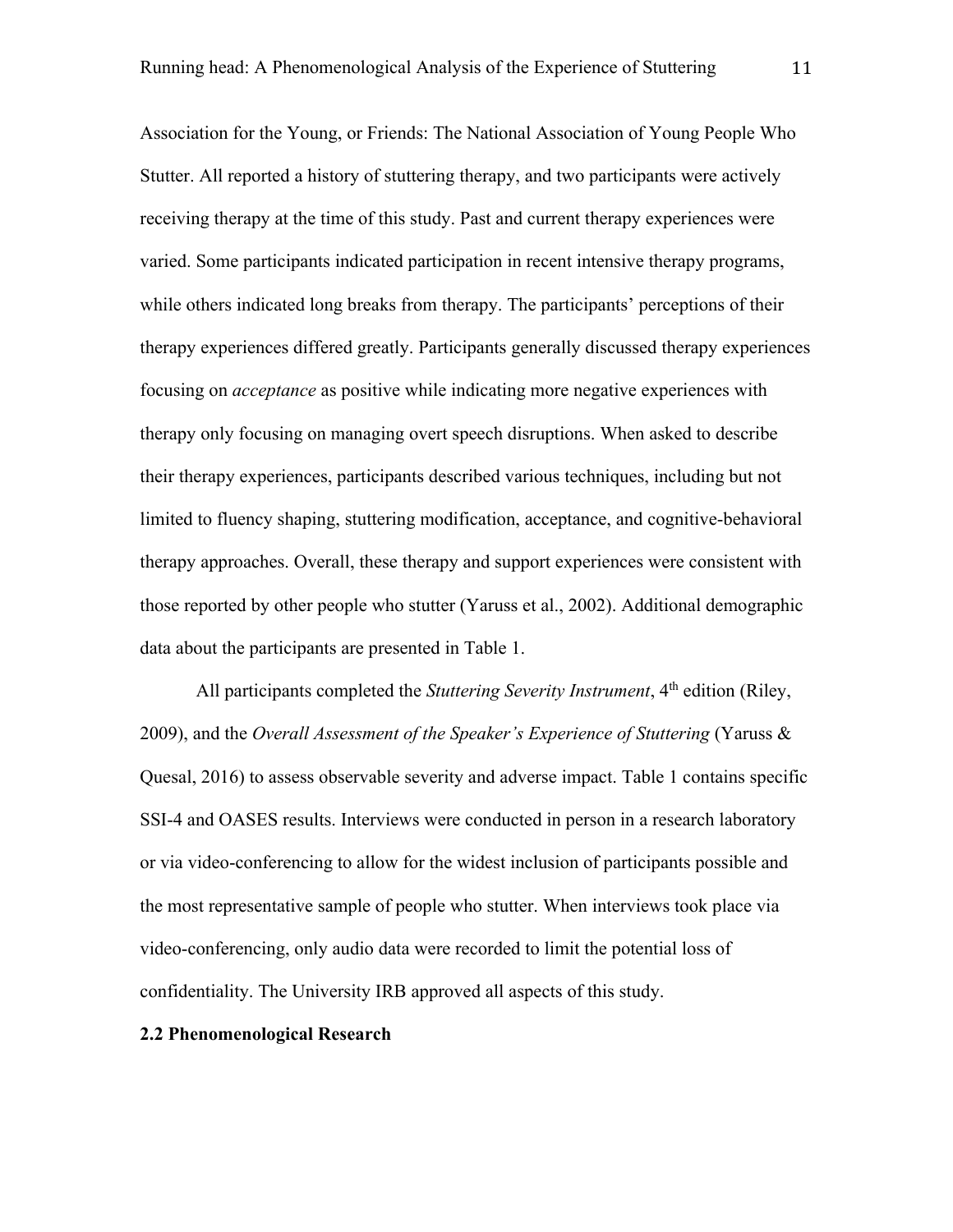Association for the Young, or Friends: The National Association of Young People Who Stutter. All reported a history of stuttering therapy, and two participants were actively receiving therapy at the time of this study. Past and current therapy experiences were varied. Some participants indicated participation in recent intensive therapy programs, while others indicated long breaks from therapy. The participants' perceptions of their therapy experiences differed greatly. Participants generally discussed therapy experiences focusing on *acceptance* as positive while indicating more negative experiences with therapy only focusing on managing overt speech disruptions. When asked to describe their therapy experiences, participants described various techniques, including but not limited to fluency shaping, stuttering modification, acceptance, and cognitive-behavioral therapy approaches. Overall, these therapy and support experiences were consistent with those reported by other people who stutter (Yaruss et al., 2002). Additional demographic data about the participants are presented in Table 1.

All participants completed the *Stuttering Severity Instrument*, 4<sup>th</sup> edition (Riley, 2009), and the *Overall Assessment of the Speaker's Experience of Stuttering* (Yaruss & Quesal, 2016) to assess observable severity and adverse impact. Table 1 contains specific SSI-4 and OASES results. Interviews were conducted in person in a research laboratory or via video-conferencing to allow for the widest inclusion of participants possible and the most representative sample of people who stutter. When interviews took place via video-conferencing, only audio data were recorded to limit the potential loss of confidentiality. The University IRB approved all aspects of this study.

## **2.2 Phenomenological Research**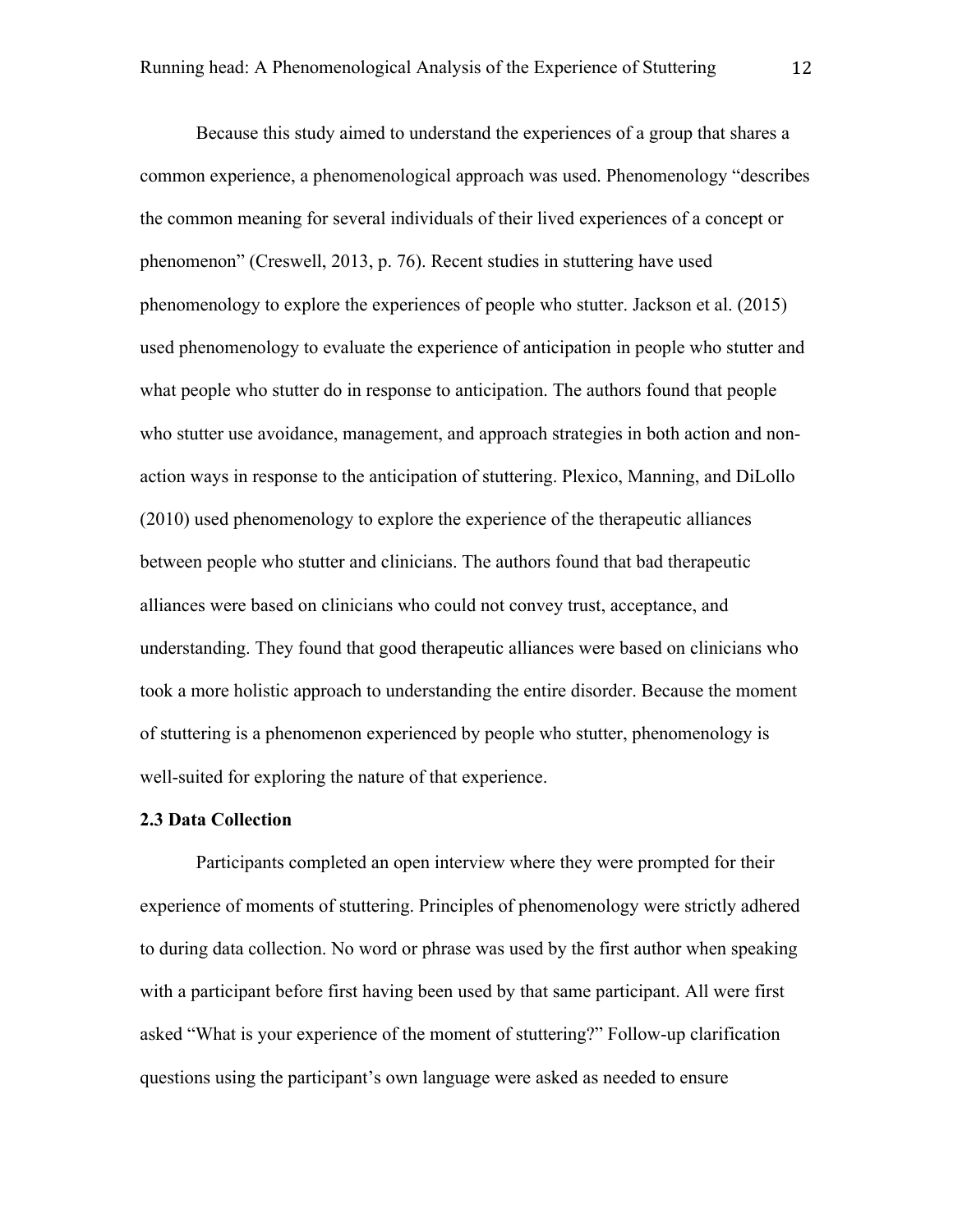Because this study aimed to understand the experiences of a group that shares a common experience, a phenomenological approach was used. Phenomenology "describes the common meaning for several individuals of their lived experiences of a concept or phenomenon" (Creswell, 2013, p. 76). Recent studies in stuttering have used phenomenology to explore the experiences of people who stutter. Jackson et al. (2015) used phenomenology to evaluate the experience of anticipation in people who stutter and what people who stutter do in response to anticipation. The authors found that people who stutter use avoidance, management, and approach strategies in both action and nonaction ways in response to the anticipation of stuttering. Plexico, Manning, and DiLollo (2010) used phenomenology to explore the experience of the therapeutic alliances between people who stutter and clinicians. The authors found that bad therapeutic alliances were based on clinicians who could not convey trust, acceptance, and understanding. They found that good therapeutic alliances were based on clinicians who took a more holistic approach to understanding the entire disorder. Because the moment of stuttering is a phenomenon experienced by people who stutter, phenomenology is well-suited for exploring the nature of that experience.

#### **2.3 Data Collection**

Participants completed an open interview where they were prompted for their experience of moments of stuttering. Principles of phenomenology were strictly adhered to during data collection. No word or phrase was used by the first author when speaking with a participant before first having been used by that same participant. All were first asked "What is your experience of the moment of stuttering?" Follow-up clarification questions using the participant's own language were asked as needed to ensure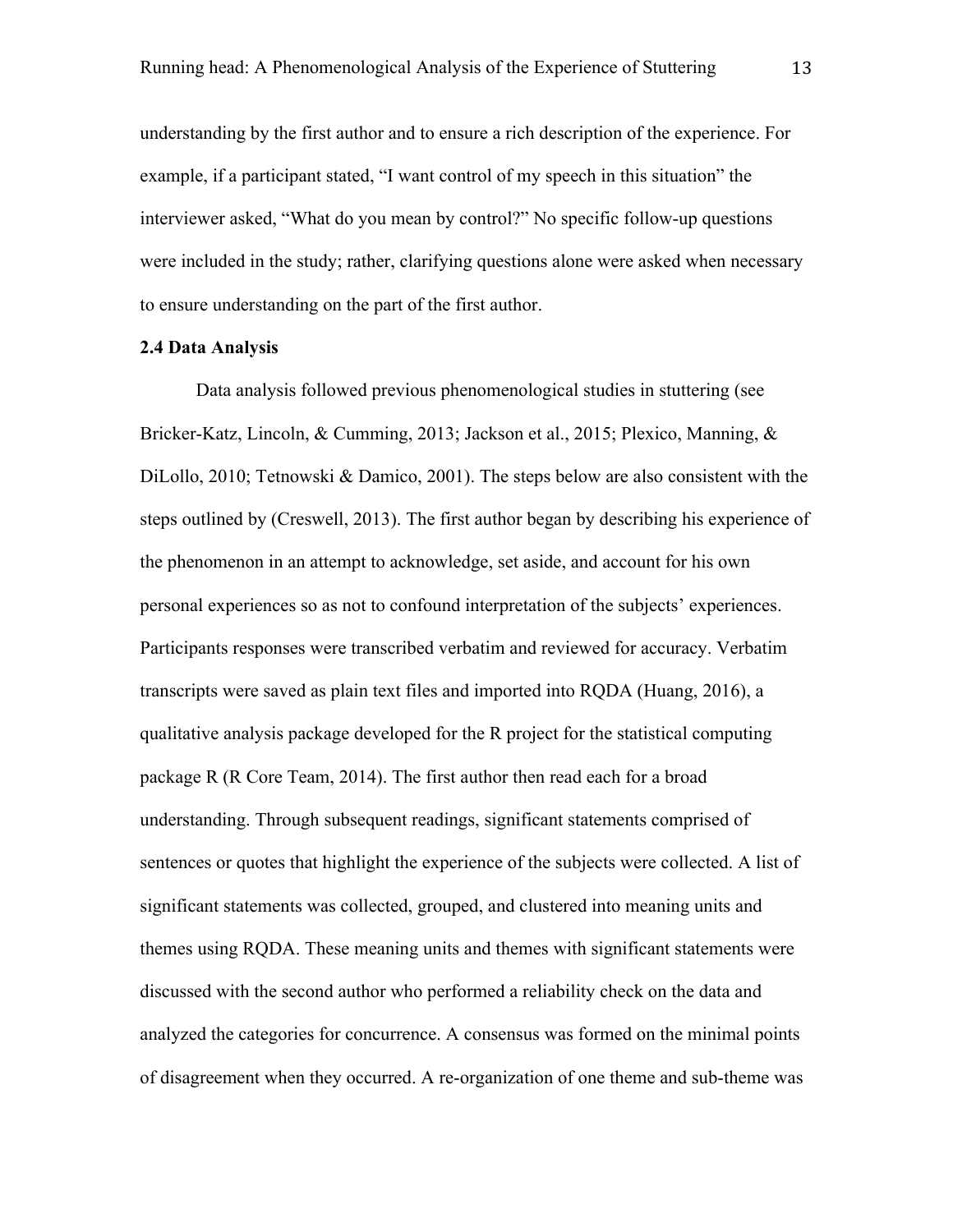understanding by the first author and to ensure a rich description of the experience. For example, if a participant stated, "I want control of my speech in this situation" the interviewer asked, "What do you mean by control?" No specific follow-up questions were included in the study; rather, clarifying questions alone were asked when necessary to ensure understanding on the part of the first author.

## **2.4 Data Analysis**

Data analysis followed previous phenomenological studies in stuttering (see Bricker-Katz, Lincoln, & Cumming, 2013; Jackson et al., 2015; Plexico, Manning, & DiLollo, 2010; Tetnowski & Damico, 2001). The steps below are also consistent with the steps outlined by (Creswell, 2013). The first author began by describing his experience of the phenomenon in an attempt to acknowledge, set aside, and account for his own personal experiences so as not to confound interpretation of the subjects' experiences. Participants responses were transcribed verbatim and reviewed for accuracy. Verbatim transcripts were saved as plain text files and imported into RQDA (Huang, 2016), a qualitative analysis package developed for the R project for the statistical computing package R (R Core Team, 2014). The first author then read each for a broad understanding. Through subsequent readings, significant statements comprised of sentences or quotes that highlight the experience of the subjects were collected. A list of significant statements was collected, grouped, and clustered into meaning units and themes using RQDA. These meaning units and themes with significant statements were discussed with the second author who performed a reliability check on the data and analyzed the categories for concurrence. A consensus was formed on the minimal points of disagreement when they occurred. A re-organization of one theme and sub-theme was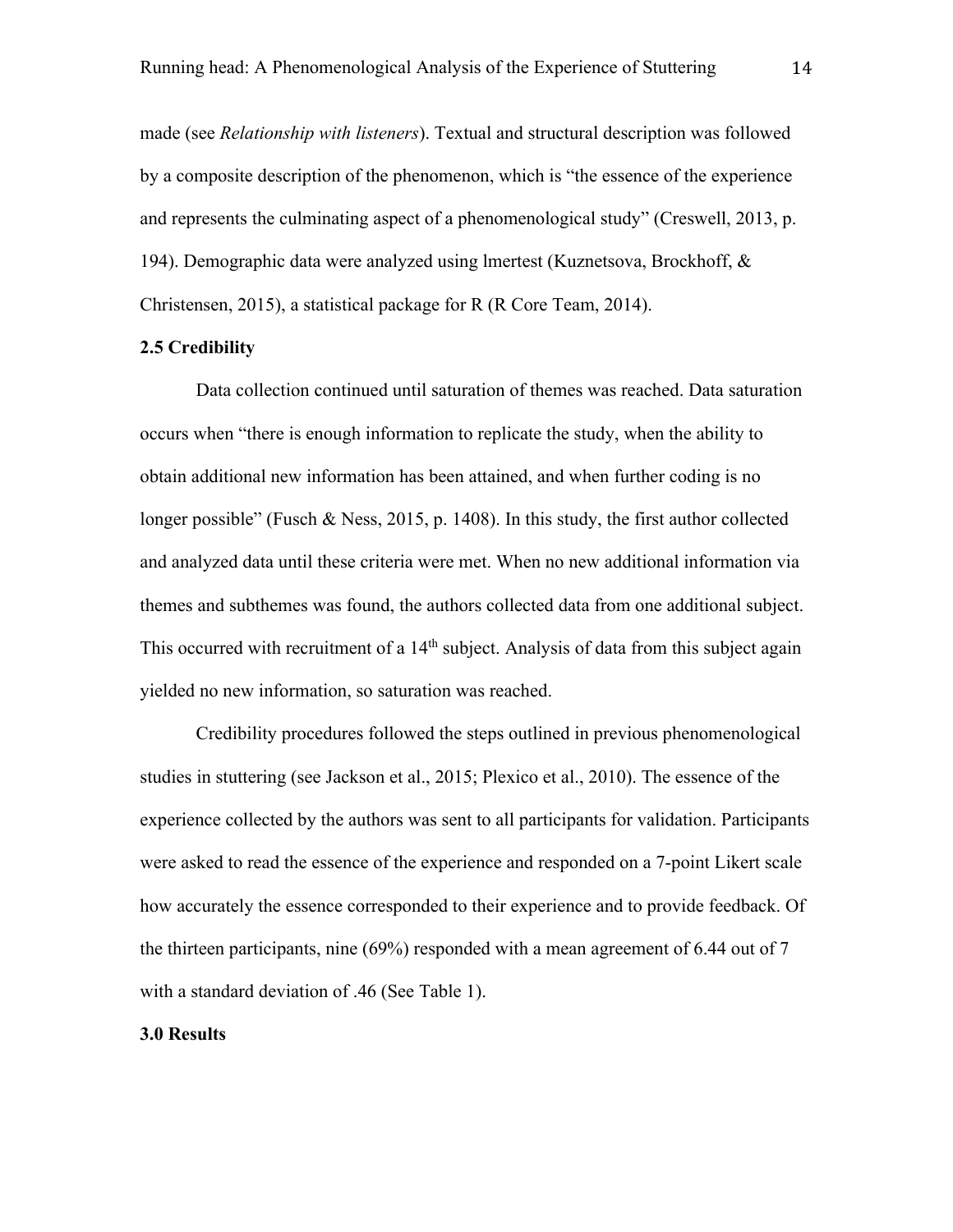made (see *Relationship with listeners*). Textual and structural description was followed by a composite description of the phenomenon, which is "the essence of the experience and represents the culminating aspect of a phenomenological study" (Creswell, 2013, p. 194). Demographic data were analyzed using lmertest (Kuznetsova, Brockhoff, & Christensen, 2015), a statistical package for R (R Core Team, 2014).

## **2.5 Credibility**

Data collection continued until saturation of themes was reached. Data saturation occurs when "there is enough information to replicate the study, when the ability to obtain additional new information has been attained, and when further coding is no longer possible" (Fusch & Ness, 2015, p. 1408). In this study, the first author collected and analyzed data until these criteria were met. When no new additional information via themes and subthemes was found, the authors collected data from one additional subject. This occurred with recruitment of a  $14<sup>th</sup>$  subject. Analysis of data from this subject again yielded no new information, so saturation was reached.

Credibility procedures followed the steps outlined in previous phenomenological studies in stuttering (see Jackson et al., 2015; Plexico et al., 2010). The essence of the experience collected by the authors was sent to all participants for validation. Participants were asked to read the essence of the experience and responded on a 7-point Likert scale how accurately the essence corresponded to their experience and to provide feedback. Of the thirteen participants, nine (69%) responded with a mean agreement of 6.44 out of 7 with a standard deviation of .46 (See Table 1).

## **3.0 Results**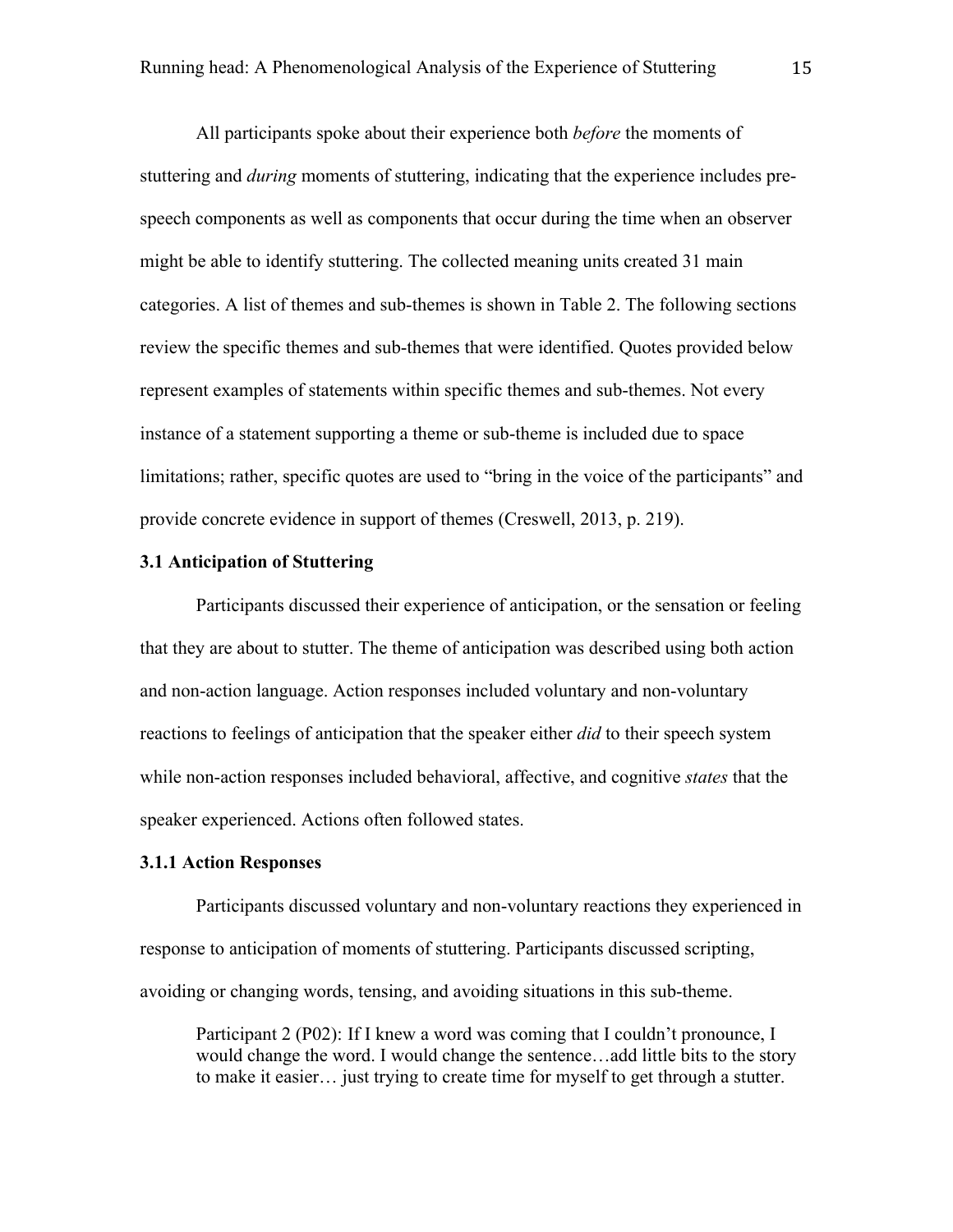All participants spoke about their experience both *before* the moments of stuttering and *during* moments of stuttering, indicating that the experience includes prespeech components as well as components that occur during the time when an observer might be able to identify stuttering. The collected meaning units created 31 main categories. A list of themes and sub-themes is shown in Table 2. The following sections review the specific themes and sub-themes that were identified. Quotes provided below represent examples of statements within specific themes and sub-themes. Not every instance of a statement supporting a theme or sub-theme is included due to space limitations; rather, specific quotes are used to "bring in the voice of the participants" and provide concrete evidence in support of themes (Creswell, 2013, p. 219).

## **3.1 Anticipation of Stuttering**

Participants discussed their experience of anticipation, or the sensation or feeling that they are about to stutter. The theme of anticipation was described using both action and non-action language. Action responses included voluntary and non-voluntary reactions to feelings of anticipation that the speaker either *did* to their speech system while non-action responses included behavioral, affective, and cognitive *states* that the speaker experienced. Actions often followed states.

## **3.1.1 Action Responses**

Participants discussed voluntary and non-voluntary reactions they experienced in response to anticipation of moments of stuttering. Participants discussed scripting, avoiding or changing words, tensing, and avoiding situations in this sub-theme.

Participant 2 (P02): If I knew a word was coming that I couldn't pronounce, I would change the word. I would change the sentence…add little bits to the story to make it easier… just trying to create time for myself to get through a stutter.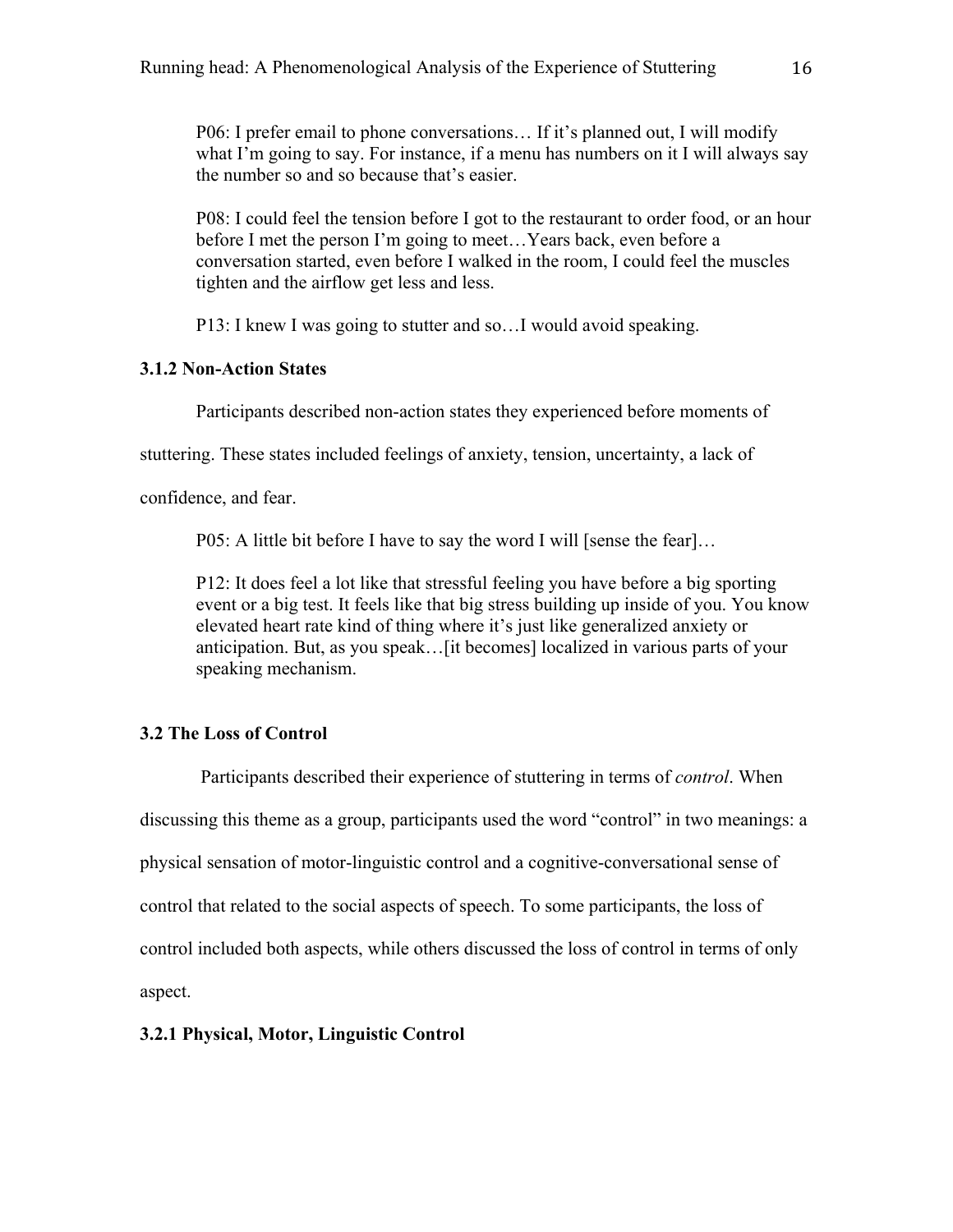P06: I prefer email to phone conversations… If it's planned out, I will modify what I'm going to say. For instance, if a menu has numbers on it I will always say the number so and so because that's easier.

P08: I could feel the tension before I got to the restaurant to order food, or an hour before I met the person I'm going to meet…Years back, even before a conversation started, even before I walked in the room, I could feel the muscles tighten and the airflow get less and less.

P13: I knew I was going to stutter and so…I would avoid speaking.

## **3.1.2 Non-Action States**

Participants described non-action states they experienced before moments of

stuttering. These states included feelings of anxiety, tension, uncertainty, a lack of

confidence, and fear.

P05: A little bit before I have to say the word I will [sense the fear]...

P12: It does feel a lot like that stressful feeling you have before a big sporting event or a big test. It feels like that big stress building up inside of you. You know elevated heart rate kind of thing where it's just like generalized anxiety or anticipation. But, as you speak…[it becomes] localized in various parts of your speaking mechanism.

## **3.2 The Loss of Control**

Participants described their experience of stuttering in terms of *control*. When discussing this theme as a group, participants used the word "control" in two meanings: a physical sensation of motor-linguistic control and a cognitive-conversational sense of control that related to the social aspects of speech. To some participants, the loss of control included both aspects, while others discussed the loss of control in terms of only aspect.

## **3.2.1 Physical, Motor, Linguistic Control**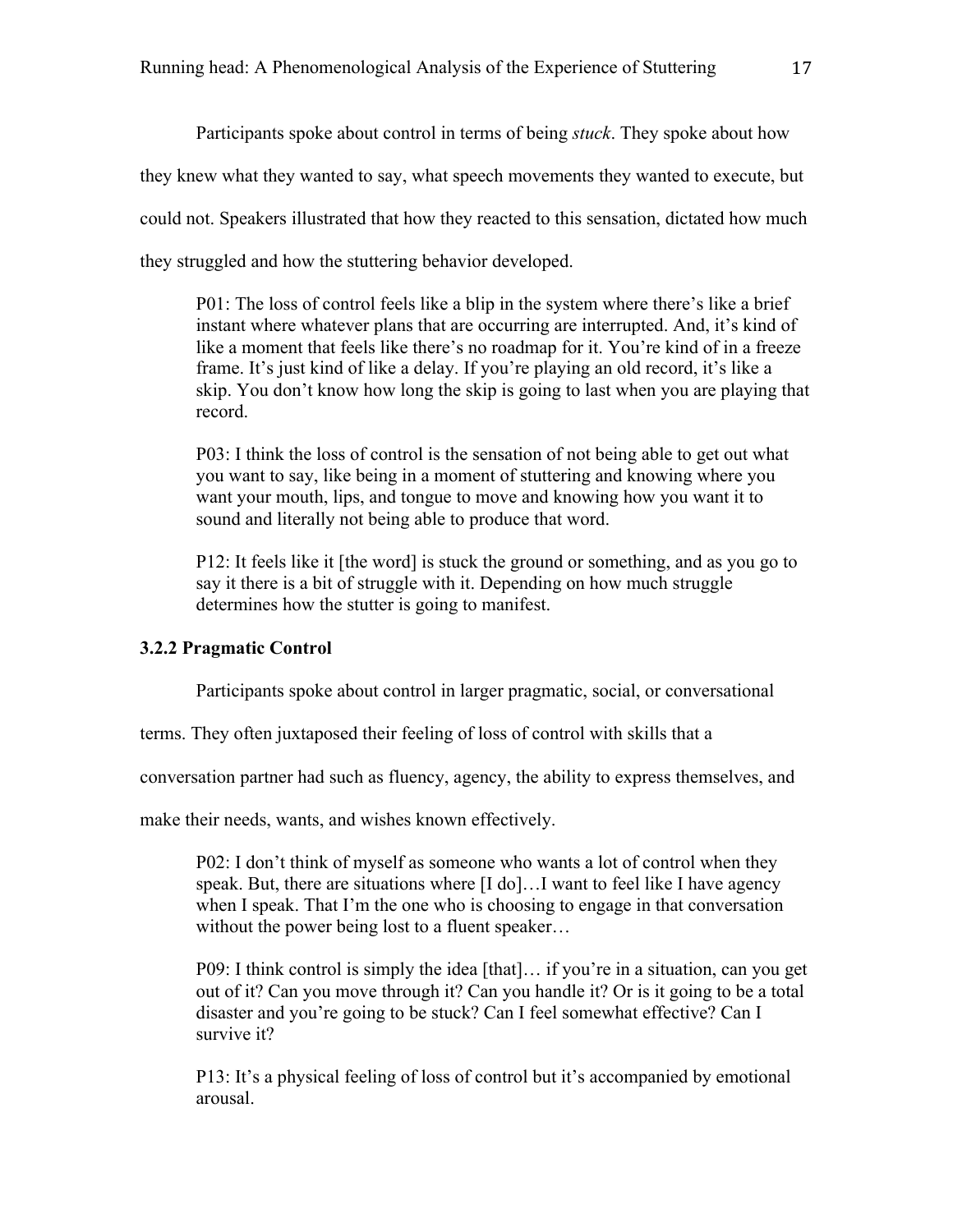Participants spoke about control in terms of being *stuck*. They spoke about how they knew what they wanted to say, what speech movements they wanted to execute, but could not. Speakers illustrated that how they reacted to this sensation, dictated how much they struggled and how the stuttering behavior developed.

P01: The loss of control feels like a blip in the system where there's like a brief instant where whatever plans that are occurring are interrupted. And, it's kind of like a moment that feels like there's no roadmap for it. You're kind of in a freeze frame. It's just kind of like a delay. If you're playing an old record, it's like a skip. You don't know how long the skip is going to last when you are playing that record.

P03: I think the loss of control is the sensation of not being able to get out what you want to say, like being in a moment of stuttering and knowing where you want your mouth, lips, and tongue to move and knowing how you want it to sound and literally not being able to produce that word.

P12: It feels like it [the word] is stuck the ground or something, and as you go to say it there is a bit of struggle with it. Depending on how much struggle determines how the stutter is going to manifest.

## **3.2.2 Pragmatic Control**

Participants spoke about control in larger pragmatic, social, or conversational

terms. They often juxtaposed their feeling of loss of control with skills that a

conversation partner had such as fluency, agency, the ability to express themselves, and

make their needs, wants, and wishes known effectively.

P02: I don't think of myself as someone who wants a lot of control when they speak. But, there are situations where [I do]…I want to feel like I have agency when I speak. That I'm the one who is choosing to engage in that conversation without the power being lost to a fluent speaker...

P09: I think control is simply the idea [that]… if you're in a situation, can you get out of it? Can you move through it? Can you handle it? Or is it going to be a total disaster and you're going to be stuck? Can I feel somewhat effective? Can I survive it?

P13: It's a physical feeling of loss of control but it's accompanied by emotional arousal.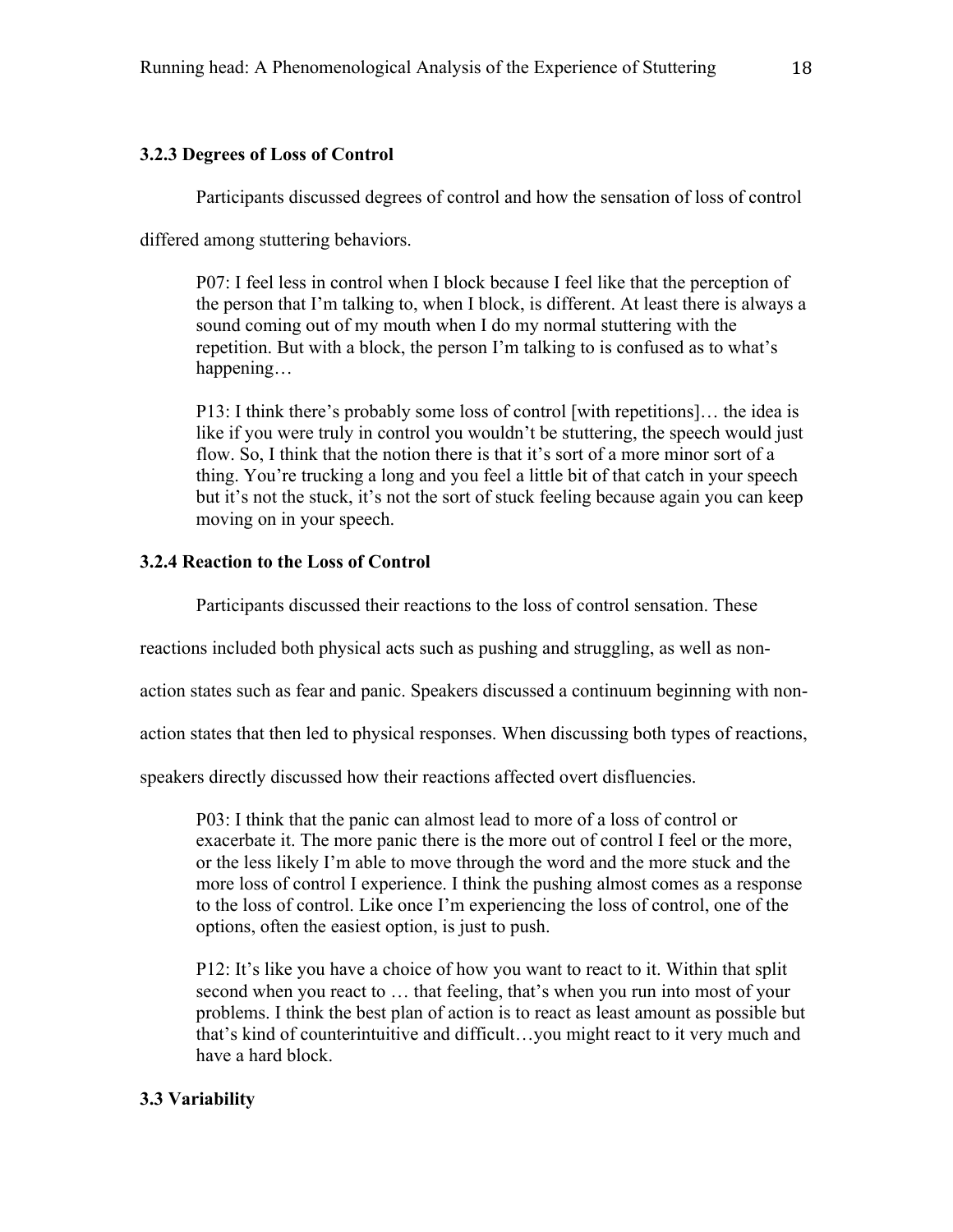## **3.2.3 Degrees of Loss of Control**

Participants discussed degrees of control and how the sensation of loss of control

differed among stuttering behaviors.

P07: I feel less in control when I block because I feel like that the perception of the person that I'm talking to, when I block, is different. At least there is always a sound coming out of my mouth when I do my normal stuttering with the repetition. But with a block, the person I'm talking to is confused as to what's happening…

P13: I think there's probably some loss of control [with repetitions]… the idea is like if you were truly in control you wouldn't be stuttering, the speech would just flow. So, I think that the notion there is that it's sort of a more minor sort of a thing. You're trucking a long and you feel a little bit of that catch in your speech but it's not the stuck, it's not the sort of stuck feeling because again you can keep moving on in your speech.

## **3.2.4 Reaction to the Loss of Control**

Participants discussed their reactions to the loss of control sensation. These

reactions included both physical acts such as pushing and struggling, as well as non-

action states such as fear and panic. Speakers discussed a continuum beginning with non-

action states that then led to physical responses. When discussing both types of reactions,

speakers directly discussed how their reactions affected overt disfluencies.

P03: I think that the panic can almost lead to more of a loss of control or exacerbate it. The more panic there is the more out of control I feel or the more, or the less likely I'm able to move through the word and the more stuck and the more loss of control I experience. I think the pushing almost comes as a response to the loss of control. Like once I'm experiencing the loss of control, one of the options, often the easiest option, is just to push.

P12: It's like you have a choice of how you want to react to it. Within that split second when you react to … that feeling, that's when you run into most of your problems. I think the best plan of action is to react as least amount as possible but that's kind of counterintuitive and difficult…you might react to it very much and have a hard block.

# **3.3 Variability**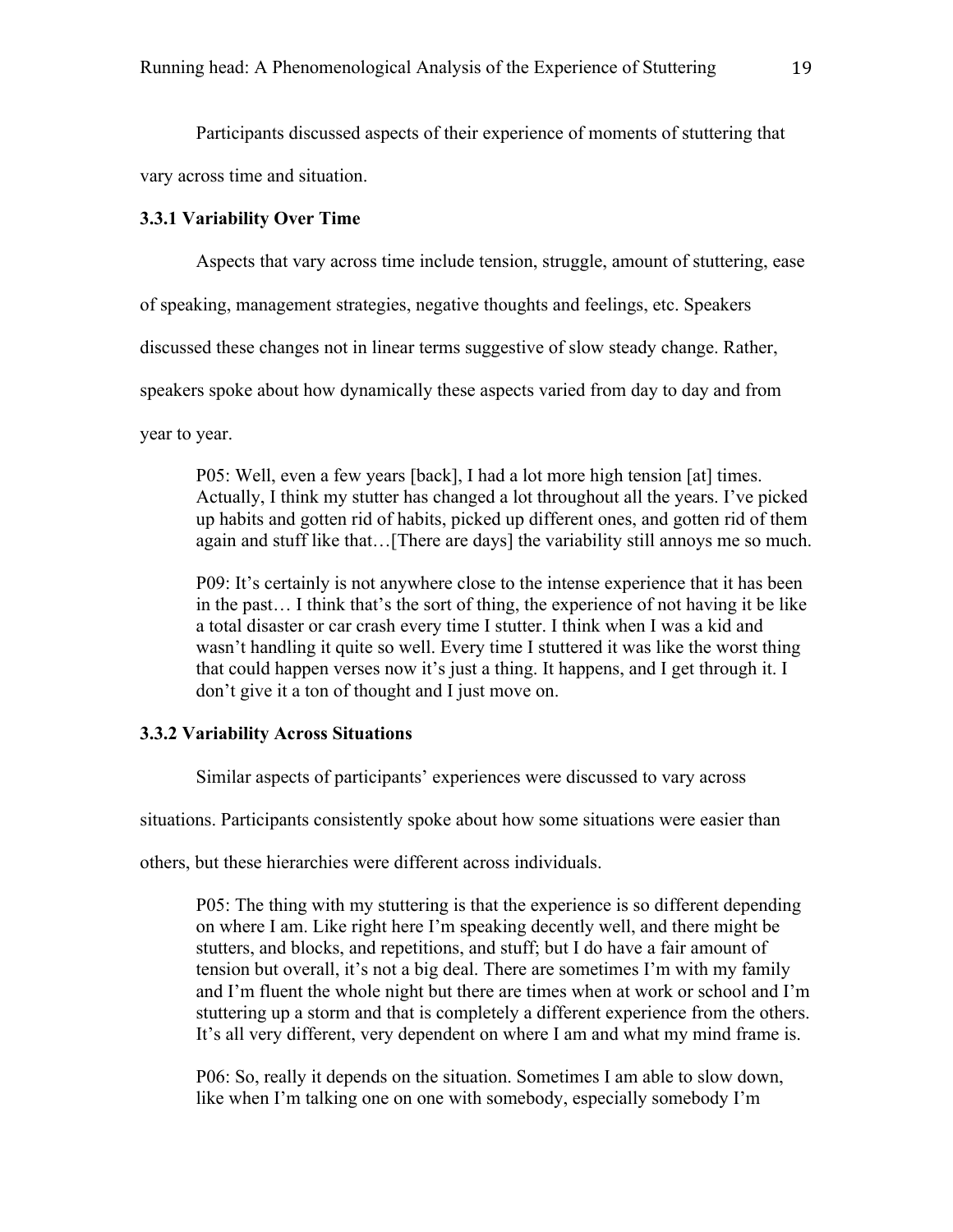Participants discussed aspects of their experience of moments of stuttering that

vary across time and situation.

## **3.3.1 Variability Over Time**

Aspects that vary across time include tension, struggle, amount of stuttering, ease

of speaking, management strategies, negative thoughts and feelings, etc. Speakers

discussed these changes not in linear terms suggestive of slow steady change. Rather,

speakers spoke about how dynamically these aspects varied from day to day and from

year to year.

P05: Well, even a few years [back], I had a lot more high tension [at] times. Actually, I think my stutter has changed a lot throughout all the years. I've picked up habits and gotten rid of habits, picked up different ones, and gotten rid of them again and stuff like that…[There are days] the variability still annoys me so much.

P09: It's certainly is not anywhere close to the intense experience that it has been in the past… I think that's the sort of thing, the experience of not having it be like a total disaster or car crash every time I stutter. I think when I was a kid and wasn't handling it quite so well. Every time I stuttered it was like the worst thing that could happen verses now it's just a thing. It happens, and I get through it. I don't give it a ton of thought and I just move on.

## **3.3.2 Variability Across Situations**

Similar aspects of participants' experiences were discussed to vary across

situations. Participants consistently spoke about how some situations were easier than

others, but these hierarchies were different across individuals.

P05: The thing with my stuttering is that the experience is so different depending on where I am. Like right here I'm speaking decently well, and there might be stutters, and blocks, and repetitions, and stuff; but I do have a fair amount of tension but overall, it's not a big deal. There are sometimes I'm with my family and I'm fluent the whole night but there are times when at work or school and I'm stuttering up a storm and that is completely a different experience from the others. It's all very different, very dependent on where I am and what my mind frame is.

P06: So, really it depends on the situation. Sometimes I am able to slow down, like when I'm talking one on one with somebody, especially somebody I'm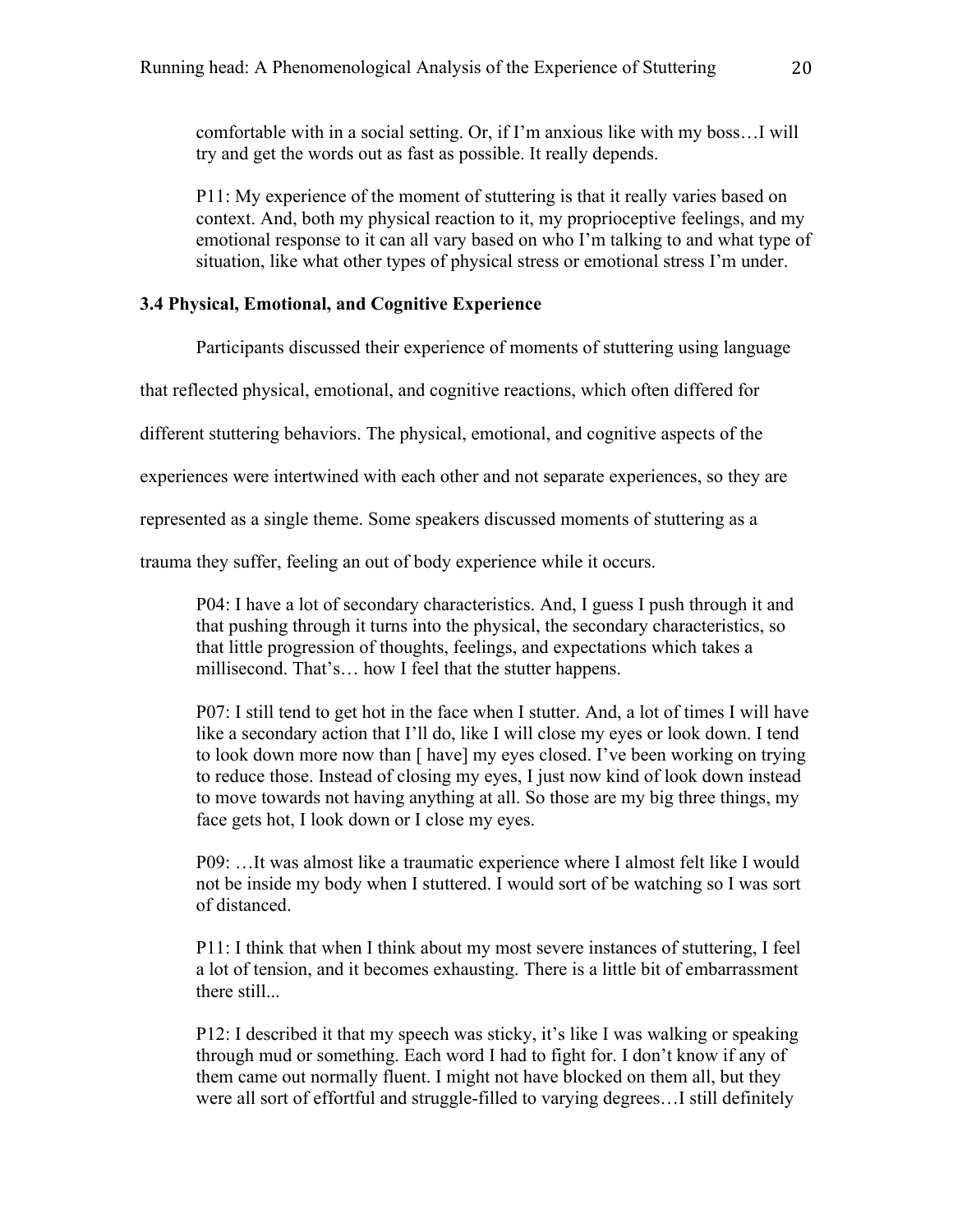comfortable with in a social setting. Or, if I'm anxious like with my boss…I will try and get the words out as fast as possible. It really depends.

P11: My experience of the moment of stuttering is that it really varies based on context. And, both my physical reaction to it, my proprioceptive feelings, and my emotional response to it can all vary based on who I'm talking to and what type of situation, like what other types of physical stress or emotional stress I'm under.

## **3.4 Physical, Emotional, and Cognitive Experience**

Participants discussed their experience of moments of stuttering using language

that reflected physical, emotional, and cognitive reactions, which often differed for

different stuttering behaviors. The physical, emotional, and cognitive aspects of the

experiences were intertwined with each other and not separate experiences, so they are

represented as a single theme. Some speakers discussed moments of stuttering as a

trauma they suffer, feeling an out of body experience while it occurs.

P04: I have a lot of secondary characteristics. And, I guess I push through it and that pushing through it turns into the physical, the secondary characteristics, so that little progression of thoughts, feelings, and expectations which takes a millisecond. That's… how I feel that the stutter happens.

P07: I still tend to get hot in the face when I stutter. And, a lot of times I will have like a secondary action that I'll do, like I will close my eyes or look down. I tend to look down more now than [ have] my eyes closed. I've been working on trying to reduce those. Instead of closing my eyes, I just now kind of look down instead to move towards not having anything at all. So those are my big three things, my face gets hot, I look down or I close my eyes.

P09: …It was almost like a traumatic experience where I almost felt like I would not be inside my body when I stuttered. I would sort of be watching so I was sort of distanced.

P11: I think that when I think about my most severe instances of stuttering, I feel a lot of tension, and it becomes exhausting. There is a little bit of embarrassment there still...

P12: I described it that my speech was sticky, it's like I was walking or speaking through mud or something. Each word I had to fight for. I don't know if any of them came out normally fluent. I might not have blocked on them all, but they were all sort of effortful and struggle-filled to varying degrees…I still definitely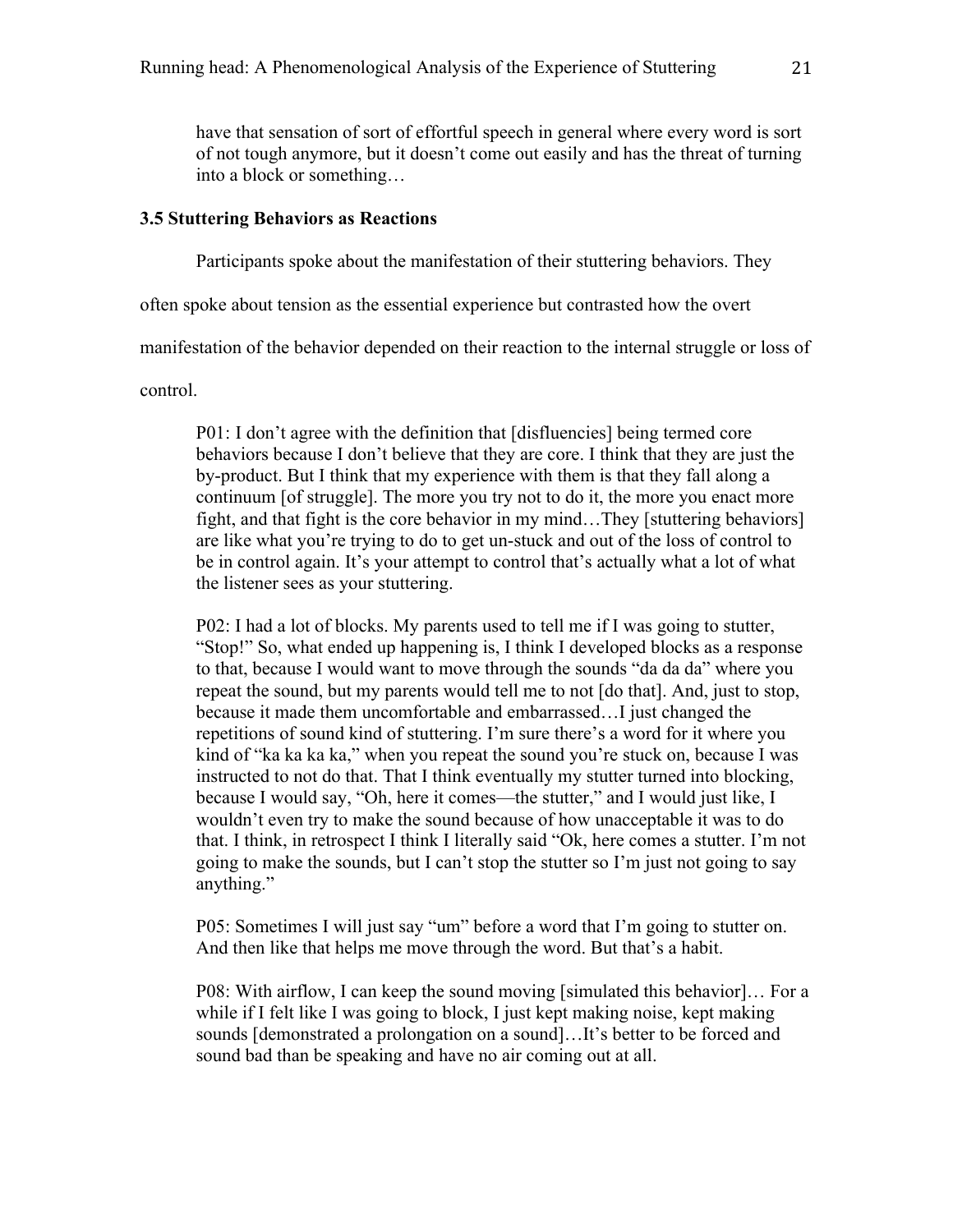have that sensation of sort of effortful speech in general where every word is sort of not tough anymore, but it doesn't come out easily and has the threat of turning into a block or something…

#### **3.5 Stuttering Behaviors as Reactions**

Participants spoke about the manifestation of their stuttering behaviors. They

often spoke about tension as the essential experience but contrasted how the overt

manifestation of the behavior depended on their reaction to the internal struggle or loss of

control.

P01: I don't agree with the definition that [disfluencies] being termed core behaviors because I don't believe that they are core. I think that they are just the by-product. But I think that my experience with them is that they fall along a continuum [of struggle]. The more you try not to do it, the more you enact more fight, and that fight is the core behavior in my mind…They [stuttering behaviors] are like what you're trying to do to get un-stuck and out of the loss of control to be in control again. It's your attempt to control that's actually what a lot of what the listener sees as your stuttering.

P02: I had a lot of blocks. My parents used to tell me if I was going to stutter, "Stop!" So, what ended up happening is, I think I developed blocks as a response to that, because I would want to move through the sounds "da da da" where you repeat the sound, but my parents would tell me to not [do that]. And, just to stop, because it made them uncomfortable and embarrassed…I just changed the repetitions of sound kind of stuttering. I'm sure there's a word for it where you kind of "ka ka ka ka," when you repeat the sound you're stuck on, because I was instructed to not do that. That I think eventually my stutter turned into blocking, because I would say, "Oh, here it comes—the stutter," and I would just like, I wouldn't even try to make the sound because of how unacceptable it was to do that. I think, in retrospect I think I literally said "Ok, here comes a stutter. I'm not going to make the sounds, but I can't stop the stutter so I'm just not going to say anything."

P05: Sometimes I will just say "um" before a word that I'm going to stutter on. And then like that helps me move through the word. But that's a habit.

P08: With airflow, I can keep the sound moving [simulated this behavior]… For a while if I felt like I was going to block, I just kept making noise, kept making sounds [demonstrated a prolongation on a sound]…It's better to be forced and sound bad than be speaking and have no air coming out at all.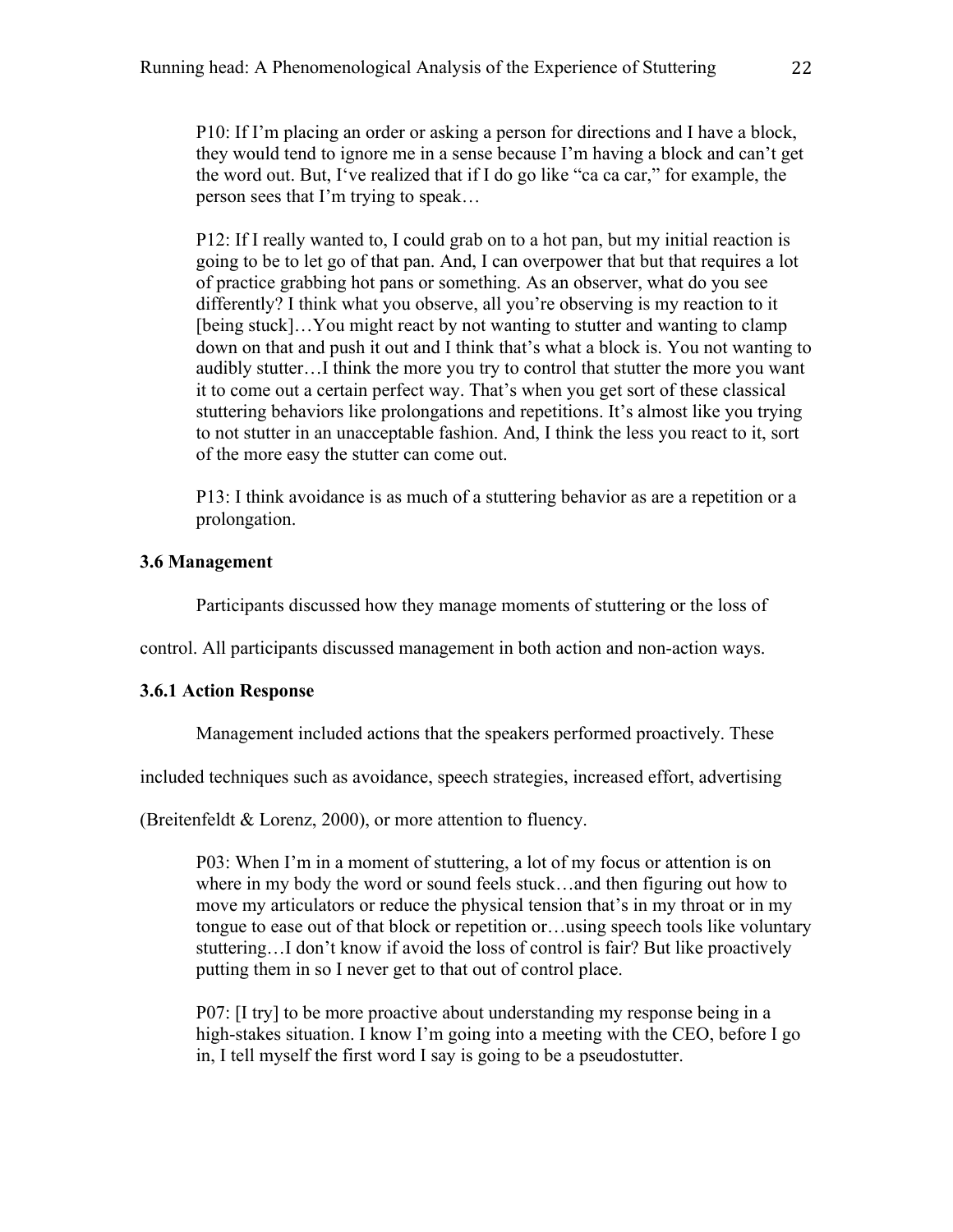P10: If I'm placing an order or asking a person for directions and I have a block, they would tend to ignore me in a sense because I'm having a block and can't get the word out. But, I've realized that if I do go like "ca ca car," for example, the person sees that I'm trying to speak…

P12: If I really wanted to, I could grab on to a hot pan, but my initial reaction is going to be to let go of that pan. And, I can overpower that but that requires a lot of practice grabbing hot pans or something. As an observer, what do you see differently? I think what you observe, all you're observing is my reaction to it [being stuck]…You might react by not wanting to stutter and wanting to clamp down on that and push it out and I think that's what a block is. You not wanting to audibly stutter…I think the more you try to control that stutter the more you want it to come out a certain perfect way. That's when you get sort of these classical stuttering behaviors like prolongations and repetitions. It's almost like you trying to not stutter in an unacceptable fashion. And, I think the less you react to it, sort of the more easy the stutter can come out.

P13: I think avoidance is as much of a stuttering behavior as are a repetition or a prolongation.

## **3.6 Management**

Participants discussed how they manage moments of stuttering or the loss of

control. All participants discussed management in both action and non-action ways.

## **3.6.1 Action Response**

Management included actions that the speakers performed proactively. These

included techniques such as avoidance, speech strategies, increased effort, advertising

(Breitenfeldt & Lorenz, 2000), or more attention to fluency.

P03: When I'm in a moment of stuttering, a lot of my focus or attention is on where in my body the word or sound feels stuck…and then figuring out how to move my articulators or reduce the physical tension that's in my throat or in my tongue to ease out of that block or repetition or…using speech tools like voluntary stuttering…I don't know if avoid the loss of control is fair? But like proactively putting them in so I never get to that out of control place.

P07: [I try] to be more proactive about understanding my response being in a high-stakes situation. I know I'm going into a meeting with the CEO, before I go in, I tell myself the first word I say is going to be a pseudostutter.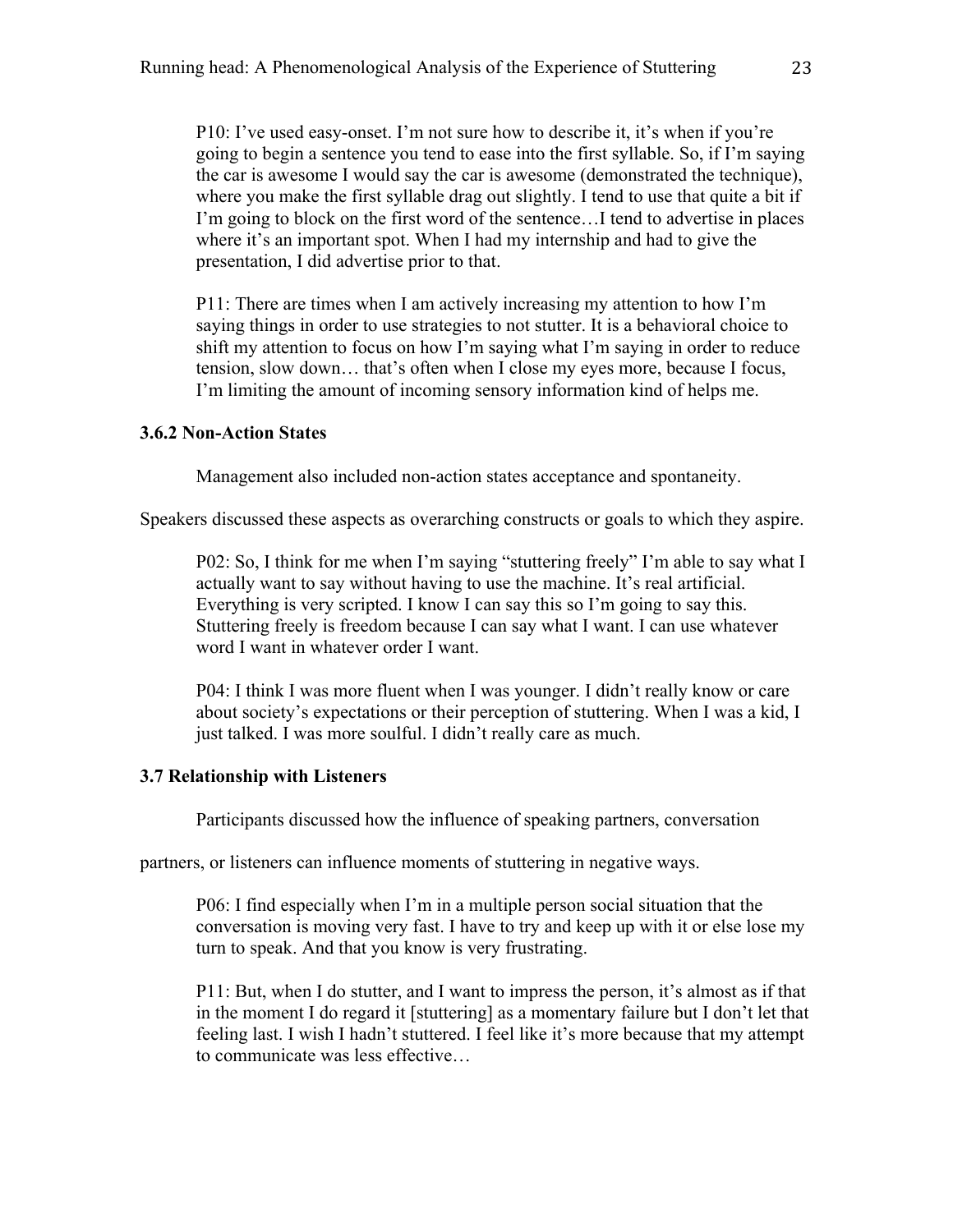P10: I've used easy-onset. I'm not sure how to describe it, it's when if you're going to begin a sentence you tend to ease into the first syllable. So, if I'm saying the car is awesome I would say the car is awesome (demonstrated the technique), where you make the first syllable drag out slightly. I tend to use that quite a bit if I'm going to block on the first word of the sentence…I tend to advertise in places where it's an important spot. When I had my internship and had to give the presentation, I did advertise prior to that.

P11: There are times when I am actively increasing my attention to how I'm saying things in order to use strategies to not stutter. It is a behavioral choice to shift my attention to focus on how I'm saying what I'm saying in order to reduce tension, slow down… that's often when I close my eyes more, because I focus, I'm limiting the amount of incoming sensory information kind of helps me.

## **3.6.2 Non-Action States**

Management also included non-action states acceptance and spontaneity.

Speakers discussed these aspects as overarching constructs or goals to which they aspire.

P02: So, I think for me when I'm saying "stuttering freely" I'm able to say what I actually want to say without having to use the machine. It's real artificial. Everything is very scripted. I know I can say this so I'm going to say this. Stuttering freely is freedom because I can say what I want. I can use whatever word I want in whatever order I want.

P04: I think I was more fluent when I was younger. I didn't really know or care about society's expectations or their perception of stuttering. When I was a kid, I just talked. I was more soulful. I didn't really care as much.

## **3.7 Relationship with Listeners**

Participants discussed how the influence of speaking partners, conversation

partners, or listeners can influence moments of stuttering in negative ways.

P06: I find especially when I'm in a multiple person social situation that the conversation is moving very fast. I have to try and keep up with it or else lose my turn to speak. And that you know is very frustrating.

P11: But, when I do stutter, and I want to impress the person, it's almost as if that in the moment I do regard it [stuttering] as a momentary failure but I don't let that feeling last. I wish I hadn't stuttered. I feel like it's more because that my attempt to communicate was less effective…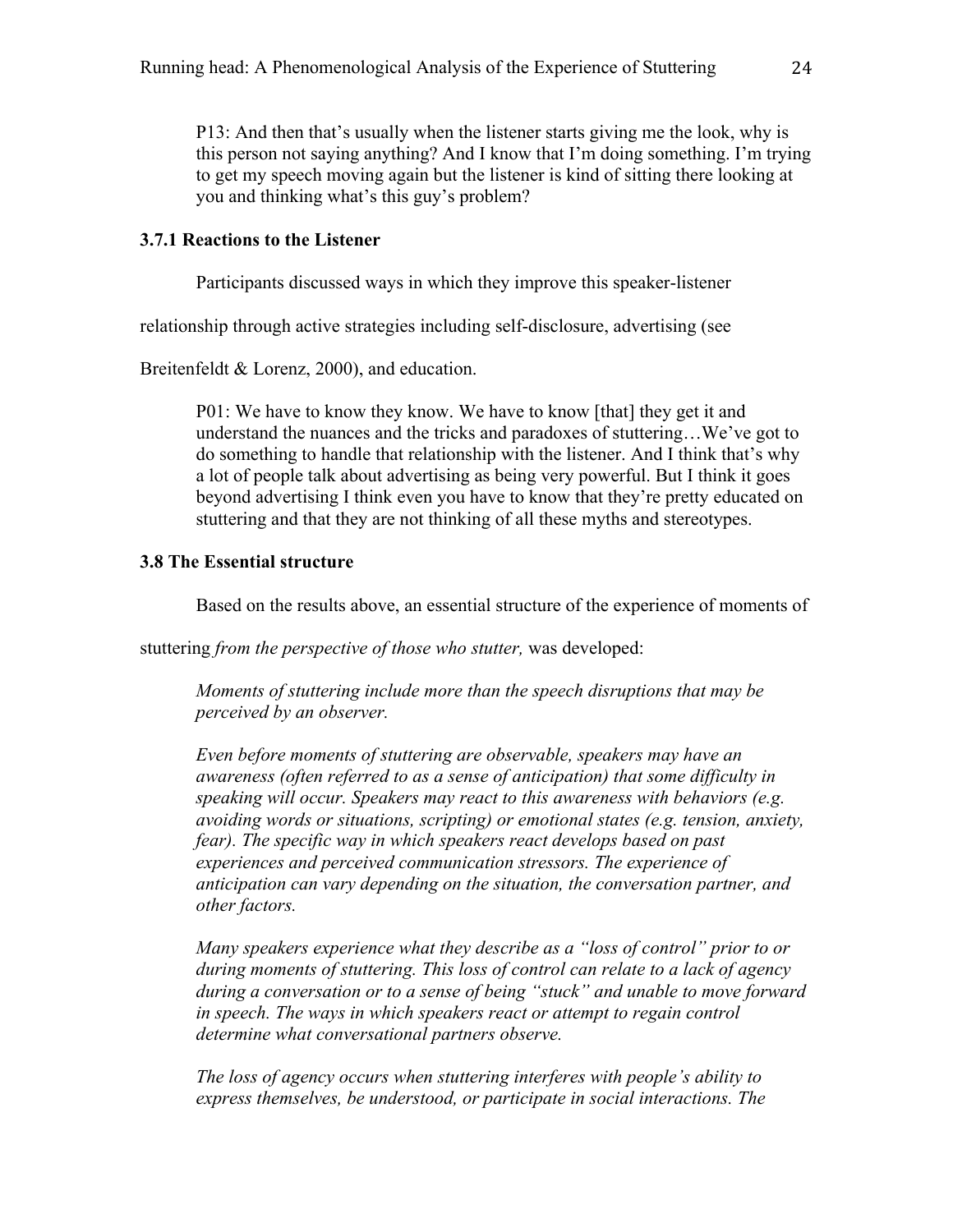P13: And then that's usually when the listener starts giving me the look, why is this person not saying anything? And I know that I'm doing something. I'm trying to get my speech moving again but the listener is kind of sitting there looking at you and thinking what's this guy's problem?

## **3.7.1 Reactions to the Listener**

Participants discussed ways in which they improve this speaker-listener

relationship through active strategies including self-disclosure, advertising (see

Breitenfeldt & Lorenz, 2000), and education.

P01: We have to know they know. We have to know [that] they get it and understand the nuances and the tricks and paradoxes of stuttering…We've got to do something to handle that relationship with the listener. And I think that's why a lot of people talk about advertising as being very powerful. But I think it goes beyond advertising I think even you have to know that they're pretty educated on stuttering and that they are not thinking of all these myths and stereotypes.

## **3.8 The Essential structure**

Based on the results above, an essential structure of the experience of moments of

stuttering *from the perspective of those who stutter,* was developed:

*Moments of stuttering include more than the speech disruptions that may be perceived by an observer.* 

*Even before moments of stuttering are observable, speakers may have an awareness (often referred to as a sense of anticipation) that some difficulty in speaking will occur. Speakers may react to this awareness with behaviors (e.g. avoiding words or situations, scripting) or emotional states (e.g. tension, anxiety, fear). The specific way in which speakers react develops based on past experiences and perceived communication stressors. The experience of anticipation can vary depending on the situation, the conversation partner, and other factors.*

*Many speakers experience what they describe as a "loss of control" prior to or during moments of stuttering. This loss of control can relate to a lack of agency during a conversation or to a sense of being "stuck" and unable to move forward in speech. The ways in which speakers react or attempt to regain control determine what conversational partners observe.* 

*The loss of agency occurs when stuttering interferes with people's ability to express themselves, be understood, or participate in social interactions. The*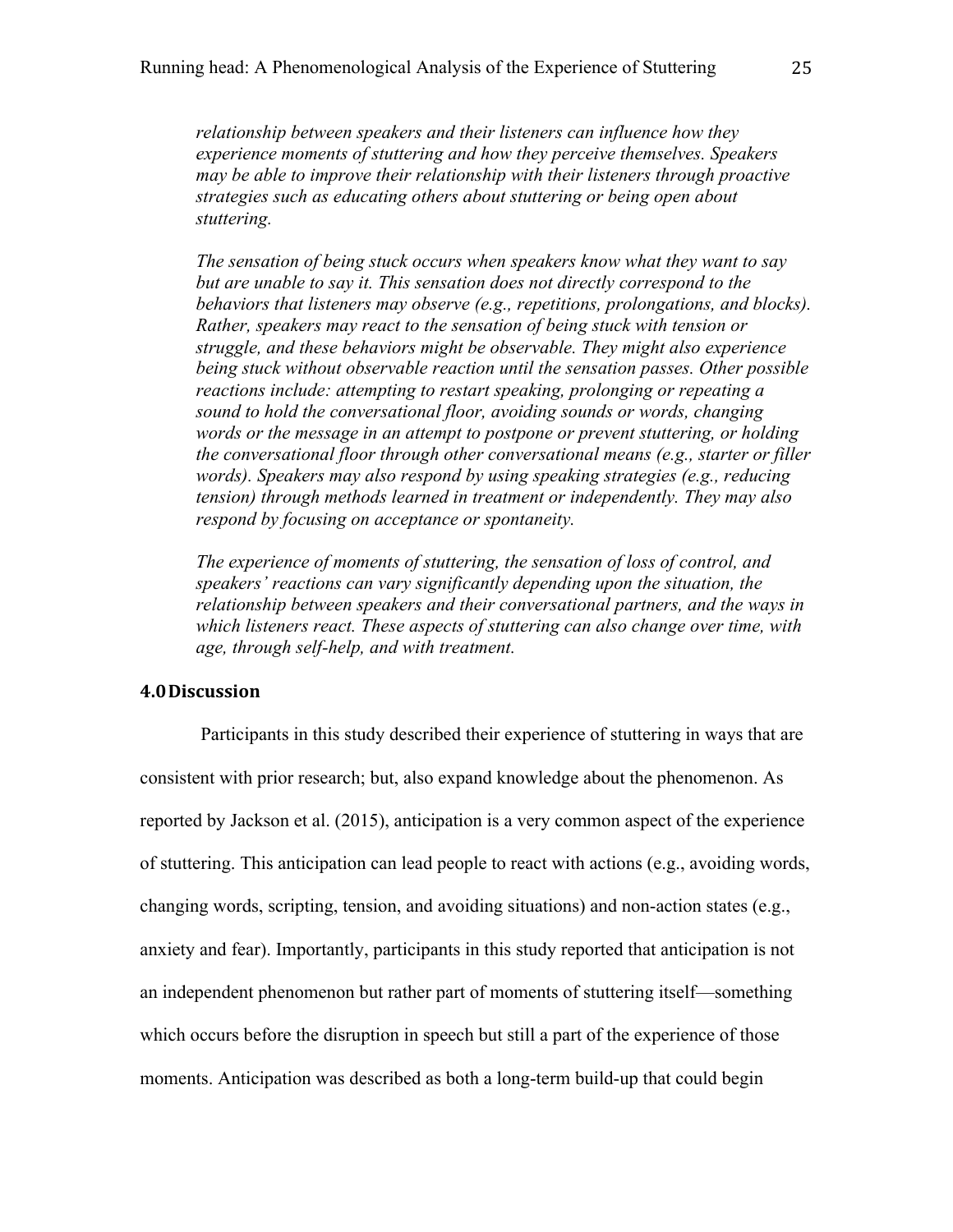*relationship between speakers and their listeners can influence how they experience moments of stuttering and how they perceive themselves. Speakers may be able to improve their relationship with their listeners through proactive strategies such as educating others about stuttering or being open about stuttering.*

*The sensation of being stuck occurs when speakers know what they want to say but are unable to say it. This sensation does not directly correspond to the behaviors that listeners may observe (e.g., repetitions, prolongations, and blocks). Rather, speakers may react to the sensation of being stuck with tension or struggle, and these behaviors might be observable. They might also experience being stuck without observable reaction until the sensation passes. Other possible reactions include: attempting to restart speaking, prolonging or repeating a sound to hold the conversational floor, avoiding sounds or words, changing words or the message in an attempt to postpone or prevent stuttering, or holding the conversational floor through other conversational means (e.g., starter or filler words). Speakers may also respond by using speaking strategies (e.g., reducing tension) through methods learned in treatment or independently. They may also respond by focusing on acceptance or spontaneity.* 

*The experience of moments of stuttering, the sensation of loss of control, and speakers' reactions can vary significantly depending upon the situation, the relationship between speakers and their conversational partners, and the ways in which listeners react. These aspects of stuttering can also change over time, with age, through self-help, and with treatment.* 

## **4.0Discussion**

Participants in this study described their experience of stuttering in ways that are consistent with prior research; but, also expand knowledge about the phenomenon. As reported by Jackson et al. (2015), anticipation is a very common aspect of the experience of stuttering. This anticipation can lead people to react with actions (e.g., avoiding words, changing words, scripting, tension, and avoiding situations) and non-action states (e.g., anxiety and fear). Importantly, participants in this study reported that anticipation is not an independent phenomenon but rather part of moments of stuttering itself—something which occurs before the disruption in speech but still a part of the experience of those moments. Anticipation was described as both a long-term build-up that could begin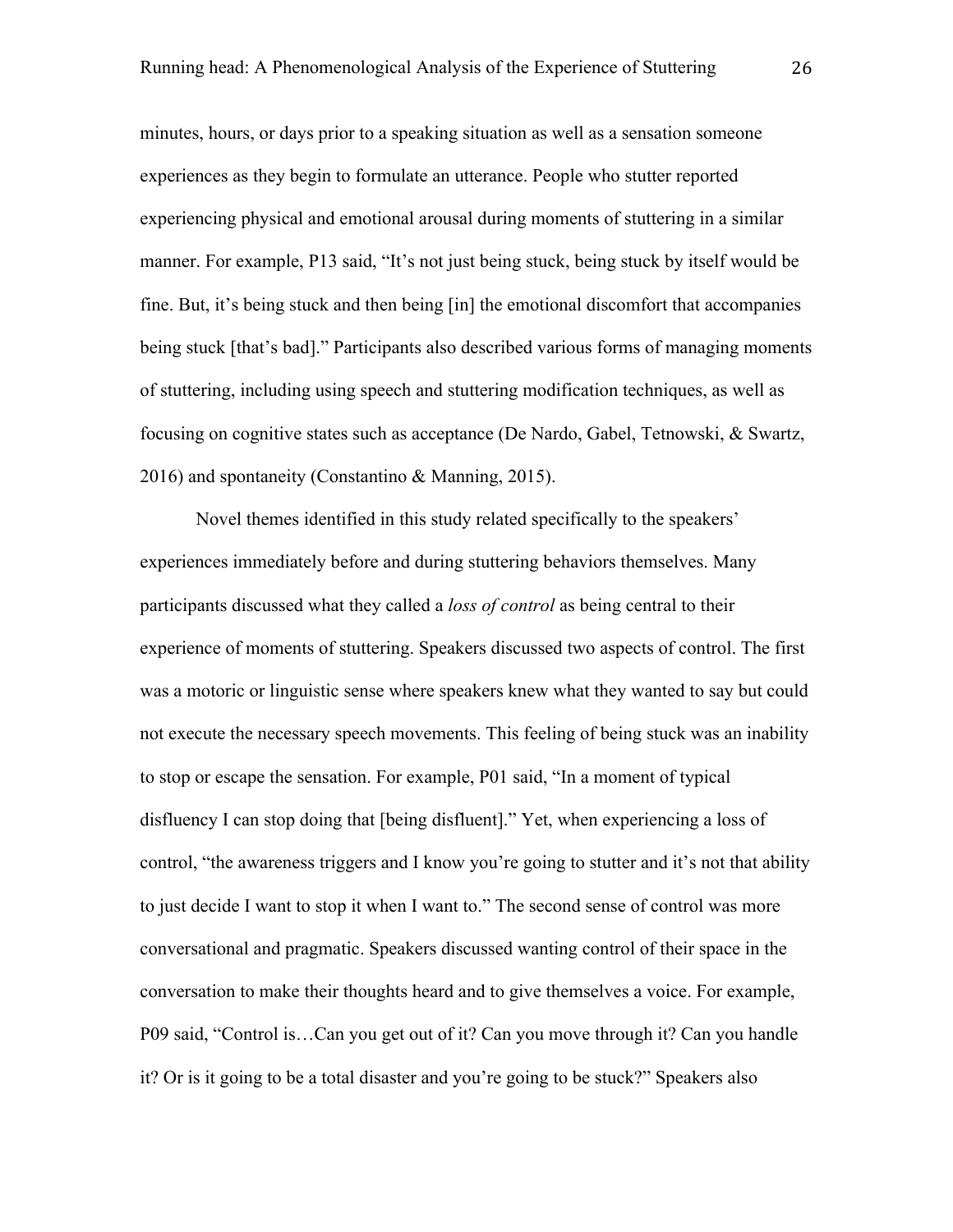minutes, hours, or days prior to a speaking situation as well as a sensation someone experiences as they begin to formulate an utterance. People who stutter reported experiencing physical and emotional arousal during moments of stuttering in a similar manner. For example, P13 said, "It's not just being stuck, being stuck by itself would be fine. But, it's being stuck and then being [in] the emotional discomfort that accompanies being stuck [that's bad]." Participants also described various forms of managing moments of stuttering, including using speech and stuttering modification techniques, as well as focusing on cognitive states such as acceptance (De Nardo, Gabel, Tetnowski, & Swartz, 2016) and spontaneity (Constantino & Manning, 2015).

Novel themes identified in this study related specifically to the speakers' experiences immediately before and during stuttering behaviors themselves. Many participants discussed what they called a *loss of control* as being central to their experience of moments of stuttering. Speakers discussed two aspects of control. The first was a motoric or linguistic sense where speakers knew what they wanted to say but could not execute the necessary speech movements. This feeling of being stuck was an inability to stop or escape the sensation. For example, P01 said, "In a moment of typical disfluency I can stop doing that [being disfluent]." Yet, when experiencing a loss of control, "the awareness triggers and I know you're going to stutter and it's not that ability to just decide I want to stop it when I want to." The second sense of control was more conversational and pragmatic. Speakers discussed wanting control of their space in the conversation to make their thoughts heard and to give themselves a voice. For example, P09 said, "Control is…Can you get out of it? Can you move through it? Can you handle it? Or is it going to be a total disaster and you're going to be stuck?" Speakers also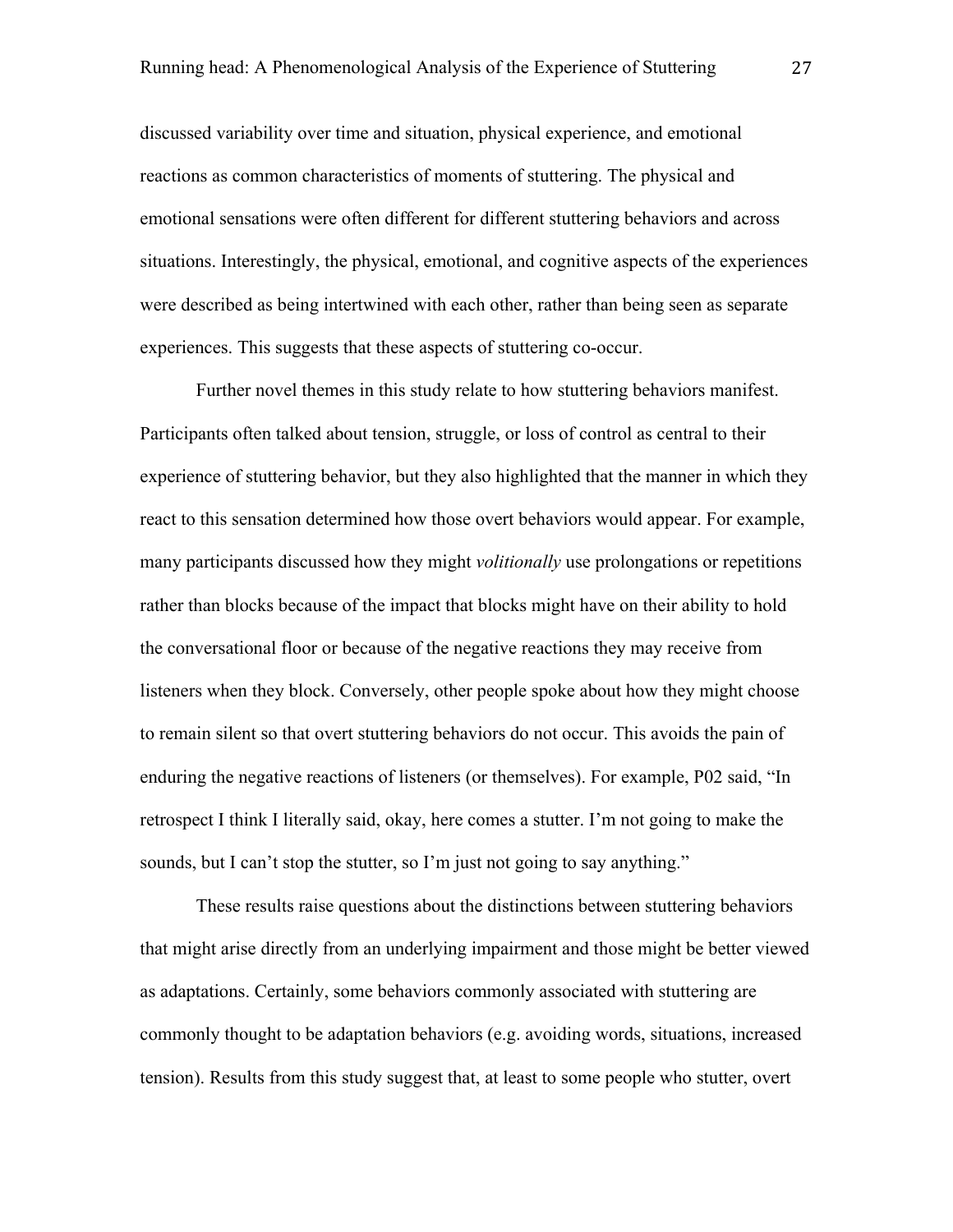discussed variability over time and situation, physical experience, and emotional reactions as common characteristics of moments of stuttering. The physical and emotional sensations were often different for different stuttering behaviors and across situations. Interestingly, the physical, emotional, and cognitive aspects of the experiences were described as being intertwined with each other, rather than being seen as separate experiences. This suggests that these aspects of stuttering co-occur.

Further novel themes in this study relate to how stuttering behaviors manifest. Participants often talked about tension, struggle, or loss of control as central to their experience of stuttering behavior, but they also highlighted that the manner in which they react to this sensation determined how those overt behaviors would appear. For example, many participants discussed how they might *volitionally* use prolongations or repetitions rather than blocks because of the impact that blocks might have on their ability to hold the conversational floor or because of the negative reactions they may receive from listeners when they block. Conversely, other people spoke about how they might choose to remain silent so that overt stuttering behaviors do not occur. This avoids the pain of enduring the negative reactions of listeners (or themselves). For example, P02 said, "In retrospect I think I literally said, okay, here comes a stutter. I'm not going to make the sounds, but I can't stop the stutter, so I'm just not going to say anything."

These results raise questions about the distinctions between stuttering behaviors that might arise directly from an underlying impairment and those might be better viewed as adaptations. Certainly, some behaviors commonly associated with stuttering are commonly thought to be adaptation behaviors (e.g. avoiding words, situations, increased tension). Results from this study suggest that, at least to some people who stutter, overt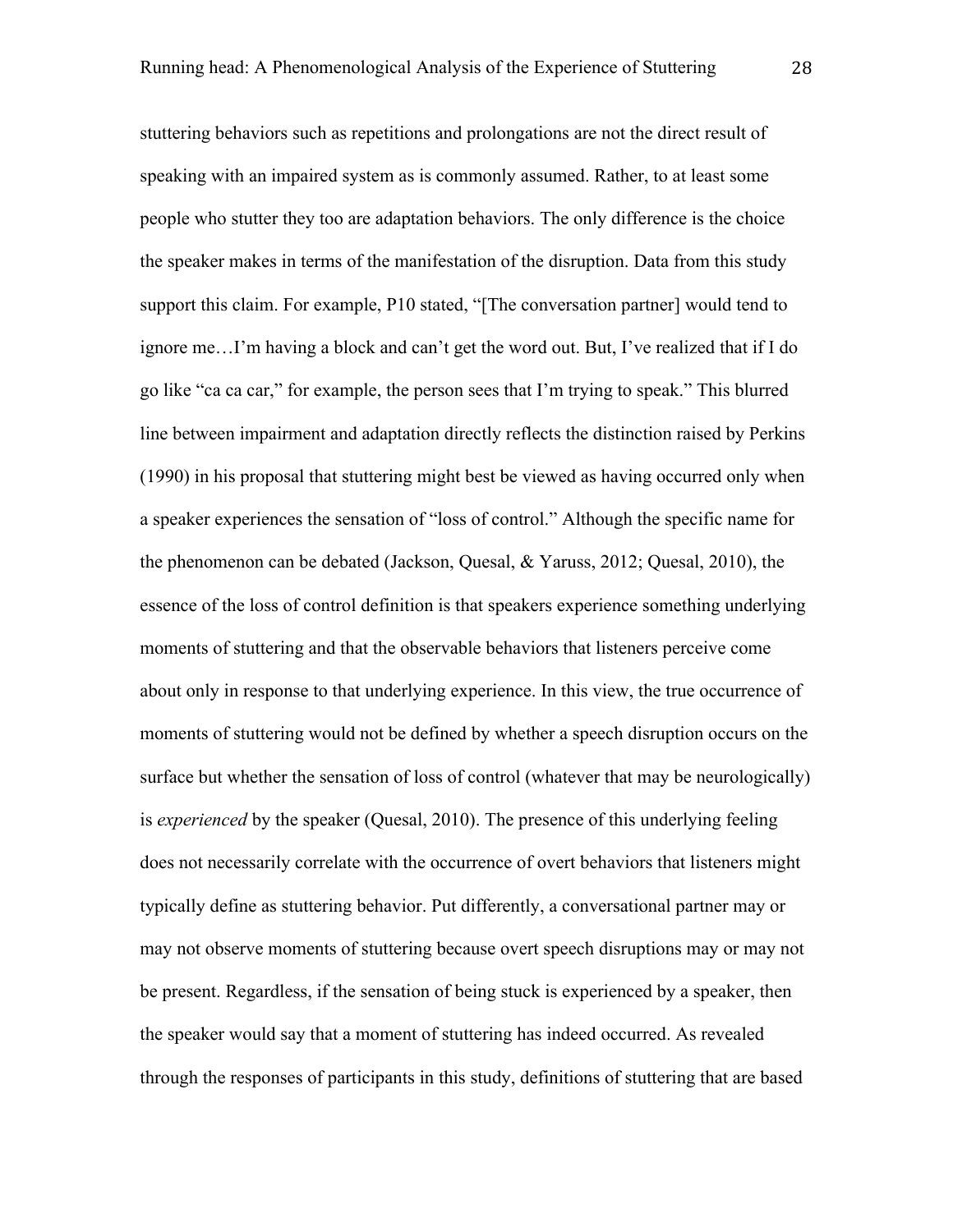stuttering behaviors such as repetitions and prolongations are not the direct result of speaking with an impaired system as is commonly assumed. Rather, to at least some people who stutter they too are adaptation behaviors. The only difference is the choice the speaker makes in terms of the manifestation of the disruption. Data from this study support this claim. For example, P10 stated, "[The conversation partner] would tend to ignore me…I'm having a block and can't get the word out. But, I've realized that if I do go like "ca ca car," for example, the person sees that I'm trying to speak." This blurred line between impairment and adaptation directly reflects the distinction raised by Perkins (1990) in his proposal that stuttering might best be viewed as having occurred only when a speaker experiences the sensation of "loss of control." Although the specific name for the phenomenon can be debated (Jackson, Quesal, & Yaruss, 2012; Quesal, 2010), the essence of the loss of control definition is that speakers experience something underlying moments of stuttering and that the observable behaviors that listeners perceive come about only in response to that underlying experience. In this view, the true occurrence of moments of stuttering would not be defined by whether a speech disruption occurs on the surface but whether the sensation of loss of control (whatever that may be neurologically) is *experienced* by the speaker (Quesal, 2010). The presence of this underlying feeling does not necessarily correlate with the occurrence of overt behaviors that listeners might typically define as stuttering behavior. Put differently, a conversational partner may or may not observe moments of stuttering because overt speech disruptions may or may not be present. Regardless, if the sensation of being stuck is experienced by a speaker, then the speaker would say that a moment of stuttering has indeed occurred. As revealed through the responses of participants in this study, definitions of stuttering that are based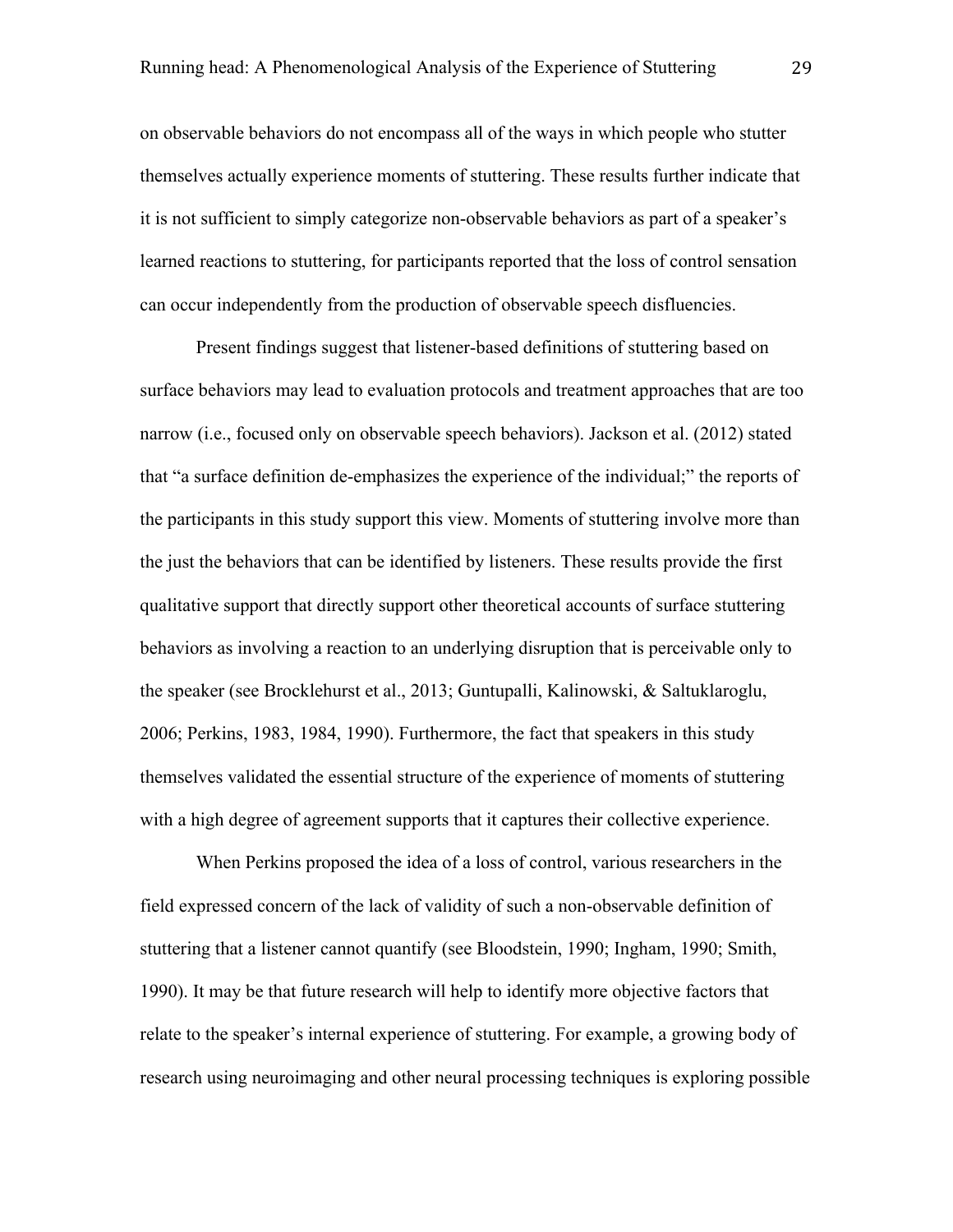on observable behaviors do not encompass all of the ways in which people who stutter themselves actually experience moments of stuttering. These results further indicate that it is not sufficient to simply categorize non-observable behaviors as part of a speaker's learned reactions to stuttering, for participants reported that the loss of control sensation can occur independently from the production of observable speech disfluencies.

Present findings suggest that listener-based definitions of stuttering based on surface behaviors may lead to evaluation protocols and treatment approaches that are too narrow (i.e., focused only on observable speech behaviors). Jackson et al. (2012) stated that "a surface definition de-emphasizes the experience of the individual;" the reports of the participants in this study support this view. Moments of stuttering involve more than the just the behaviors that can be identified by listeners. These results provide the first qualitative support that directly support other theoretical accounts of surface stuttering behaviors as involving a reaction to an underlying disruption that is perceivable only to the speaker (see Brocklehurst et al., 2013; Guntupalli, Kalinowski, & Saltuklaroglu, 2006; Perkins, 1983, 1984, 1990). Furthermore, the fact that speakers in this study themselves validated the essential structure of the experience of moments of stuttering with a high degree of agreement supports that it captures their collective experience.

When Perkins proposed the idea of a loss of control, various researchers in the field expressed concern of the lack of validity of such a non-observable definition of stuttering that a listener cannot quantify (see Bloodstein, 1990; Ingham, 1990; Smith, 1990). It may be that future research will help to identify more objective factors that relate to the speaker's internal experience of stuttering. For example, a growing body of research using neuroimaging and other neural processing techniques is exploring possible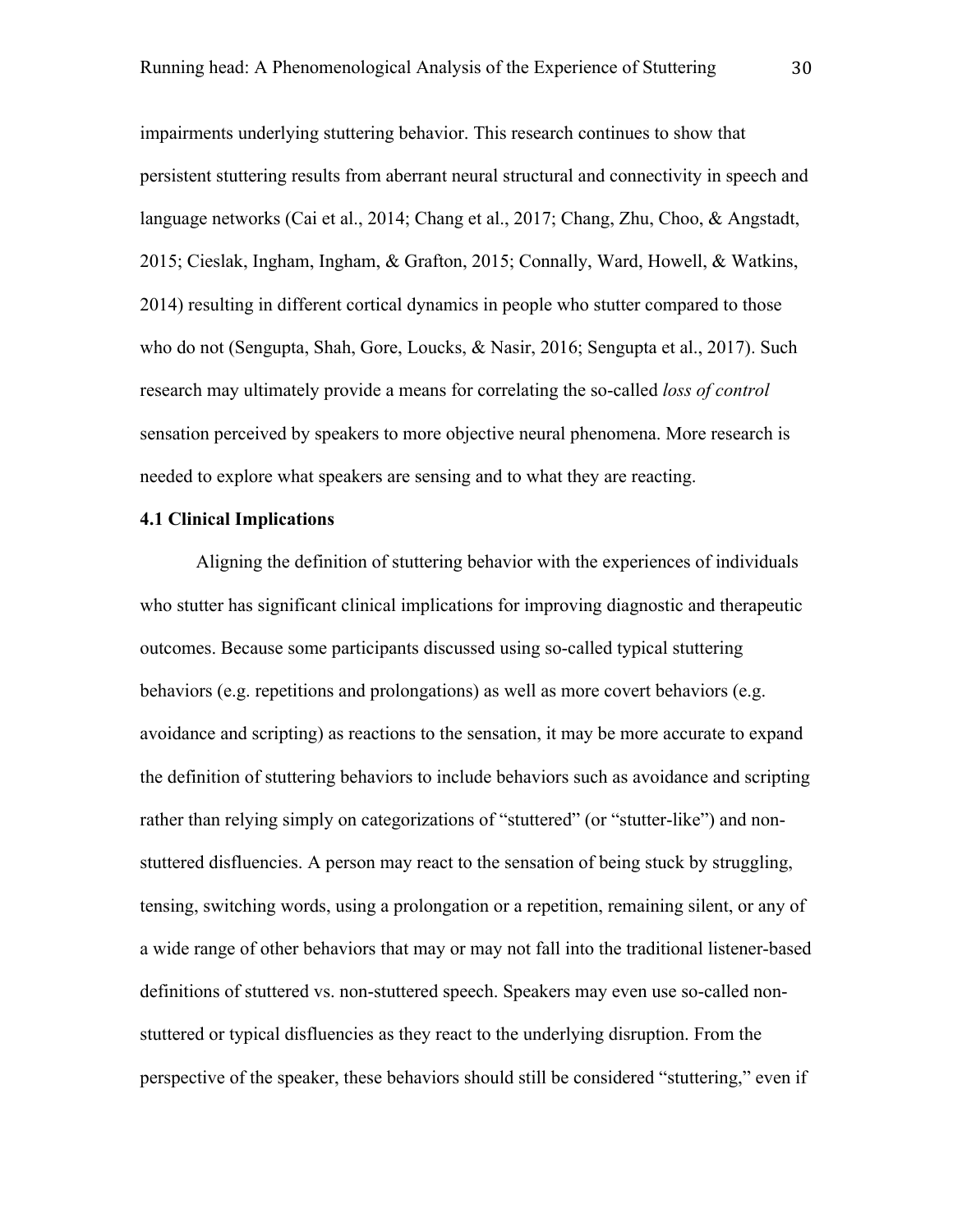impairments underlying stuttering behavior. This research continues to show that persistent stuttering results from aberrant neural structural and connectivity in speech and language networks (Cai et al., 2014; Chang et al., 2017; Chang, Zhu, Choo, & Angstadt, 2015; Cieslak, Ingham, Ingham, & Grafton, 2015; Connally, Ward, Howell, & Watkins, 2014) resulting in different cortical dynamics in people who stutter compared to those who do not (Sengupta, Shah, Gore, Loucks, & Nasir, 2016; Sengupta et al., 2017). Such research may ultimately provide a means for correlating the so-called *loss of control* sensation perceived by speakers to more objective neural phenomena. More research is needed to explore what speakers are sensing and to what they are reacting.

#### **4.1 Clinical Implications**

Aligning the definition of stuttering behavior with the experiences of individuals who stutter has significant clinical implications for improving diagnostic and therapeutic outcomes. Because some participants discussed using so-called typical stuttering behaviors (e.g. repetitions and prolongations) as well as more covert behaviors (e.g. avoidance and scripting) as reactions to the sensation, it may be more accurate to expand the definition of stuttering behaviors to include behaviors such as avoidance and scripting rather than relying simply on categorizations of "stuttered" (or "stutter-like") and nonstuttered disfluencies. A person may react to the sensation of being stuck by struggling, tensing, switching words, using a prolongation or a repetition, remaining silent, or any of a wide range of other behaviors that may or may not fall into the traditional listener-based definitions of stuttered vs. non-stuttered speech. Speakers may even use so-called nonstuttered or typical disfluencies as they react to the underlying disruption. From the perspective of the speaker, these behaviors should still be considered "stuttering," even if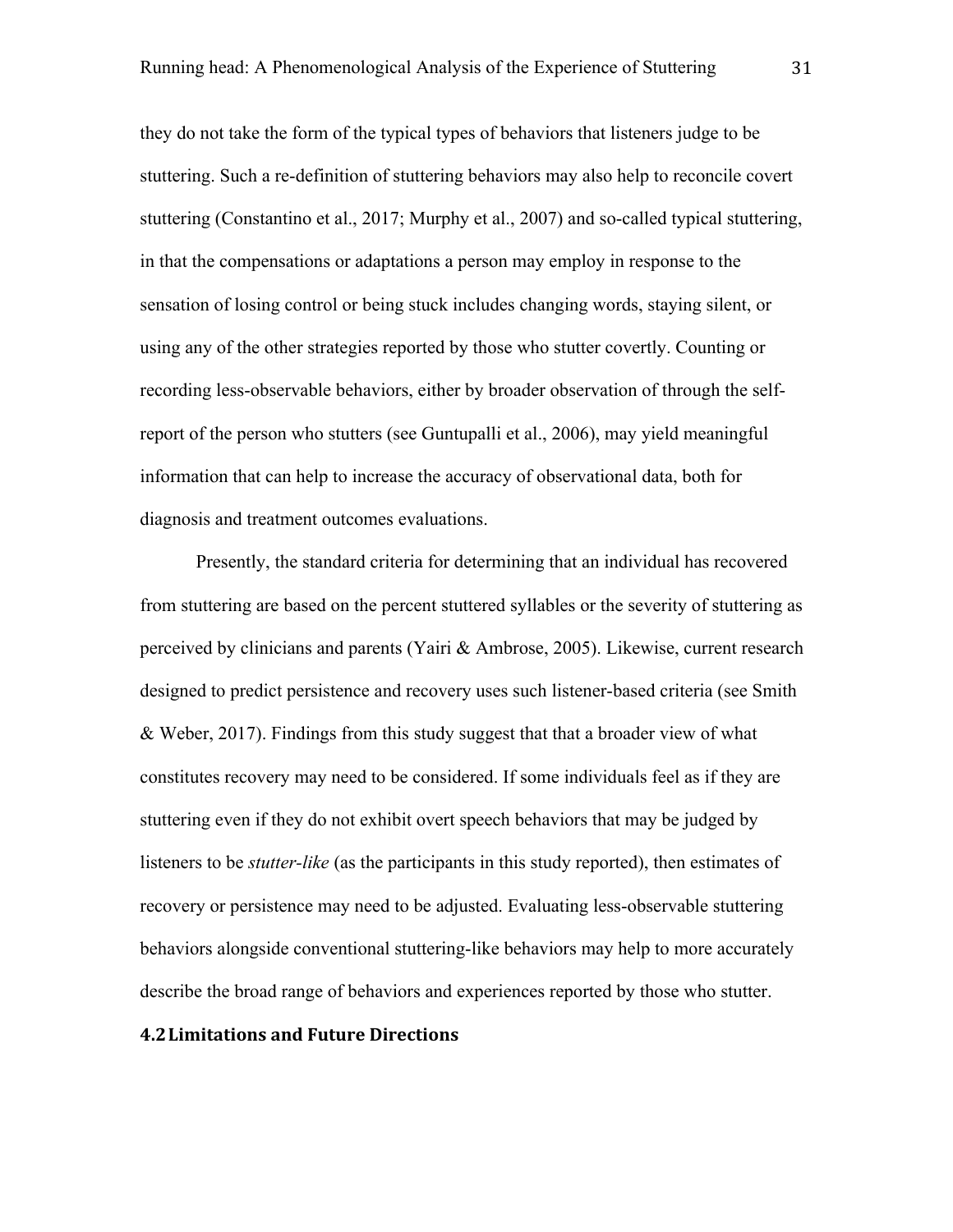they do not take the form of the typical types of behaviors that listeners judge to be stuttering. Such a re-definition of stuttering behaviors may also help to reconcile covert stuttering (Constantino et al., 2017; Murphy et al., 2007) and so-called typical stuttering, in that the compensations or adaptations a person may employ in response to the sensation of losing control or being stuck includes changing words, staying silent, or using any of the other strategies reported by those who stutter covertly. Counting or recording less-observable behaviors, either by broader observation of through the selfreport of the person who stutters (see Guntupalli et al., 2006), may yield meaningful information that can help to increase the accuracy of observational data, both for diagnosis and treatment outcomes evaluations.

Presently, the standard criteria for determining that an individual has recovered from stuttering are based on the percent stuttered syllables or the severity of stuttering as perceived by clinicians and parents (Yairi & Ambrose, 2005). Likewise, current research designed to predict persistence and recovery uses such listener-based criteria (see Smith & Weber, 2017). Findings from this study suggest that that a broader view of what constitutes recovery may need to be considered. If some individuals feel as if they are stuttering even if they do not exhibit overt speech behaviors that may be judged by listeners to be *stutter-like* (as the participants in this study reported), then estimates of recovery or persistence may need to be adjusted. Evaluating less-observable stuttering behaviors alongside conventional stuttering-like behaviors may help to more accurately describe the broad range of behaviors and experiences reported by those who stutter.

#### **4.2 Limitations and Future Directions**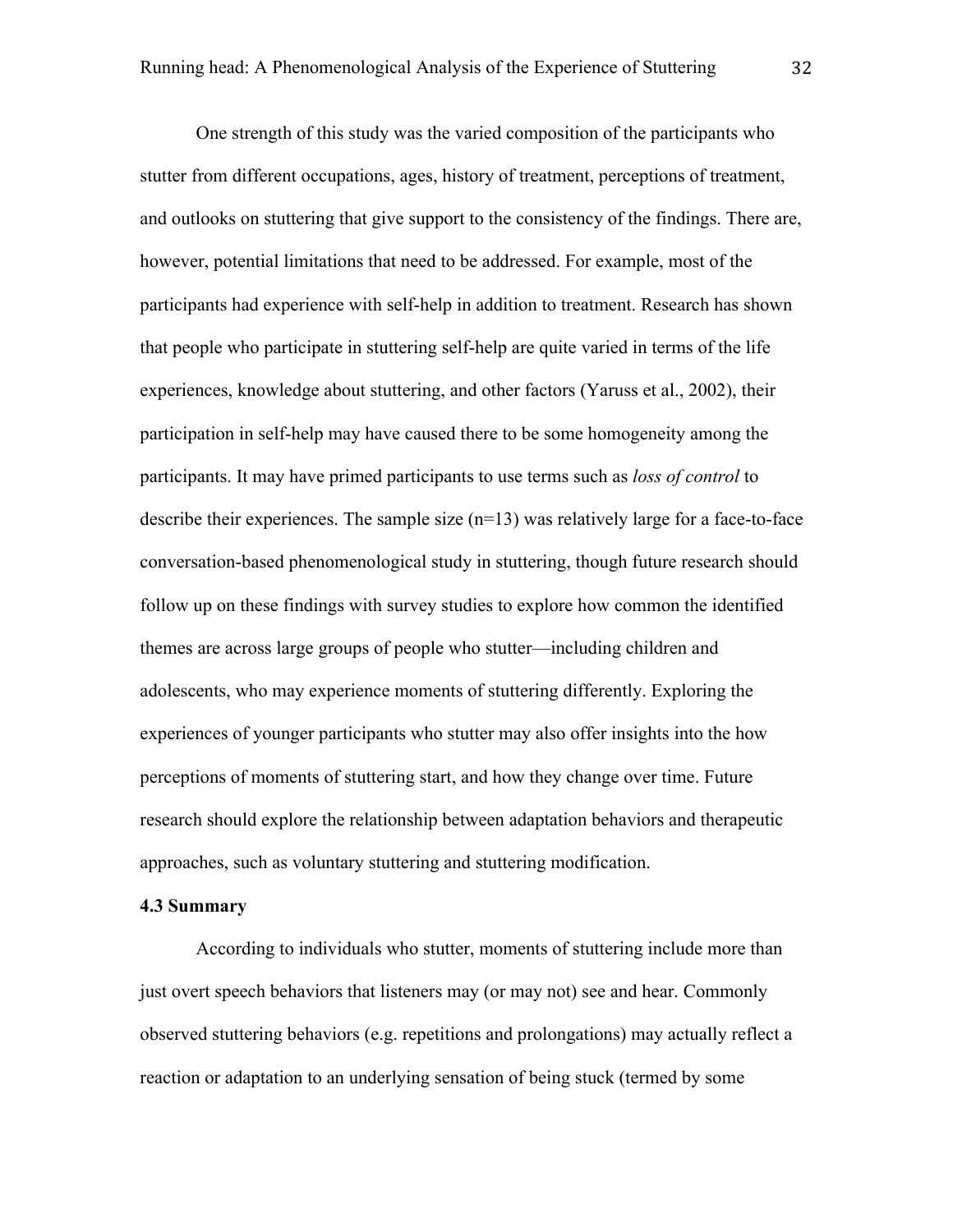One strength of this study was the varied composition of the participants who stutter from different occupations, ages, history of treatment, perceptions of treatment, and outlooks on stuttering that give support to the consistency of the findings. There are, however, potential limitations that need to be addressed. For example, most of the participants had experience with self-help in addition to treatment. Research has shown that people who participate in stuttering self-help are quite varied in terms of the life experiences, knowledge about stuttering, and other factors (Yaruss et al., 2002), their participation in self-help may have caused there to be some homogeneity among the participants. It may have primed participants to use terms such as *loss of control* to describe their experiences. The sample size  $(n=13)$  was relatively large for a face-to-face conversation-based phenomenological study in stuttering, though future research should follow up on these findings with survey studies to explore how common the identified themes are across large groups of people who stutter—including children and adolescents, who may experience moments of stuttering differently. Exploring the experiences of younger participants who stutter may also offer insights into the how perceptions of moments of stuttering start, and how they change over time. Future research should explore the relationship between adaptation behaviors and therapeutic approaches, such as voluntary stuttering and stuttering modification.

## **4.3 Summary**

According to individuals who stutter, moments of stuttering include more than just overt speech behaviors that listeners may (or may not) see and hear. Commonly observed stuttering behaviors (e.g. repetitions and prolongations) may actually reflect a reaction or adaptation to an underlying sensation of being stuck (termed by some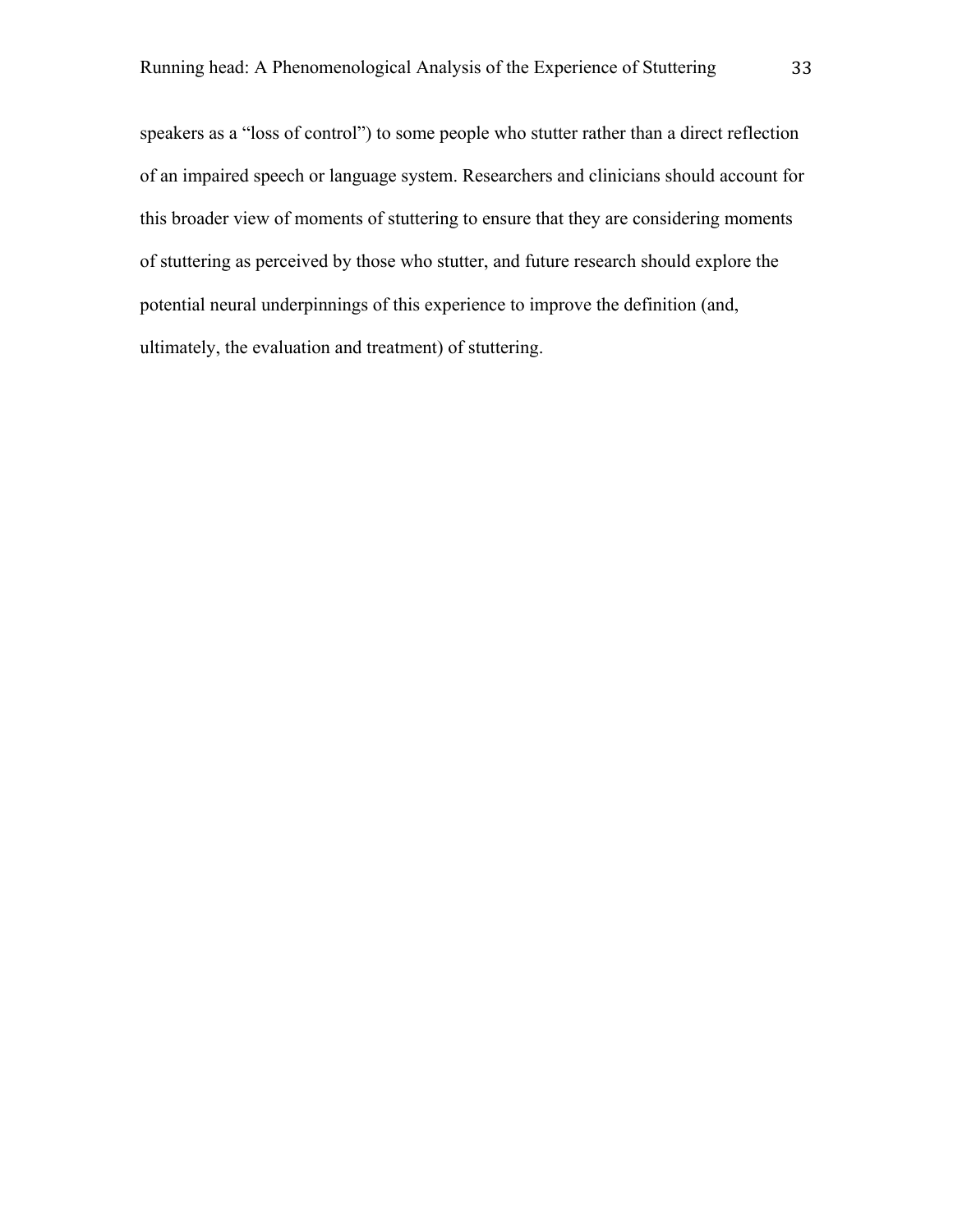speakers as a "loss of control") to some people who stutter rather than a direct reflection of an impaired speech or language system. Researchers and clinicians should account for this broader view of moments of stuttering to ensure that they are considering moments of stuttering as perceived by those who stutter, and future research should explore the potential neural underpinnings of this experience to improve the definition (and, ultimately, the evaluation and treatment) of stuttering.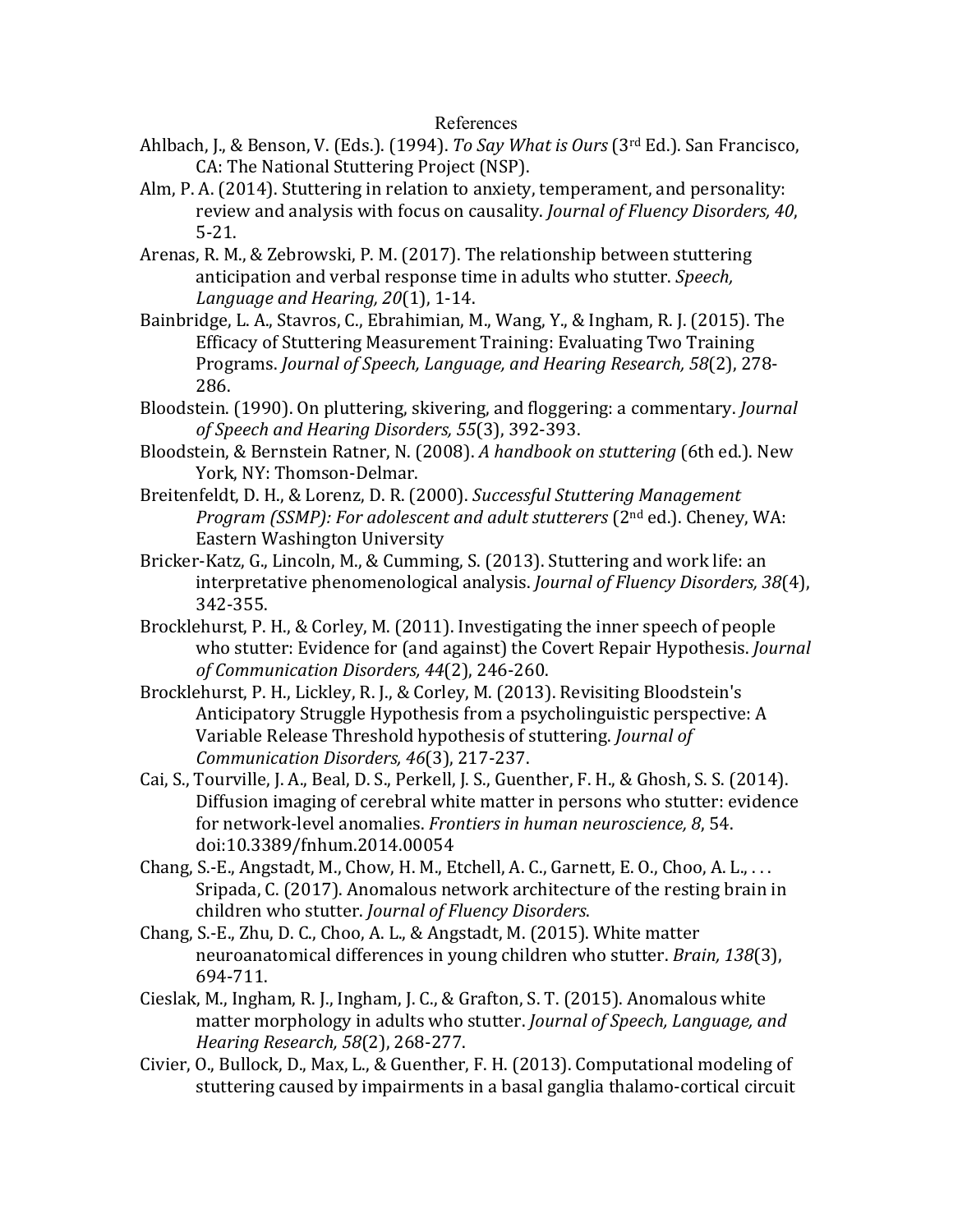## References

- Ahlbach, J., & Benson, V. (Eds.). (1994). *To Say What is Ours* (3<sup>rd</sup> Ed.). San Francisco, CA: The National Stuttering Project (NSP).
- Alm, P. A. (2014). Stuttering in relation to anxiety, temperament, and personality: review and analysis with focus on causality. *Journal of Fluency Disorders, 40*, 5-21.
- Arenas, R. M., & Zebrowski, P. M. (2017). The relationship between stuttering anticipation and verbal response time in adults who stutter. *Speech*, *Language and Hearing, 20*(1), 1-14.
- Bainbridge, L. A., Stavros, C., Ebrahimian, M., Wang, Y., & Ingham, R. J. (2015). The Efficacy of Stuttering Measurement Training: Evaluating Two Training Programs. Journal of Speech, Language, and Hearing Research, 58(2), 278-286.
- Bloodstein. (1990). On pluttering, skivering, and floggering: a commentary. *Journal of Speech and Hearing Disorders, 55*(3), 392-393.
- Bloodstein, & Bernstein Ratner, N. (2008). A handbook on stuttering (6th ed.). New York, NY: Thomson-Delmar.
- Breitenfeldt, D. H., & Lorenz, D. R. (2000). *Successful Stuttering Management Program (SSMP): For adolescent and adult stutterers* (2<sup>nd</sup> ed.). Cheney, WA: Eastern Washington University
- Bricker-Katz, G., Lincoln, M., & Cumming, S. (2013). Stuttering and work life: an interpretative phenomenological analysis. *Journal of Fluency Disorders, 38*(4), 342-355.
- Brocklehurst, P. H., & Corley, M. (2011). Investigating the inner speech of people who stutter: Evidence for (and against) the Covert Repair Hypothesis. *Journal of Communication Disorders, 44*(2), 246-260.
- Brocklehurst, P. H., Lickley, R. J., & Corley, M. (2013). Revisiting Bloodstein's Anticipatory Struggle Hypothesis from a psycholinguistic perspective: A Variable Release Threshold hypothesis of stuttering. *Journal of Communication Disorders, 46*(3), 217-237.
- Cai, S., Tourville, J. A., Beal, D. S., Perkell, J. S., Guenther, F. H., & Ghosh, S. S. (2014). Diffusion imaging of cerebral white matter in persons who stutter: evidence for network-level anomalies. *Frontiers in human neuroscience*, 8, 54. doi:10.3389/fnhum.2014.00054
- Chang, S.-E., Angstadt, M., Chow, H. M., Etchell, A. C., Garnett, E. O., Choo, A. L., ... Sripada, C. (2017). Anomalous network architecture of the resting brain in children who stutter. *Journal of Fluency Disorders*.
- Chang, S.-E., Zhu, D. C., Choo, A. L., & Angstadt, M. (2015). White matter neuroanatomical differences in young children who stutter. *Brain*, 138(3), 694-711.
- Cieslak, M., Ingham, R. J., Ingham, J. C., & Grafton, S. T. (2015). Anomalous white matter morphology in adults who stutter. *Journal of Speech, Language, and Hearing Research, 58*(2), 268-277.
- Civier, O., Bullock, D., Max, L., & Guenther, F. H. (2013). Computational modeling of stuttering caused by impairments in a basal ganglia thalamo-cortical circuit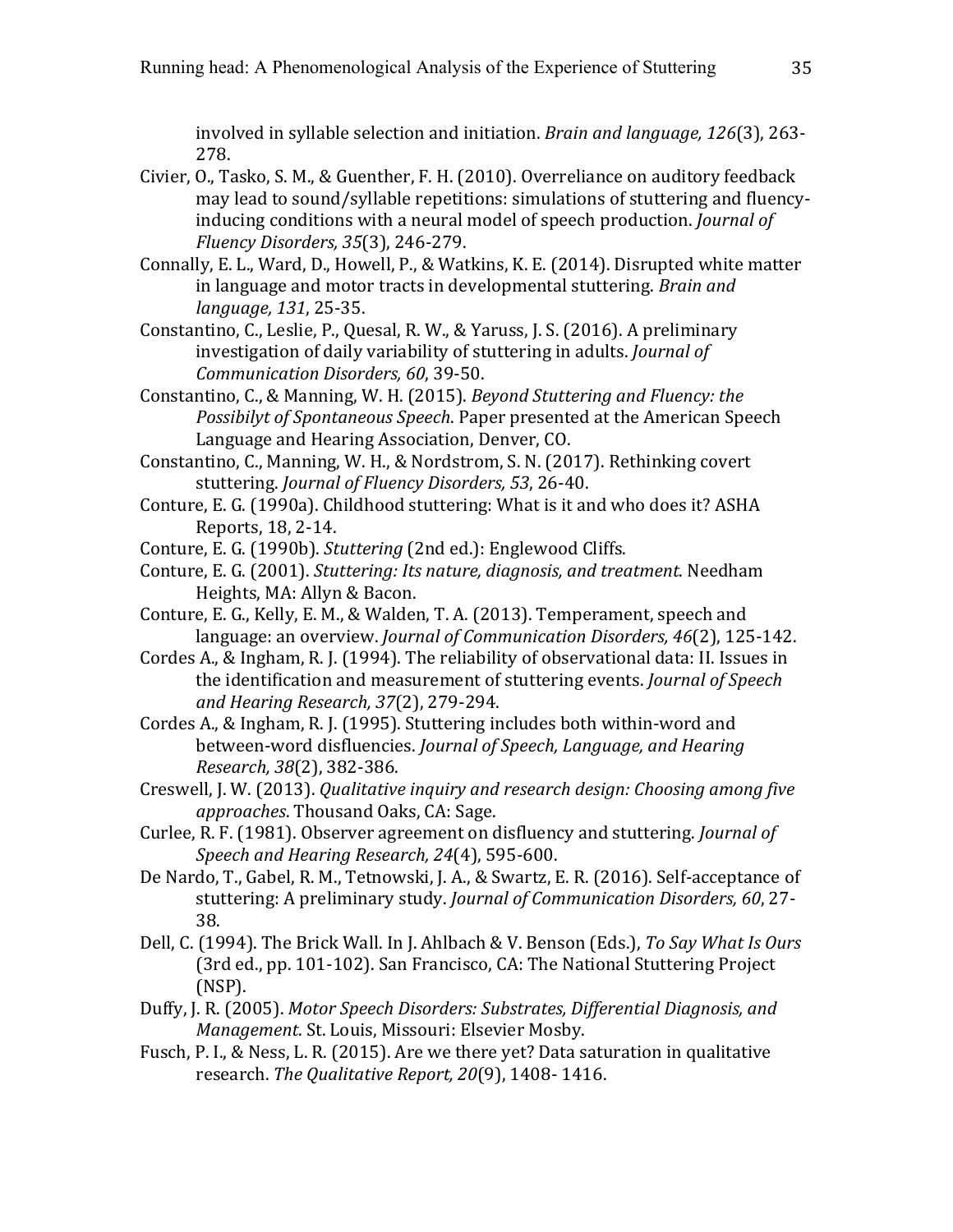involved in syllable selection and initiation. *Brain and language, 126*(3), 263-278. 

- Civier, O., Tasko, S. M., & Guenther, F. H. (2010). Overreliance on auditory feedback may lead to sound/syllable repetitions: simulations of stuttering and fluencyinducing conditions with a neural model of speech production. *Journal of Fluency Disorders, 35*(3), 246-279.
- Connally, E. L., Ward, D., Howell, P., & Watkins, K. E. (2014). Disrupted white matter in language and motor tracts in developmental stuttering. *Brain and language, 131*, 25-35.
- Constantino, C., Leslie, P., Quesal, R. W., & Yaruss, J. S. (2016). A preliminary investigation of daily variability of stuttering in adults. *Journal of Communication Disorders, 60*, 39-50.
- Constantino, C., & Manning, W. H. (2015). *Beyond Stuttering and Fluency: the Possibilyt of Spontaneous Speech.* Paper presented at the American Speech Language and Hearing Association, Denver, CO.
- Constantino, C., Manning, W. H., & Nordstrom, S. N. (2017). Rethinking covert stuttering. *Journal of Fluency Disorders, 53, 26-40.*
- Conture, E. G. (1990a). Childhood stuttering: What is it and who does it? ASHA Reports, 18, 2-14.
- Conture, E. G. (1990b). *Stuttering* (2nd ed.): Englewood Cliffs.
- Conture, E. G. (2001). *Stuttering: Its nature, diagnosis, and treatment*. Needham Heights, MA: Allyn & Bacon.
- Conture, E. G., Kelly, E. M., & Walden, T. A. (2013). Temperament, speech and language: an overview. *Journal of Communication Disorders, 46*(2), 125-142.
- Cordes A., & Ingham, R. J. (1994). The reliability of observational data: II. Issues in the identification and measurement of stuttering events. *Journal of Speech and Hearing Research, 37*(2), 279-294.
- Cordes A., & Ingham, R. J. (1995). Stuttering includes both within-word and between-word disfluencies. *Journal of Speech, Language, and Hearing Research, 38*(2), 382-386.
- Creswell, J. W. (2013). *Qualitative inquiry and research design: Choosing among five approaches*. Thousand Oaks, CA: Sage.
- Curlee, R. F. (1981). Observer agreement on disfluency and stuttering. *Journal of Speech and Hearing Research, 24*(4), 595-600.
- De Nardo, T., Gabel, R. M., Tetnowski, J. A., & Swartz, E. R. (2016). Self-acceptance of stuttering: A preliminary study. *Journal of Communication Disorders, 60, 27-*38.
- Dell, C. (1994). The Brick Wall. In J. Ahlbach & V. Benson (Eds.), To Say What Is Ours (3rd ed., pp. 101-102). San Francisco, CA: The National Stuttering Project (NSP).
- Duffy, J. R. (2005). *Motor Speech Disorders: Substrates, Differential Diagnosis, and Management. St. Louis, Missouri: Elsevier Mosby.*
- Fusch, P. I., & Ness, L. R. (2015). Are we there yet? Data saturation in qualitative research. The Qualitative Report, 20(9), 1408- 1416.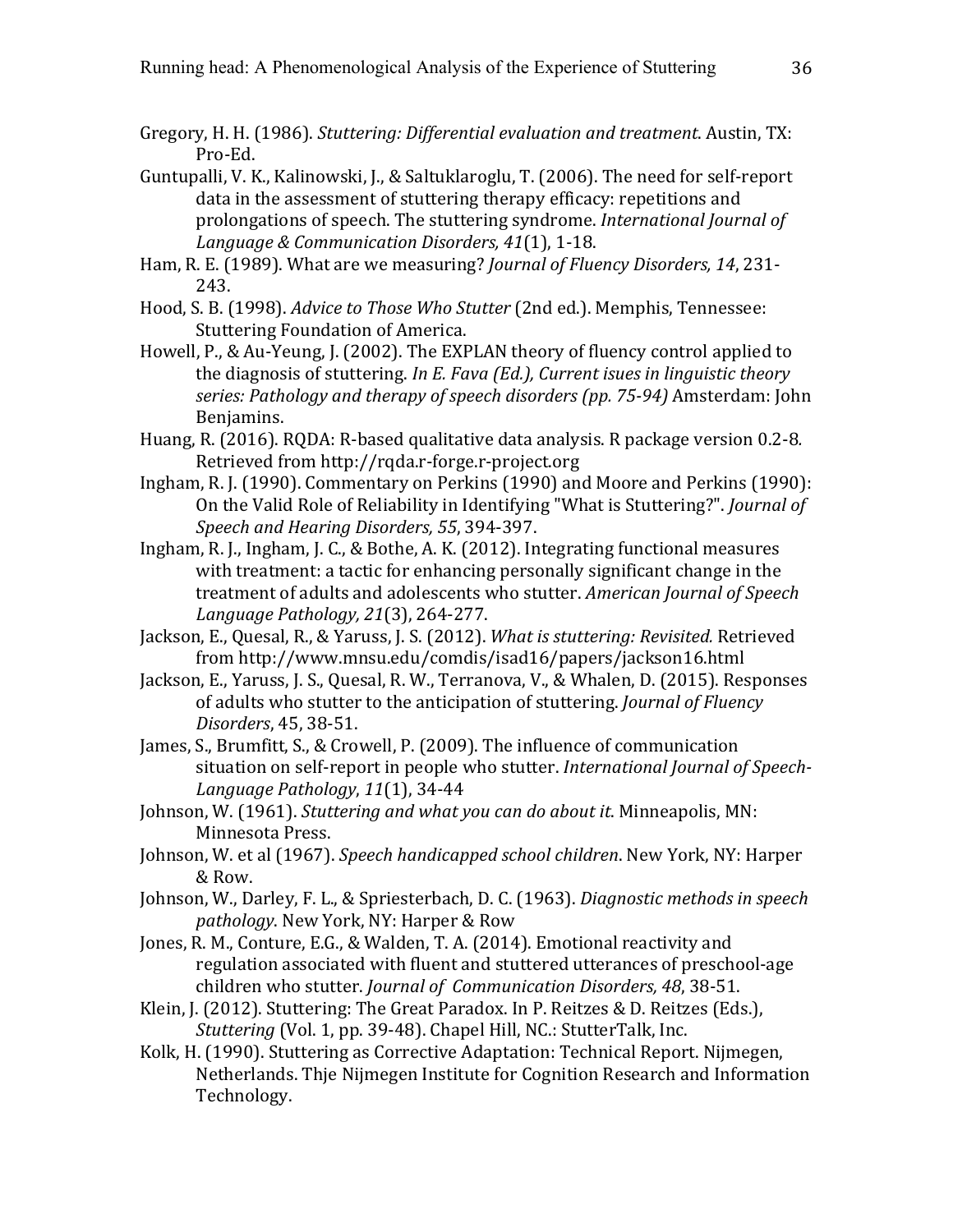- Gregory, H. H. (1986). *Stuttering: Differential evaluation and treatment*. Austin, TX: Pro-Ed.
- Guntupalli, V. K., Kalinowski, J., & Saltuklaroglu, T. (2006). The need for self-report data in the assessment of stuttering therapy efficacy: repetitions and prolongations of speech. The stuttering syndrome. *International Journal of* Language & Communication Disorders, 41(1), 1-18.
- Ham, R. E. (1989). What are we measuring? *Journal of Fluency Disorders, 14, 231-*243.
- Hood, S. B. (1998). *Advice to Those Who Stutter* (2nd ed.). Memphis, Tennessee: Stuttering Foundation of America.
- Howell, P., & Au-Yeung, J. (2002). The EXPLAN theory of fluency control applied to the diagnosis of stuttering. *In E. Fava (Ed.), Current isues in linguistic theory series: Pathology and therapy of speech disorders (pp. 75-94)* Amsterdam: John Benjamins.
- Huang, R. (2016). RQDA: R-based qualitative data analysis. R package version 0.2-8. Retrieved from http://rqda.r-forge.r-project.org
- Ingham, R. J. (1990). Commentary on Perkins (1990) and Moore and Perkins (1990): On the Valid Role of Reliability in Identifying "What is Stuttering?". *Journal of Speech and Hearing Disorders, 55*, 394-397.
- Ingham, R. J., Ingham, J. C., & Bothe, A. K. (2012). Integrating functional measures with treatment: a tactic for enhancing personally significant change in the treatment of adults and adolescents who stutter. *American Journal of Speech Language Pathology, 21*(3), 264-277.
- Jackson, E., Quesal, R., & Yaruss, J. S. (2012). What is stuttering: Revisited. Retrieved from http://www.mnsu.edu/comdis/isad16/papers/jackson16.html
- Jackson, E., Yaruss, J. S., Quesal, R. W., Terranova, V., & Whalen, D. (2015). Responses of adults who stutter to the anticipation of stuttering. *Journal of Fluency Disorders*, 45, 38-51.
- James, S., Brumfitt, S., & Crowell, P. (2009). The influence of communication situation on self-report in people who stutter. *International Journal of Speech-Language Pathology*, *11*(1), 34-44
- Johnson, W. (1961). *Stuttering and what you can do about it*. Minneapolis, MN: Minnesota Press.
- Johnson, W. et al (1967). *Speech handicapped school children*. New York, NY: Harper & Row.
- Johnson, W., Darley, F. L., & Spriesterbach, D. C. (1963). *Diagnostic methods in speech* pathology. New York, NY: Harper & Row
- Jones, R. M., Conture, E.G., & Walden, T. A. (2014). Emotional reactivity and regulation associated with fluent and stuttered utterances of preschool-age children who stutter. *Journal of Communication Disorders, 48, 38-51.*
- Klein, J. (2012). Stuttering: The Great Paradox. In P. Reitzes & D. Reitzes (Eds.), *Stuttering* (Vol. 1, pp. 39-48). Chapel Hill, NC.: StutterTalk, Inc.
- Kolk, H. (1990). Stuttering as Corrective Adaptation: Technical Report. Nijmegen, Netherlands. Thje Nijmegen Institute for Cognition Research and Information Technology.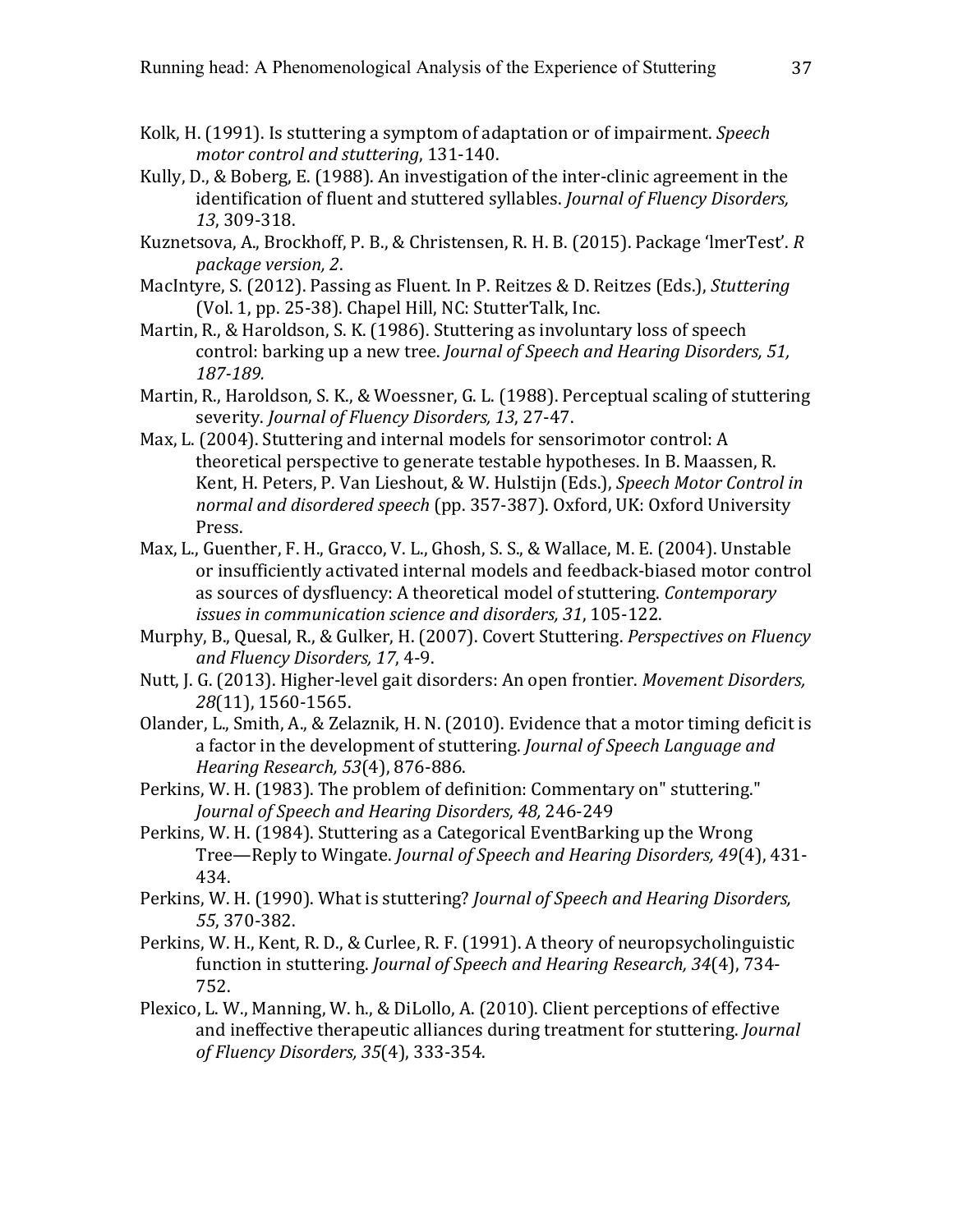- Kolk, H. (1991). Is stuttering a symptom of adaptation or of impairment. *Speech* motor control and stuttering, 131-140.
- Kully, D., & Boberg, E. (1988). An investigation of the inter-clinic agreement in the identification of fluent and stuttered syllables. *Journal of Fluency Disorders*, *13*, 309-318.
- Kuznetsova, A., Brockhoff, P. B., & Christensen, R. H. B. (2015). Package 'lmerTest'. R *package version, 2*.
- MacIntyre, S. (2012). Passing as Fluent. In P. Reitzes & D. Reitzes (Eds.), *Stuttering* (Vol. 1, pp. 25-38). Chapel Hill, NC: StutterTalk, Inc.
- Martin, R., & Haroldson, S. K. (1986). Stuttering as involuntary loss of speech control: barking up a new tree. *Journal of Speech and Hearing Disorders, 51, 187-189.*
- Martin, R., Haroldson, S. K., & Woessner, G. L. (1988). Perceptual scaling of stuttering severity. *Journal of Fluency Disorders, 13, 27-47.*
- Max, L. (2004). Stuttering and internal models for sensorimotor control: A theoretical perspective to generate testable hypotheses. In B. Maassen, R. Kent, H. Peters, P. Van Lieshout, & W. Hulstijn (Eds.), *Speech Motor Control in* normal and disordered speech (pp. 357-387). Oxford, UK: Oxford University Press.
- Max, L., Guenther, F. H., Gracco, V. L., Ghosh, S. S., & Wallace, M. E. (2004). Unstable or insufficiently activated internal models and feedback-biased motor control as sources of dysfluency: A theoretical model of stuttering. *Contemporary issues in communication science and disorders, 31, 105-122.*
- Murphy, B., Quesal, R., & Gulker, H. (2007). Covert Stuttering. *Perspectives on Fluency and Fluency Disorders, 17*, 4-9.
- Nutt, J. G. (2013). Higher-level gait disorders: An open frontier. *Movement Disorders*, 28(11), 1560-1565.
- Olander, L., Smith, A., & Zelaznik, H. N. (2010). Evidence that a motor timing deficit is a factor in the development of stuttering. *Journal of Speech Language and Hearing Research, 53*(4), 876-886.
- Perkins, W. H. (1983). The problem of definition: Commentary on" stuttering." *Journal of Speech and Hearing Disorders, 48,* 246-249
- Perkins, W. H. (1984). Stuttering as a Categorical EventBarking up the Wrong Tree—Reply to Wingate. *Journal of Speech and Hearing Disorders, 49*(4), 431-434.
- Perkins, W. H. (1990). What is stuttering? *Journal of Speech and Hearing Disorders*, *55*, 370-382.
- Perkins, W. H., Kent, R. D., & Curlee, R. F. (1991). A theory of neuropsycholinguistic function in stuttering. *Journal of Speech and Hearing Research*, 34(4), 734-752.
- Plexico, L. W., Manning, W. h., & DiLollo, A. (2010). Client perceptions of effective and ineffective therapeutic alliances during treatment for stuttering. *Journal of Fluency Disorders, 35*(4), 333-354.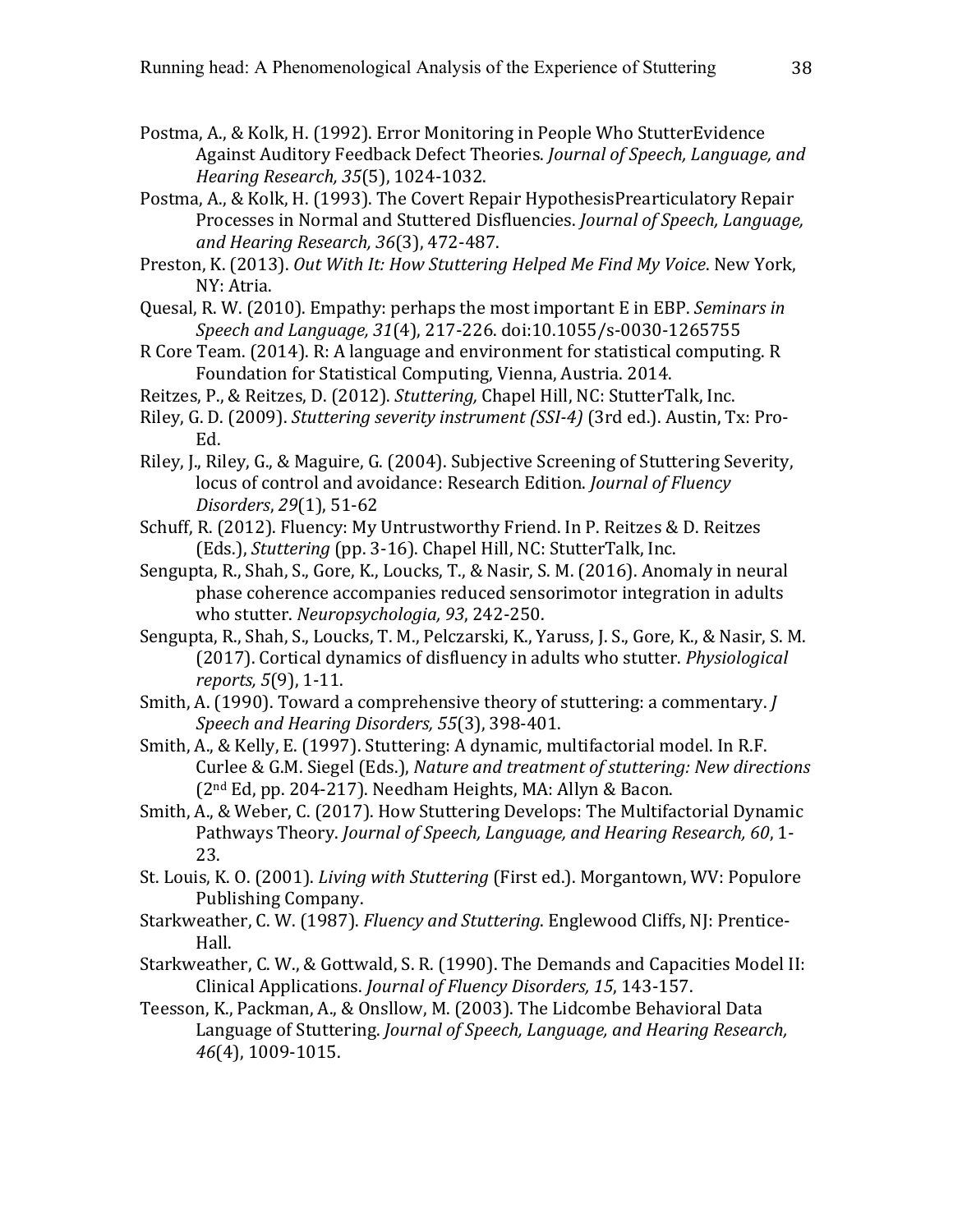- Postma, A., & Kolk, H. (1992). Error Monitoring in People Who StutterEvidence Against Auditory Feedback Defect Theories. *Journal of Speech, Language, and Hearing Research, 35*(5), 1024-1032.
- Postma, A., & Kolk, H. (1993). The Covert Repair HypothesisPrearticulatory Repair Processes in Normal and Stuttered Disfluencies. *Journal of Speech, Language, and Hearing Research, 36*(3), 472-487.
- Preston, K. (2013). Out With It: How Stuttering Helped Me Find My Voice. New York, NY: Atria.
- Quesal, R. W. (2010). Empathy: perhaps the most important E in EBP. *Seminars in Speech and Language, 31*(4), 217-226. doi:10.1055/s-0030-1265755
- R Core Team. (2014). R: A language and environment for statistical computing. R Foundation for Statistical Computing, Vienna, Austria. 2014.
- Reitzes, P., & Reitzes, D. (2012). *Stuttering*, Chapel Hill, NC: StutterTalk, Inc.
- Riley, G. D. (2009). *Stuttering severity instrument (SSI-4)* (3rd ed.). Austin, Tx: Pro-Ed.
- Riley, J., Riley, G., & Maguire, G. (2004). Subjective Screening of Stuttering Severity, locus of control and avoidance: Research Edition. *Journal of Fluency Disorders*, *29*(1), 51-62
- Schuff, R. (2012). Fluency: My Untrustworthy Friend. In P. Reitzes & D. Reitzes (Eds.), *Stuttering* (pp. 3-16). Chapel Hill, NC: StutterTalk, Inc.
- Sengupta, R., Shah, S., Gore, K., Loucks, T., & Nasir, S. M. (2016). Anomaly in neural phase coherence accompanies reduced sensorimotor integration in adults who stutter. *Neuropsychologia*, 93, 242-250.
- Sengupta, R., Shah, S., Loucks, T. M., Pelczarski, K., Yaruss, J. S., Gore, K., & Nasir, S. M. (2017). Cortical dynamics of disfluency in adults who stutter. *Physiological reports,* 5(9), 1-11.
- Smith, A. (1990). Toward a comprehensive theory of stuttering: a commentary. *J Speech and Hearing Disorders, 55*(3), 398-401.
- Smith, A., & Kelly, E. (1997). Stuttering: A dynamic, multifactorial model. In R.F. Curlee & G.M. Siegel (Eds.), *Nature and treatment of stuttering: New directions*  $(2<sup>nd</sup> Ed, pp. 204-217)$ . Needham Heights, MA: Allyn & Bacon.
- Smith, A., & Weber, C. (2017). How Stuttering Develops: The Multifactorial Dynamic Pathways Theory. *Journal of Speech, Language, and Hearing Research, 60, 1-*23.
- St. Louis, K. O. (2001). *Living with Stuttering* (First ed.). Morgantown, WV: Populore Publishing Company.
- Starkweather, C. W. (1987). *Fluency and Stuttering*. Englewood Cliffs, NJ: Prentice-Hall.
- Starkweather, C. W., & Gottwald, S. R. (1990). The Demands and Capacities Model II: Clinical Applications. *Journal of Fluency Disorders, 15*, 143-157.
- Teesson, K., Packman, A., & Onsllow, M. (2003). The Lidcombe Behavioral Data Language of Stuttering. *Journal of Speech, Language, and Hearing Research,* 46<sup>(4)</sup>, 1009-1015.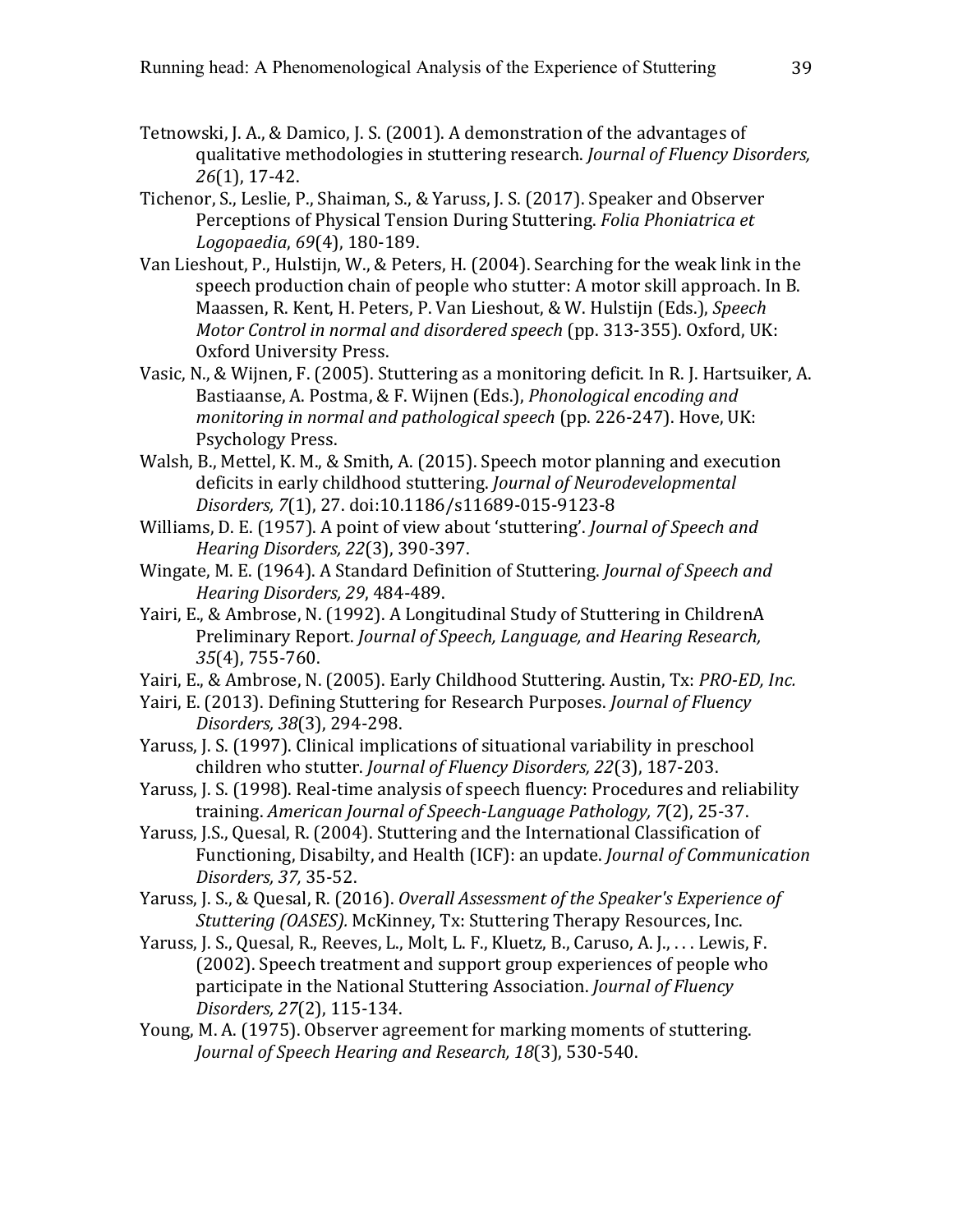- Tetnowski, J. A., & Damico, J. S. (2001). A demonstration of the advantages of qualitative methodologies in stuttering research. *Journal of Fluency Disorders*, *26*(1), 17-42.
- Tichenor, S., Leslie, P., Shaiman, S., & Yaruss, J. S. (2017). Speaker and Observer Perceptions of Physical Tension During Stuttering. *Folia Phoniatrica et Logopaedia*, *69*(4), 180-189.
- Van Lieshout, P., Hulstijn, W., & Peters, H. (2004). Searching for the weak link in the speech production chain of people who stutter: A motor skill approach. In B. Maassen, R. Kent, H. Peters, P. Van Lieshout, & W. Hulstijn (Eds.), Speech *Motor Control in normal and disordered speech* (pp. 313-355). Oxford, UK: Oxford University Press.
- Vasic, N., & Wijnen, F. (2005). Stuttering as a monitoring deficit. In R. J. Hartsuiker, A. Bastiaanse, A. Postma, & F. Wijnen (Eds.), *Phonological encoding and monitoring in normal and pathological speech* (pp. 226-247). Hove, UK: Psychology Press.
- Walsh, B., Mettel, K. M., & Smith, A. (2015). Speech motor planning and execution deficits in early childhood stuttering. *Journal of Neurodevelopmental Disorders, 7*(1), 27. doi:10.1186/s11689-015-9123-8
- Williams, D. E. (1957). A point of view about 'stuttering'. *Journal of Speech and Hearing Disorders, 22*(3), 390-397.
- Wingate, M. E. (1964). A Standard Definition of Stuttering. *Journal of Speech and Hearing Disorders, 29*, 484-489.
- Yairi, E., & Ambrose, N. (1992). A Longitudinal Study of Stuttering in ChildrenA Preliminary Report. *Journal of Speech, Language, and Hearing Research, 35*(4), 755-760.
- Yairi, E., & Ambrose, N. (2005). Early Childhood Stuttering. Austin, Tx: *PRO-ED, Inc.*
- Yairi, E. (2013). Defining Stuttering for Research Purposes. *Journal of Fluency Disorders, 38*(3), 294-298.
- Yaruss, J. S. (1997). Clinical implications of situational variability in preschool children who stutter. *Journal of Fluency Disorders, 22*(3), 187-203.
- Yaruss, J. S. (1998). Real-time analysis of speech fluency: Procedures and reliability training. *American Journal of Speech-Language Pathology, 7*(2), 25-37.
- Yaruss, J.S., Quesal, R. (2004). Stuttering and the International Classification of Functioning, Disabilty, and Health (ICF): an update. *Journal of Communication Disorders, 37,* 35-52.
- Yaruss, J. S., & Quesal, R. (2016). *Overall Assessment of the Speaker's Experience of Stuttering (OASES).* McKinney, Tx: Stuttering Therapy Resources, Inc.
- Yaruss, J. S., Quesal, R., Reeves, L., Molt, L. F., Kluetz, B., Caruso, A. J., ... Lewis, F. (2002). Speech treatment and support group experiences of people who participate in the National Stuttering Association. *Journal of Fluency Disorders, 27*(2), 115-134.
- Young, M. A. (1975). Observer agreement for marking moments of stuttering. *Journal of Speech Hearing and Research, 18*(3), 530-540.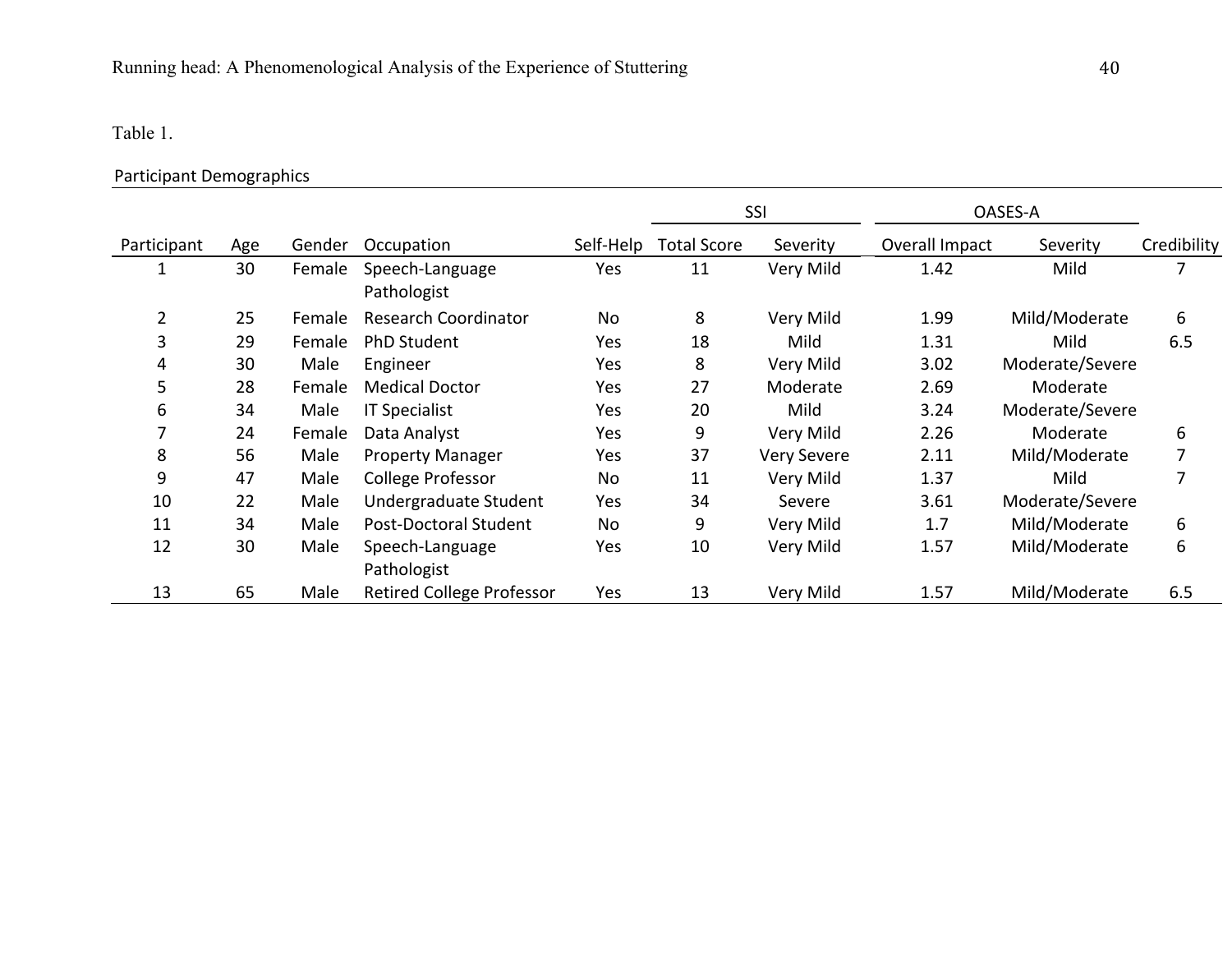# Table 1.

# Participant Demographics

|                |     |        |                                  |           | SSI                |                    | OASES-A        |                 |             |
|----------------|-----|--------|----------------------------------|-----------|--------------------|--------------------|----------------|-----------------|-------------|
| Participant    | Age | Gender | Occupation                       | Self-Help | <b>Total Score</b> | Severity           | Overall Impact | Severity        | Credibility |
|                | 30  | Female | Speech-Language<br>Pathologist   | Yes       | 11                 | Very Mild          | 1.42           | Mild            | 7           |
| $\overline{2}$ | 25  | Female | <b>Research Coordinator</b>      | No        | 8                  | Very Mild          | 1.99           | Mild/Moderate   | 6           |
| 3              | 29  | Female | PhD Student                      | Yes       | 18                 | Mild               | 1.31           | Mild            | 6.5         |
| 4              | 30  | Male   | Engineer                         | Yes       | 8                  | Very Mild          | 3.02           | Moderate/Severe |             |
| 5              | 28  | Female | <b>Medical Doctor</b>            | Yes       | 27                 | Moderate           | 2.69           | Moderate        |             |
| 6              | 34  | Male   | <b>IT Specialist</b>             | Yes       | 20                 | Mild               | 3.24           | Moderate/Severe |             |
|                | 24  | Female | Data Analyst                     | Yes       | 9                  | Very Mild          | 2.26           | Moderate        | 6           |
| 8              | 56  | Male   | <b>Property Manager</b>          | Yes       | 37                 | <b>Very Severe</b> | 2.11           | Mild/Moderate   | 7           |
| 9              | 47  | Male   | College Professor                | No        | 11                 | Very Mild          | 1.37           | Mild            | 7           |
| 10             | 22  | Male   | Undergraduate Student            | Yes       | 34                 | Severe             | 3.61           | Moderate/Severe |             |
| 11             | 34  | Male   | Post-Doctoral Student            | No        | 9                  | Very Mild          | 1.7            | Mild/Moderate   | 6           |
| 12             | 30  | Male   | Speech-Language<br>Pathologist   | Yes       | 10                 | Very Mild          | 1.57           | Mild/Moderate   | 6           |
| 13             | 65  | Male   | <b>Retired College Professor</b> | Yes       | 13                 | Very Mild          | 1.57           | Mild/Moderate   | 6.5         |